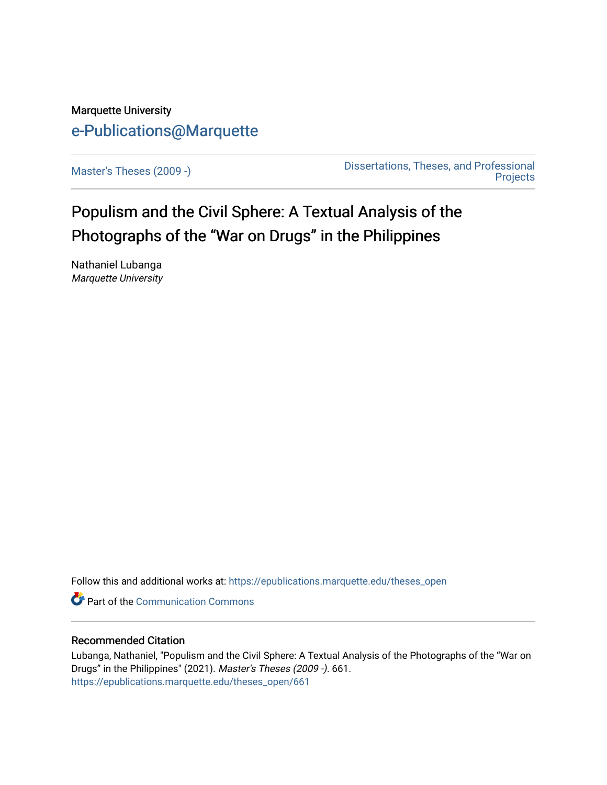# Marquette University [e-Publications@Marquette](https://epublications.marquette.edu/)

[Master's Theses \(2009 -\)](https://epublications.marquette.edu/theses_open) [Dissertations, Theses, and Professional](https://epublications.marquette.edu/diss_theses)  **Projects** 

Populism and the Civil Sphere: A Textual Analysis of the Photographs of the "War on Drugs" in the Philippines

Nathaniel Lubanga Marquette University

Follow this and additional works at: [https://epublications.marquette.edu/theses\\_open](https://epublications.marquette.edu/theses_open?utm_source=epublications.marquette.edu%2Ftheses_open%2F661&utm_medium=PDF&utm_campaign=PDFCoverPages) 

**C** Part of the Communication Commons

# Recommended Citation

Lubanga, Nathaniel, "Populism and the Civil Sphere: A Textual Analysis of the Photographs of the "War on Drugs" in the Philippines" (2021). Master's Theses (2009 -). 661. [https://epublications.marquette.edu/theses\\_open/661](https://epublications.marquette.edu/theses_open/661?utm_source=epublications.marquette.edu%2Ftheses_open%2F661&utm_medium=PDF&utm_campaign=PDFCoverPages)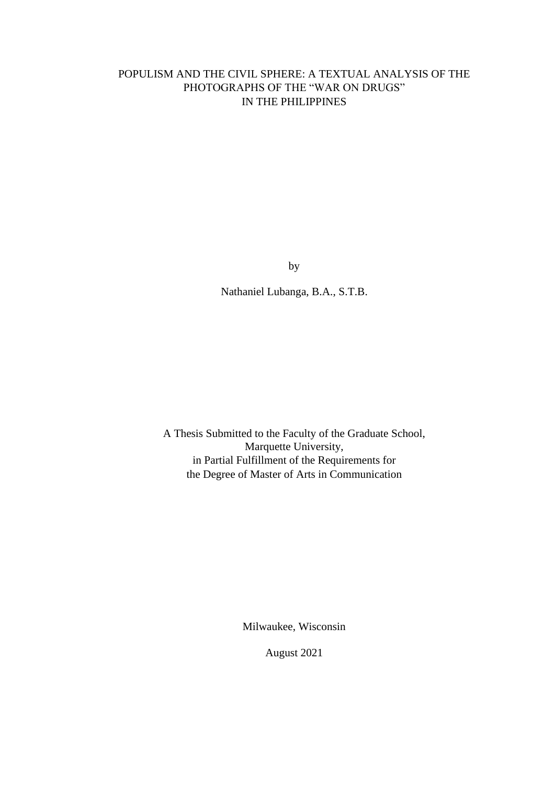# POPULISM AND THE CIVIL SPHERE: A TEXTUAL ANALYSIS OF THE PHOTOGRAPHS OF THE "WAR ON DRUGS" IN THE PHILIPPINES

by

Nathaniel Lubanga, B.A., S.T.B.

A Thesis Submitted to the Faculty of the Graduate School, Marquette University, in Partial Fulfillment of the Requirements for the Degree of Master of Arts in Communication

Milwaukee, Wisconsin

August 2021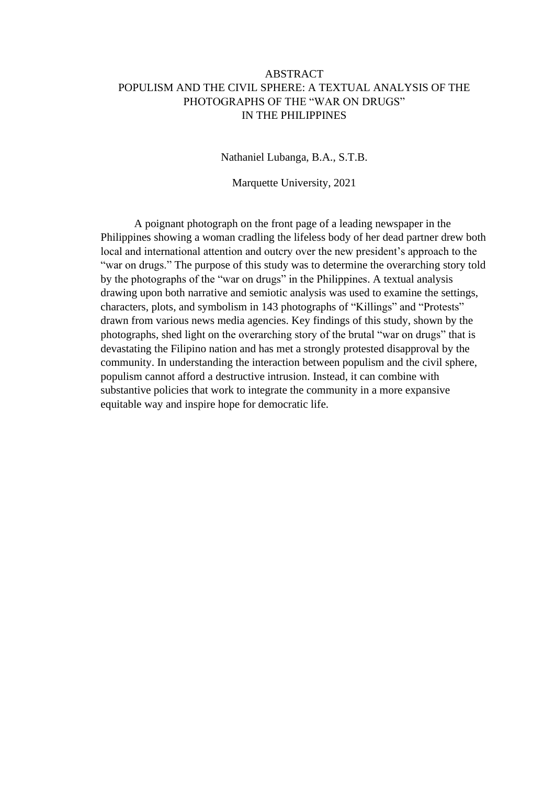# ABSTRACT POPULISM AND THE CIVIL SPHERE: A TEXTUAL ANALYSIS OF THE PHOTOGRAPHS OF THE "WAR ON DRUGS" IN THE PHILIPPINES

Nathaniel Lubanga, B.A., S.T.B.

Marquette University, 2021

A poignant photograph on the front page of a leading newspaper in the Philippines showing a woman cradling the lifeless body of her dead partner drew both local and international attention and outcry over the new president's approach to the "war on drugs." The purpose of this study was to determine the overarching story told by the photographs of the "war on drugs" in the Philippines. A textual analysis drawing upon both narrative and semiotic analysis was used to examine the settings, characters, plots, and symbolism in 143 photographs of "Killings" and "Protests" drawn from various news media agencies. Key findings of this study, shown by the photographs, shed light on the overarching story of the brutal "war on drugs" that is devastating the Filipino nation and has met a strongly protested disapproval by the community. In understanding the interaction between populism and the civil sphere, populism cannot afford a destructive intrusion. Instead, it can combine with substantive policies that work to integrate the community in a more expansive equitable way and inspire hope for democratic life.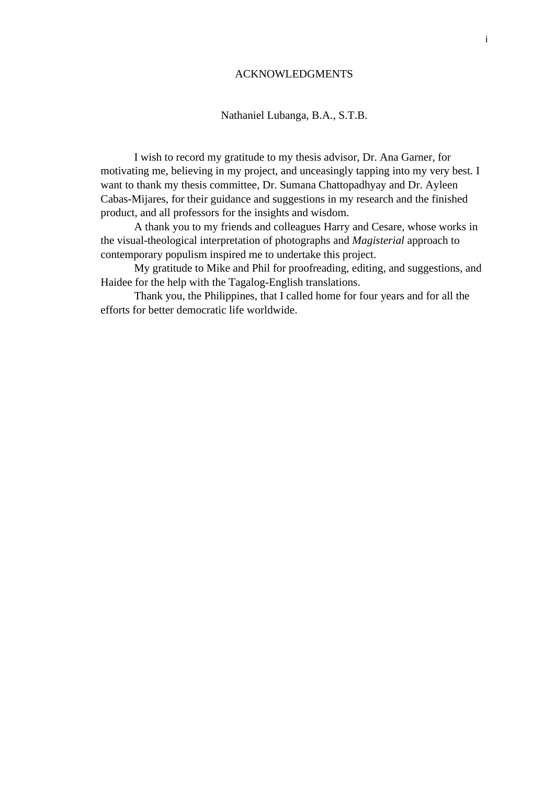# ACKNOWLEDGMENTS

# Nathaniel Lubanga, B.A., S.T.B.

I wish to record my gratitude to my thesis advisor, Dr. Ana Garner, for motivating me, believing in my project, and unceasingly tapping into my very best. I want to thank my thesis committee, Dr. Sumana Chattopadhyay and Dr. Ayleen Cabas-Mijares, for their guidance and suggestions in my research and the finished product, and all professors for the insights and wisdom.

A thank you to my friends and colleagues Harry and Cesare, whose works in the visual-theological interpretation of photographs and *Magisterial* approach to contemporary populism inspired me to undertake this project.

My gratitude to Mike and Phil for proofreading, editing, and suggestions, and Haidee for the help with the Tagalog-English translations.

Thank you, the Philippines, that I called home for four years and for all the efforts for better democratic life worldwide.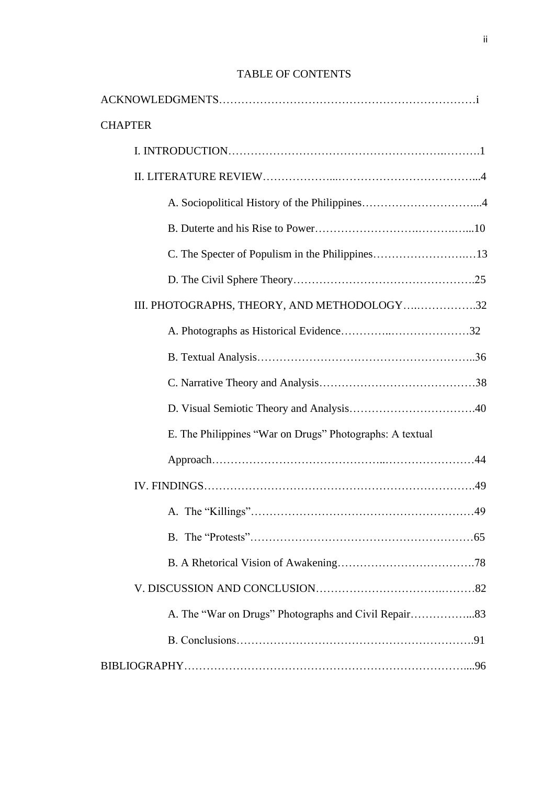# TABLE OF CONTENTS

| <b>CHAPTER</b>                                           |
|----------------------------------------------------------|
|                                                          |
|                                                          |
|                                                          |
|                                                          |
| C. The Specter of Populism in the Philippines13          |
|                                                          |
| III. PHOTOGRAPHS, THEORY, AND METHODOLOGY32              |
|                                                          |
|                                                          |
|                                                          |
|                                                          |
| E. The Philippines "War on Drugs" Photographs: A textual |
|                                                          |
|                                                          |
|                                                          |
|                                                          |
|                                                          |
|                                                          |
|                                                          |
|                                                          |
|                                                          |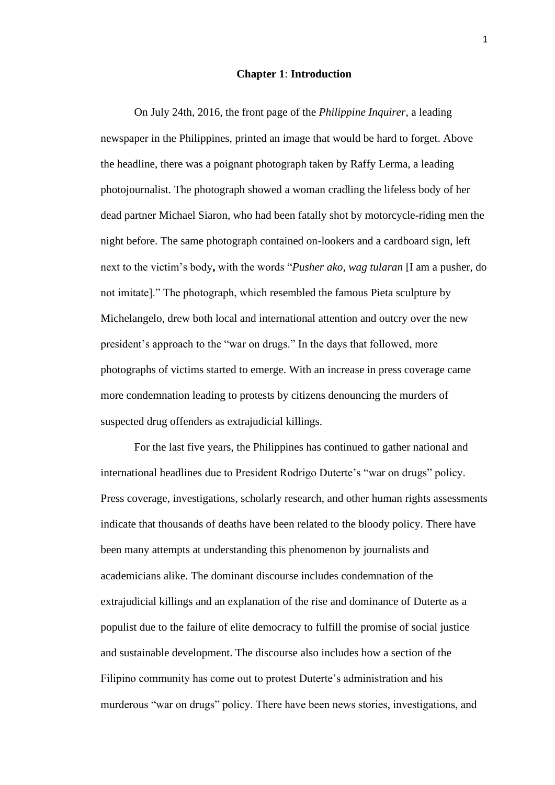#### **Chapter 1**: **Introduction**

On July 24th, 2016, the front page of the *Philippine Inquirer*, a leading newspaper in the Philippines, printed an image that would be hard to forget. Above the headline, there was a poignant photograph taken by Raffy Lerma, a leading photojournalist. The photograph showed a woman cradling the lifeless body of her dead partner Michael Siaron, who had been fatally shot by motorcycle-riding men the night before. The same photograph contained on-lookers and a cardboard sign, left next to the victim's body**,** with the words "*Pusher ako, wag tularan* [I am a pusher, do not imitate]." The photograph, which resembled the famous Pieta sculpture by Michelangelo, drew both local and international attention and outcry over the new president's approach to the "war on drugs." In the days that followed, more photographs of victims started to emerge. With an increase in press coverage came more condemnation leading to protests by citizens denouncing the murders of suspected drug offenders as extrajudicial killings.

For the last five years, the Philippines has continued to gather national and international headlines due to President Rodrigo Duterte's "war on drugs" policy. Press coverage, investigations, scholarly research, and other human rights assessments indicate that thousands of deaths have been related to the bloody policy. There have been many attempts at understanding this phenomenon by journalists and academicians alike. The dominant discourse includes condemnation of the extrajudicial killings and an explanation of the rise and dominance of Duterte as a populist due to the failure of elite democracy to fulfill the promise of social justice and sustainable development. The discourse also includes how a section of the Filipino community has come out to protest Duterte's administration and his murderous "war on drugs" policy. There have been news stories, investigations, and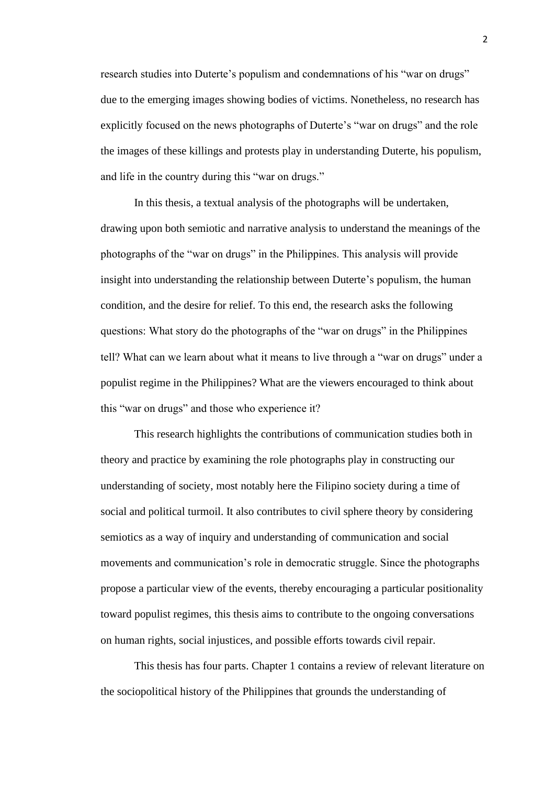research studies into Duterte's populism and condemnations of his "war on drugs" due to the emerging images showing bodies of victims. Nonetheless, no research has explicitly focused on the news photographs of Duterte's "war on drugs" and the role the images of these killings and protests play in understanding Duterte, his populism, and life in the country during this "war on drugs."

In this thesis, a textual analysis of the photographs will be undertaken, drawing upon both semiotic and narrative analysis to understand the meanings of the photographs of the "war on drugs" in the Philippines. This analysis will provide insight into understanding the relationship between Duterte's populism, the human condition, and the desire for relief. To this end, the research asks the following questions: What story do the photographs of the "war on drugs" in the Philippines tell? What can we learn about what it means to live through a "war on drugs" under a populist regime in the Philippines? What are the viewers encouraged to think about this "war on drugs" and those who experience it?

This research highlights the contributions of communication studies both in theory and practice by examining the role photographs play in constructing our understanding of society, most notably here the Filipino society during a time of social and political turmoil. It also contributes to civil sphere theory by considering semiotics as a way of inquiry and understanding of communication and social movements and communication's role in democratic struggle. Since the photographs propose a particular view of the events, thereby encouraging a particular positionality toward populist regimes, this thesis aims to contribute to the ongoing conversations on human rights, social injustices, and possible efforts towards civil repair.

This thesis has four parts. Chapter 1 contains a review of relevant literature on the sociopolitical history of the Philippines that grounds the understanding of

2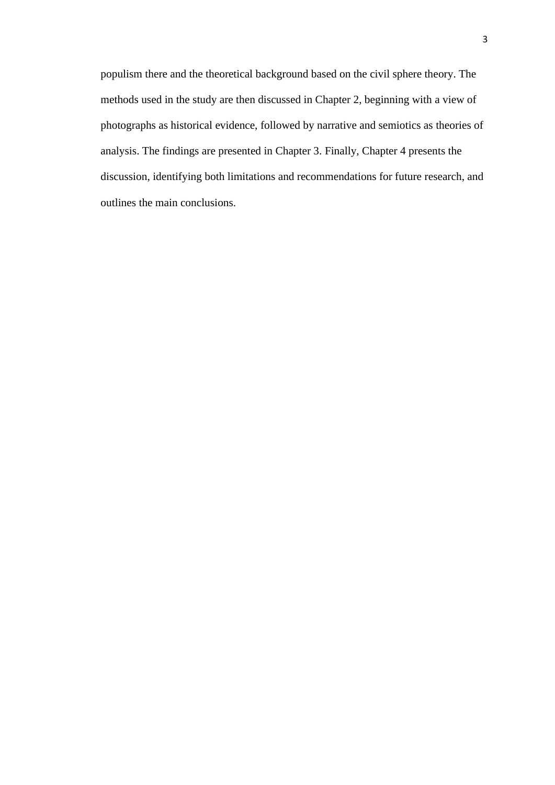populism there and the theoretical background based on the civil sphere theory. The methods used in the study are then discussed in Chapter 2, beginning with a view of photographs as historical evidence, followed by narrative and semiotics as theories of analysis. The findings are presented in Chapter 3. Finally, Chapter 4 presents the discussion, identifying both limitations and recommendations for future research, and outlines the main conclusions.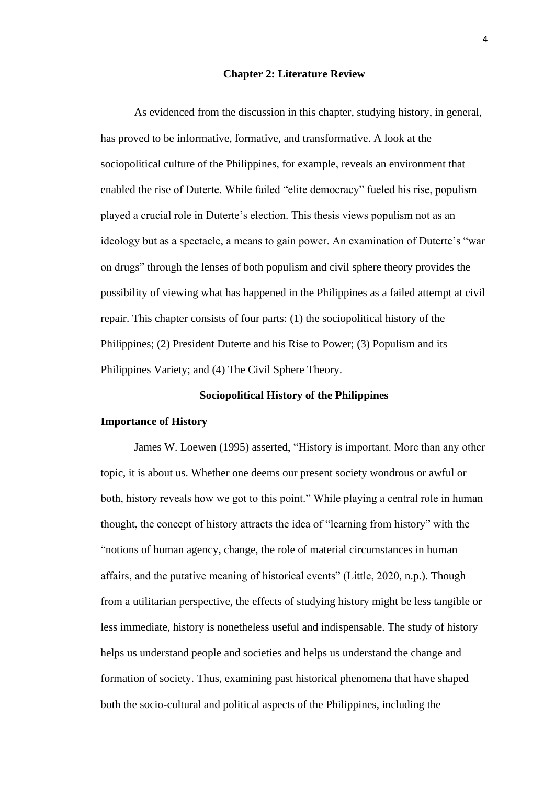#### **Chapter 2: Literature Review**

As evidenced from the discussion in this chapter, studying history, in general, has proved to be informative, formative, and transformative. A look at the sociopolitical culture of the Philippines, for example, reveals an environment that enabled the rise of Duterte. While failed "elite democracy" fueled his rise, populism played a crucial role in Duterte's election. This thesis views populism not as an ideology but as a spectacle, a means to gain power. An examination of Duterte's "war on drugs" through the lenses of both populism and civil sphere theory provides the possibility of viewing what has happened in the Philippines as a failed attempt at civil repair. This chapter consists of four parts: (1) the sociopolitical history of the Philippines; (2) President Duterte and his Rise to Power; (3) Populism and its Philippines Variety; and (4) The Civil Sphere Theory.

# **Sociopolitical History of the Philippines**

#### **Importance of History**

James W. Loewen (1995) asserted, "History is important. More than any other topic, it is about us. Whether one deems our present society wondrous or awful or both, history reveals how we got to this point." While playing a central role in human thought, the concept of history attracts the idea of "learning from history" with the "notions of human agency, change, the role of material circumstances in human affairs, and the putative meaning of historical events" (Little, 2020, n.p.). Though from a utilitarian perspective, the effects of studying history might be less tangible or less immediate, history is nonetheless useful and indispensable. The study of history helps us understand people and societies and helps us understand the change and formation of society. Thus, examining past historical phenomena that have shaped both the socio-cultural and political aspects of the Philippines, including the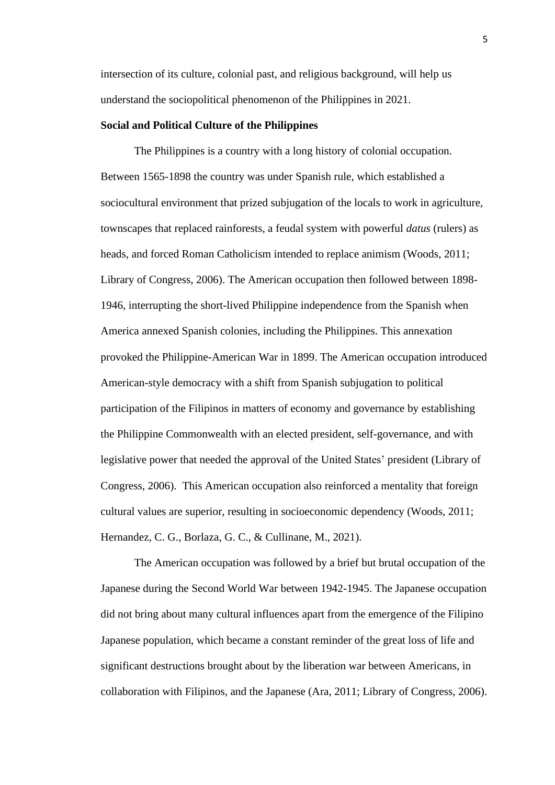intersection of its culture, colonial past, and religious background, will help us understand the sociopolitical phenomenon of the Philippines in 2021.

#### **Social and Political Culture of the Philippines**

The Philippines is a country with a long history of colonial occupation. Between 1565-1898 the country was under Spanish rule, which established a sociocultural environment that prized subjugation of the locals to work in agriculture, townscapes that replaced rainforests, a feudal system with powerful *datus* (rulers) as heads, and forced Roman Catholicism intended to replace animism (Woods, 2011; Library of Congress, 2006). The American occupation then followed between 1898- 1946, interrupting the short-lived Philippine independence from the Spanish when America annexed Spanish colonies, including the Philippines. This annexation provoked the Philippine-American War in 1899. The American occupation introduced American-style democracy with a shift from Spanish subjugation to political participation of the Filipinos in matters of economy and governance by establishing the Philippine Commonwealth with an elected president, self-governance, and with legislative power that needed the approval of the United States' president (Library of Congress, 2006). This American occupation also reinforced a mentality that foreign cultural values are superior, resulting in socioeconomic dependency (Woods, 2011; Hernandez, C. G., Borlaza, G. C., & Cullinane, M., 2021).

The American occupation was followed by a brief but brutal occupation of the Japanese during the Second World War between 1942-1945. The Japanese occupation did not bring about many cultural influences apart from the emergence of the Filipino Japanese population, which became a constant reminder of the great loss of life and significant destructions brought about by the liberation war between Americans, in collaboration with Filipinos, and the Japanese (Ara, 2011; Library of Congress, 2006).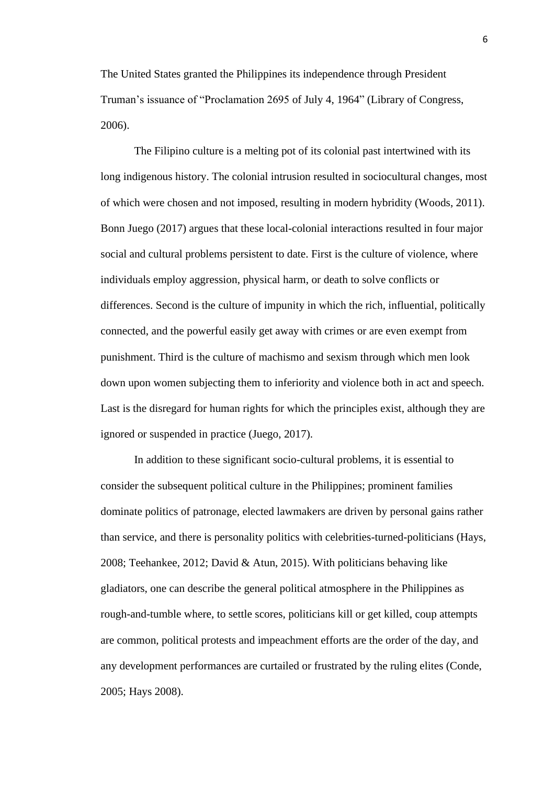The United States granted the Philippines its independence through President Truman's issuance of "Proclamation 2695 of July 4, 1964" (Library of Congress, 2006).

The Filipino culture is a melting pot of its colonial past intertwined with its long indigenous history. The colonial intrusion resulted in sociocultural changes, most of which were chosen and not imposed, resulting in modern hybridity (Woods, 2011). Bonn Juego (2017) argues that these local-colonial interactions resulted in four major social and cultural problems persistent to date. First is the culture of violence, where individuals employ aggression, physical harm, or death to solve conflicts or differences. Second is the culture of impunity in which the rich, influential, politically connected, and the powerful easily get away with crimes or are even exempt from punishment. Third is the culture of machismo and sexism through which men look down upon women subjecting them to inferiority and violence both in act and speech. Last is the disregard for human rights for which the principles exist, although they are ignored or suspended in practice (Juego, 2017).

In addition to these significant socio-cultural problems, it is essential to consider the subsequent political culture in the Philippines; prominent families dominate politics of patronage, elected lawmakers are driven by personal gains rather than service, and there is personality politics with celebrities-turned-politicians (Hays, 2008; Teehankee, 2012; David & Atun, 2015). With politicians behaving like gladiators, one can describe the general political atmosphere in the Philippines as rough-and-tumble where, to settle scores, politicians kill or get killed, coup attempts are common, political protests and impeachment efforts are the order of the day, and any development performances are curtailed or frustrated by the ruling elites (Conde, 2005; Hays 2008).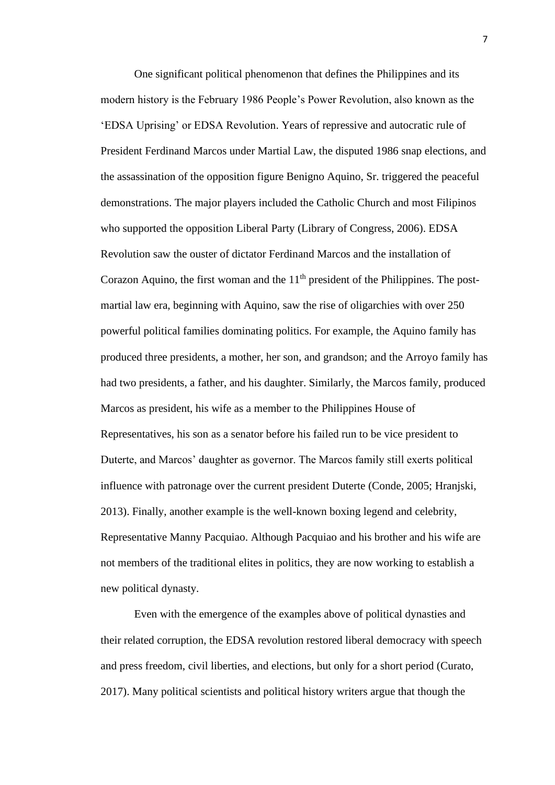One significant political phenomenon that defines the Philippines and its modern history is the February 1986 People's Power Revolution, also known as the 'EDSA Uprising' or EDSA Revolution. Years of repressive and autocratic rule of President Ferdinand Marcos under Martial Law, the disputed 1986 snap elections, and the assassination of the opposition figure Benigno Aquino, Sr. triggered the peaceful demonstrations. The major players included the Catholic Church and most Filipinos who supported the opposition Liberal Party (Library of Congress, 2006). EDSA Revolution saw the ouster of dictator Ferdinand Marcos and the installation of Corazon Aquino, the first woman and the  $11<sup>th</sup>$  president of the Philippines. The postmartial law era, beginning with Aquino, saw the rise of oligarchies with over 250 powerful political families dominating politics. For example, the Aquino family has produced three presidents, a mother, her son, and grandson; and the Arroyo family has had two presidents, a father, and his daughter. Similarly, the Marcos family, produced Marcos as president, his wife as a member to the Philippines House of Representatives, his son as a senator before his failed run to be vice president to Duterte, and Marcos' daughter as governor. The Marcos family still exerts political influence with patronage over the current president Duterte (Conde, 2005; Hranjski, 2013). Finally, another example is the well-known boxing legend and celebrity, Representative Manny Pacquiao. Although Pacquiao and his brother and his wife are not members of the traditional elites in politics, they are now working to establish a new political dynasty.

Even with the emergence of the examples above of political dynasties and their related corruption, the EDSA revolution restored liberal democracy with speech and press freedom, civil liberties, and elections, but only for a short period (Curato, 2017). Many political scientists and political history writers argue that though the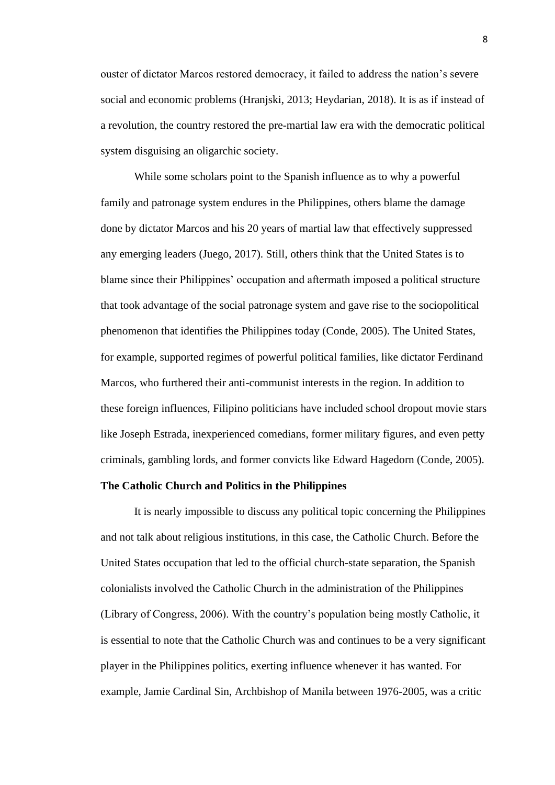ouster of dictator Marcos restored democracy, it failed to address the nation's severe social and economic problems (Hranjski, 2013; Heydarian, 2018). It is as if instead of a revolution, the country restored the pre-martial law era with the democratic political system disguising an oligarchic society.

While some scholars point to the Spanish influence as to why a powerful family and patronage system endures in the Philippines, others blame the damage done by dictator Marcos and his 20 years of martial law that effectively suppressed any emerging leaders (Juego, 2017). Still, others think that the United States is to blame since their Philippines' occupation and aftermath imposed a political structure that took advantage of the social patronage system and gave rise to the sociopolitical phenomenon that identifies the Philippines today (Conde, 2005). The United States, for example, supported regimes of powerful political families, like dictator Ferdinand Marcos, who furthered their anti-communist interests in the region. In addition to these foreign influences, Filipino politicians have included school dropout movie stars like Joseph Estrada, inexperienced comedians, former military figures, and even petty criminals, gambling lords, and former convicts like Edward Hagedorn (Conde, 2005).

#### **The Catholic Church and Politics in the Philippines**

It is nearly impossible to discuss any political topic concerning the Philippines and not talk about religious institutions, in this case, the Catholic Church. Before the United States occupation that led to the official church-state separation, the Spanish colonialists involved the Catholic Church in the administration of the Philippines (Library of Congress, 2006). With the country's population being mostly Catholic, it is essential to note that the Catholic Church was and continues to be a very significant player in the Philippines politics, exerting influence whenever it has wanted. For example, Jamie Cardinal Sin, Archbishop of Manila between 1976-2005, was a critic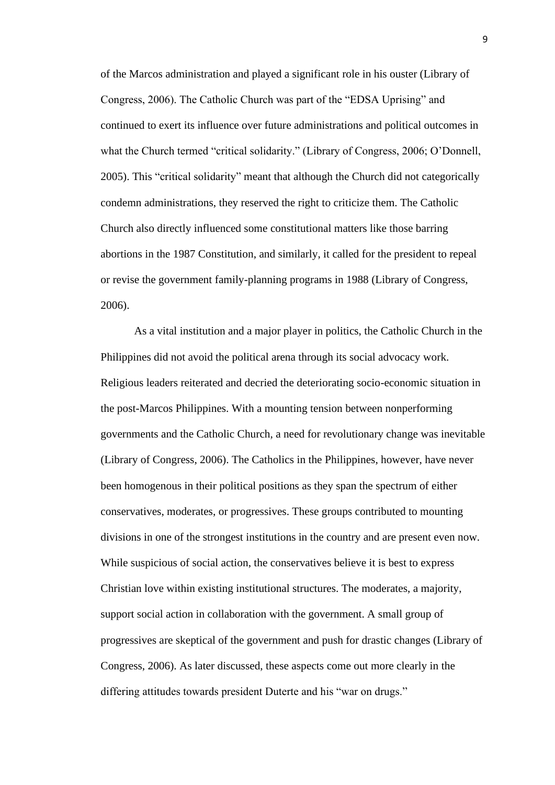of the Marcos administration and played a significant role in his ouster (Library of Congress, 2006). The Catholic Church was part of the "EDSA Uprising" and continued to exert its influence over future administrations and political outcomes in what the Church termed "critical solidarity." (Library of Congress, 2006; O'Donnell, 2005). This "critical solidarity" meant that although the Church did not categorically condemn administrations, they reserved the right to criticize them. The Catholic Church also directly influenced some constitutional matters like those barring abortions in the 1987 Constitution, and similarly, it called for the president to repeal or revise the government family-planning programs in 1988 (Library of Congress, 2006).

As a vital institution and a major player in politics, the Catholic Church in the Philippines did not avoid the political arena through its social advocacy work. Religious leaders reiterated and decried the deteriorating socio-economic situation in the post-Marcos Philippines. With a mounting tension between nonperforming governments and the Catholic Church, a need for revolutionary change was inevitable (Library of Congress, 2006). The Catholics in the Philippines, however, have never been homogenous in their political positions as they span the spectrum of either conservatives, moderates, or progressives. These groups contributed to mounting divisions in one of the strongest institutions in the country and are present even now. While suspicious of social action, the conservatives believe it is best to express Christian love within existing institutional structures. The moderates, a majority, support social action in collaboration with the government. A small group of progressives are skeptical of the government and push for drastic changes (Library of Congress, 2006). As later discussed, these aspects come out more clearly in the differing attitudes towards president Duterte and his "war on drugs."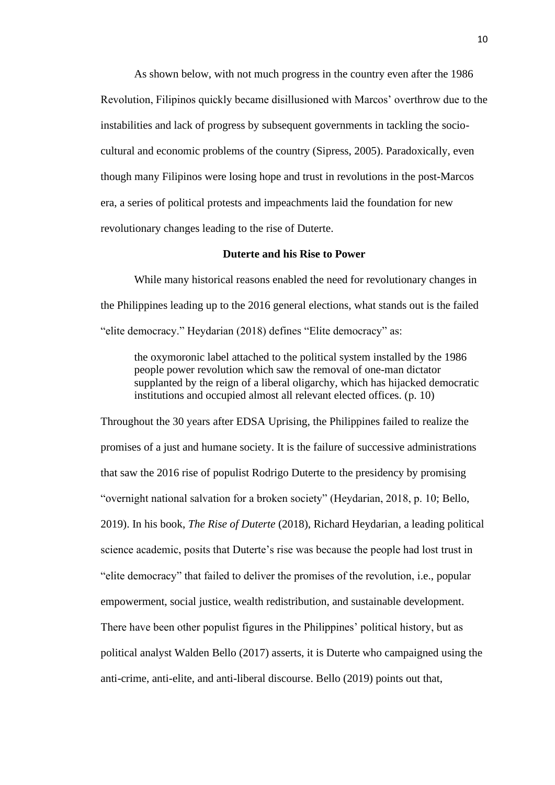As shown below, with not much progress in the country even after the 1986 Revolution, Filipinos quickly became disillusioned with Marcos' overthrow due to the instabilities and lack of progress by subsequent governments in tackling the sociocultural and economic problems of the country (Sipress, 2005). Paradoxically, even though many Filipinos were losing hope and trust in revolutions in the post-Marcos era, a series of political protests and impeachments laid the foundation for new revolutionary changes leading to the rise of Duterte.

#### **Duterte and his Rise to Power**

While many historical reasons enabled the need for revolutionary changes in the Philippines leading up to the 2016 general elections, what stands out is the failed "elite democracy." Heydarian (2018) defines "Elite democracy" as:

the oxymoronic label attached to the political system installed by the 1986 people power revolution which saw the removal of one-man dictator supplanted by the reign of a liberal oligarchy, which has hijacked democratic institutions and occupied almost all relevant elected offices. (p. 10)

Throughout the 30 years after EDSA Uprising, the Philippines failed to realize the promises of a just and humane society. It is the failure of successive administrations that saw the 2016 rise of populist Rodrigo Duterte to the presidency by promising "overnight national salvation for a broken society" (Heydarian, 2018, p. 10; Bello, 2019). In his book, *The Rise of Duterte* (2018), Richard Heydarian, a leading political science academic, posits that Duterte's rise was because the people had lost trust in "elite democracy" that failed to deliver the promises of the revolution, i.e., popular empowerment, social justice, wealth redistribution, and sustainable development. There have been other populist figures in the Philippines' political history, but as political analyst Walden Bello (2017) asserts, it is Duterte who campaigned using the anti-crime, anti-elite, and anti-liberal discourse. Bello (2019) points out that,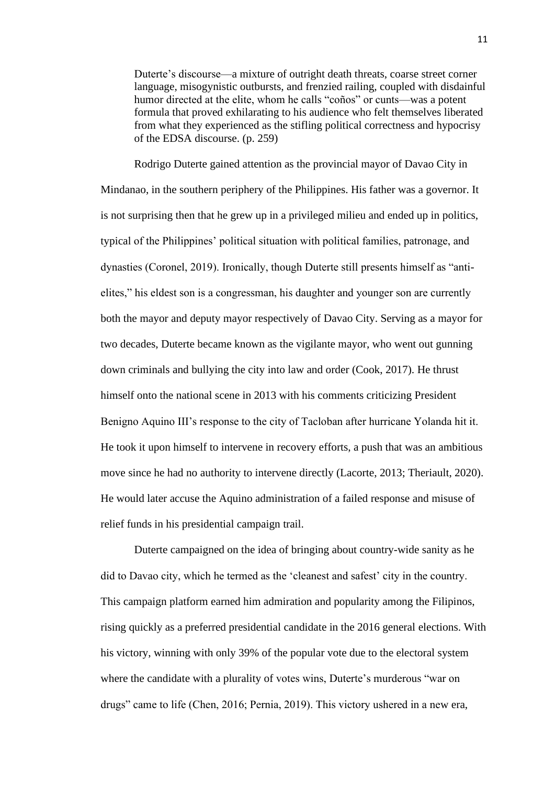Duterte's discourse—a mixture of outright death threats, coarse street corner language, misogynistic outbursts, and frenzied railing, coupled with disdainful humor directed at the elite, whom he calls "coños" or cunts—was a potent formula that proved exhilarating to his audience who felt themselves liberated from what they experienced as the stifling political correctness and hypocrisy of the EDSA discourse. (p. 259)

Rodrigo Duterte gained attention as the provincial mayor of Davao City in Mindanao, in the southern periphery of the Philippines. His father was a governor. It is not surprising then that he grew up in a privileged milieu and ended up in politics, typical of the Philippines' political situation with political families, patronage, and dynasties (Coronel, 2019). Ironically, though Duterte still presents himself as "antielites," his eldest son is a congressman, his daughter and younger son are currently both the mayor and deputy mayor respectively of Davao City. Serving as a mayor for two decades, Duterte became known as the vigilante mayor, who went out gunning down criminals and bullying the city into law and order (Cook, 2017). He thrust himself onto the national scene in 2013 with his comments criticizing President Benigno Aquino III's response to the city of Tacloban after hurricane Yolanda hit it. He took it upon himself to intervene in recovery efforts, a push that was an ambitious move since he had no authority to intervene directly (Lacorte, 2013; Theriault, 2020). He would later accuse the Aquino administration of a failed response and misuse of relief funds in his presidential campaign trail.

Duterte campaigned on the idea of bringing about country-wide sanity as he did to Davao city, which he termed as the 'cleanest and safest' city in the country. This campaign platform earned him admiration and popularity among the Filipinos, rising quickly as a preferred presidential candidate in the 2016 general elections. With his victory, winning with only 39% of the popular vote due to the electoral system where the candidate with a plurality of votes wins, Duterte's murderous "war on drugs" came to life (Chen, 2016; Pernia, 2019). This victory ushered in a new era,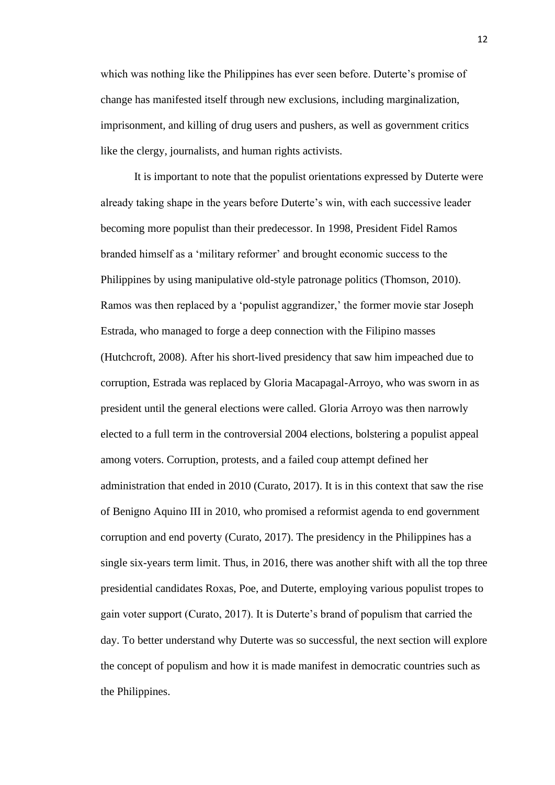which was nothing like the Philippines has ever seen before. Duterte's promise of change has manifested itself through new exclusions, including marginalization, imprisonment, and killing of drug users and pushers, as well as government critics like the clergy, journalists, and human rights activists.

It is important to note that the populist orientations expressed by Duterte were already taking shape in the years before Duterte's win, with each successive leader becoming more populist than their predecessor. In 1998, President Fidel Ramos branded himself as a 'military reformer' and brought economic success to the Philippines by using manipulative old-style patronage politics (Thomson, 2010). Ramos was then replaced by a 'populist aggrandizer,' the former movie star Joseph Estrada, who managed to forge a deep connection with the Filipino masses (Hutchcroft, 2008). After his short-lived presidency that saw him impeached due to corruption, Estrada was replaced by Gloria Macapagal-Arroyo, who was sworn in as president until the general elections were called. Gloria Arroyo was then narrowly elected to a full term in the controversial 2004 elections, bolstering a populist appeal among voters. Corruption, protests, and a failed coup attempt defined her administration that ended in 2010 (Curato, 2017). It is in this context that saw the rise of Benigno Aquino III in 2010, who promised a reformist agenda to end government corruption and end poverty (Curato, 2017). The presidency in the Philippines has a single six-years term limit. Thus, in 2016, there was another shift with all the top three presidential candidates Roxas, Poe, and Duterte, employing various populist tropes to gain voter support (Curato, 2017). It is Duterte's brand of populism that carried the day. To better understand why Duterte was so successful, the next section will explore the concept of populism and how it is made manifest in democratic countries such as the Philippines.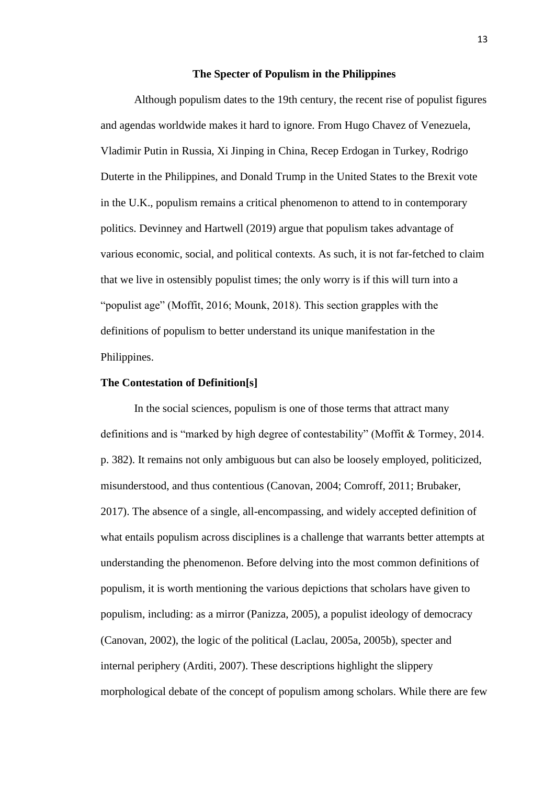#### **The Specter of Populism in the Philippines**

Although populism dates to the 19th century, the recent rise of populist figures and agendas worldwide makes it hard to ignore. From Hugo Chavez of Venezuela, Vladimir Putin in Russia, Xi Jinping in China, Recep Erdogan in Turkey, Rodrigo Duterte in the Philippines, and Donald Trump in the United States to the Brexit vote in the U.K., populism remains a critical phenomenon to attend to in contemporary politics. Devinney and Hartwell (2019) argue that populism takes advantage of various economic, social, and political contexts. As such, it is not far-fetched to claim that we live in ostensibly populist times; the only worry is if this will turn into a "populist age" (Moffit, 2016; Mounk, 2018). This section grapples with the definitions of populism to better understand its unique manifestation in the Philippines.

# **The Contestation of Definition[s]**

In the social sciences, populism is one of those terms that attract many definitions and is "marked by high degree of contestability" (Moffit & Tormey, 2014. p. 382). It remains not only ambiguous but can also be loosely employed, politicized, misunderstood, and thus contentious (Canovan, 2004; Comroff, 2011; Brubaker, 2017). The absence of a single, all-encompassing, and widely accepted definition of what entails populism across disciplines is a challenge that warrants better attempts at understanding the phenomenon. Before delving into the most common definitions of populism, it is worth mentioning the various depictions that scholars have given to populism, including: as a mirror (Panizza, 2005), a populist ideology of democracy (Canovan, 2002), the logic of the political (Laclau, 2005a, 2005b), specter and internal periphery (Arditi, 2007). These descriptions highlight the slippery morphological debate of the concept of populism among scholars. While there are few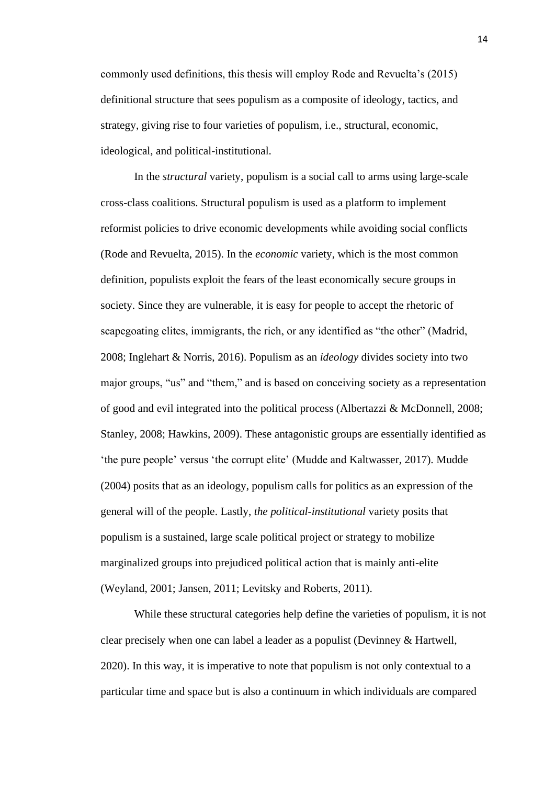commonly used definitions, this thesis will employ Rode and Revuelta's (2015) definitional structure that sees populism as a composite of ideology, tactics, and strategy, giving rise to four varieties of populism, i.e., structural, economic, ideological, and political-institutional.

In the *structural* variety, populism is a social call to arms using large-scale cross-class coalitions. Structural populism is used as a platform to implement reformist policies to drive economic developments while avoiding social conflicts (Rode and Revuelta, 2015). In the *economic* variety, which is the most common definition, populists exploit the fears of the least economically secure groups in society. Since they are vulnerable, it is easy for people to accept the rhetoric of scapegoating elites, immigrants, the rich, or any identified as "the other" (Madrid, 2008; Inglehart & Norris, 2016). Populism as an *ideology* divides society into two major groups, "us" and "them," and is based on conceiving society as a representation of good and evil integrated into the political process (Albertazzi & McDonnell, 2008; Stanley, 2008; Hawkins, 2009). These antagonistic groups are essentially identified as 'the pure people' versus 'the corrupt elite' (Mudde and Kaltwasser, 2017). Mudde (2004) posits that as an ideology, populism calls for politics as an expression of the general will of the people. Lastly, *the political-institutional* variety posits that populism is a sustained, large scale political project or strategy to mobilize marginalized groups into prejudiced political action that is mainly anti-elite (Weyland, 2001; Jansen, 2011; Levitsky and Roberts, 2011).

While these structural categories help define the varieties of populism, it is not clear precisely when one can label a leader as a populist (Devinney & Hartwell, 2020). In this way, it is imperative to note that populism is not only contextual to a particular time and space but is also a continuum in which individuals are compared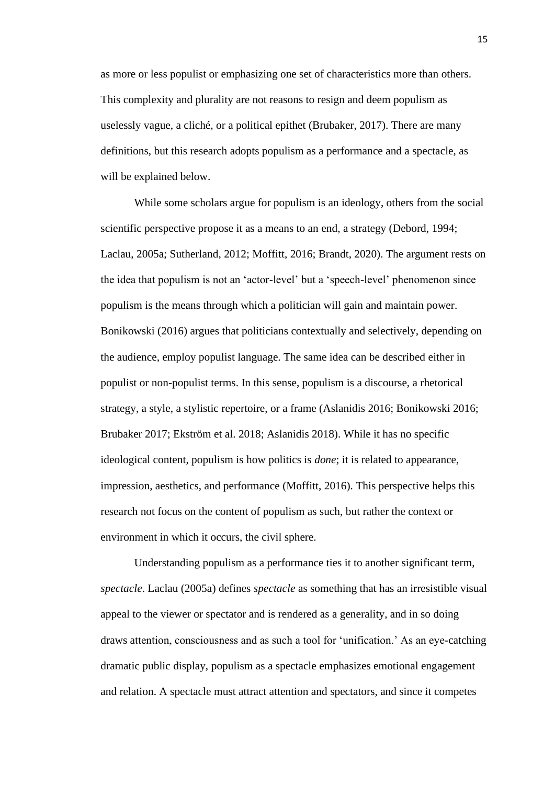as more or less populist or emphasizing one set of characteristics more than others. This complexity and plurality are not reasons to resign and deem populism as uselessly vague, a cliché, or a political epithet (Brubaker, 2017). There are many definitions, but this research adopts populism as a performance and a spectacle, as will be explained below.

While some scholars argue for populism is an ideology, others from the social scientific perspective propose it as a means to an end, a strategy (Debord, 1994; Laclau, 2005a; Sutherland, 2012; Moffitt, 2016; Brandt, 2020). The argument rests on the idea that populism is not an 'actor-level' but a 'speech-level' phenomenon since populism is the means through which a politician will gain and maintain power. Bonikowski (2016) argues that politicians contextually and selectively, depending on the audience, employ populist language. The same idea can be described either in populist or non-populist terms. In this sense, populism is a discourse, a rhetorical strategy, a style, a stylistic repertoire, or a frame (Aslanidis 2016; Bonikowski 2016; Brubaker 2017; Ekström et al. 2018; Aslanidis 2018). While it has no specific ideological content, populism is how politics is *done*; it is related to appearance, impression, aesthetics, and performance (Moffitt, 2016). This perspective helps this research not focus on the content of populism as such, but rather the context or environment in which it occurs, the civil sphere.

Understanding populism as a performance ties it to another significant term, *spectacle*. Laclau (2005a) defines *spectacle* as something that has an irresistible visual appeal to the viewer or spectator and is rendered as a generality, and in so doing draws attention, consciousness and as such a tool for 'unification.' As an eye-catching dramatic public display, populism as a spectacle emphasizes emotional engagement and relation. A spectacle must attract attention and spectators, and since it competes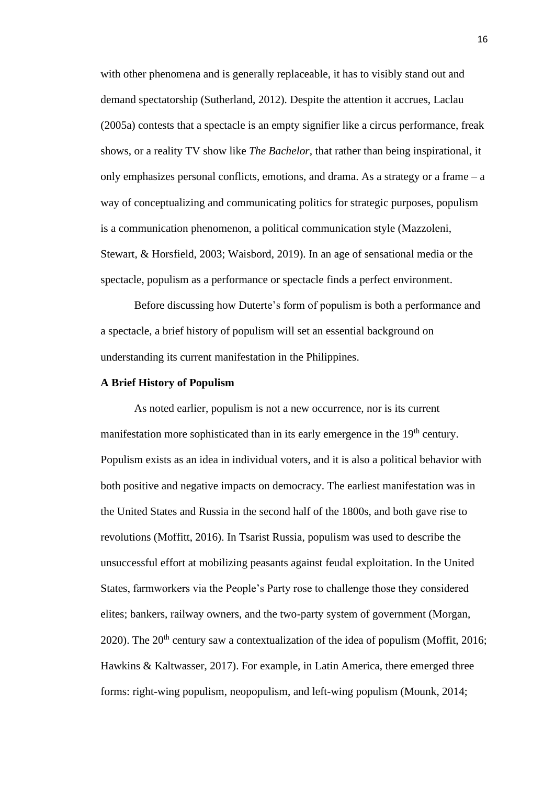with other phenomena and is generally replaceable, it has to visibly stand out and demand spectatorship (Sutherland, 2012). Despite the attention it accrues, Laclau (2005a) contests that a spectacle is an empty signifier like a circus performance, freak shows, or a reality TV show like *The Bachelor,* that rather than being inspirational, it only emphasizes personal conflicts, emotions, and drama. As a strategy or a frame – a way of conceptualizing and communicating politics for strategic purposes, populism is a communication phenomenon, a political communication style (Mazzoleni, Stewart, & Horsfield, 2003; Waisbord, 2019). In an age of sensational media or the spectacle, populism as a performance or spectacle finds a perfect environment.

Before discussing how Duterte's form of populism is both a performance and a spectacle, a brief history of populism will set an essential background on understanding its current manifestation in the Philippines.

# **A Brief History of Populism**

As noted earlier, populism is not a new occurrence, nor is its current manifestation more sophisticated than in its early emergence in the 19<sup>th</sup> century. Populism exists as an idea in individual voters, and it is also a political behavior with both positive and negative impacts on democracy. The earliest manifestation was in the United States and Russia in the second half of the 1800s, and both gave rise to revolutions (Moffitt, 2016). In Tsarist Russia, populism was used to describe the unsuccessful effort at mobilizing peasants against feudal exploitation. In the United States, farmworkers via the People's Party rose to challenge those they considered elites; bankers, railway owners, and the two-party system of government (Morgan, 2020). The  $20^{th}$  century saw a contextualization of the idea of populism (Moffit, 2016; Hawkins & Kaltwasser, 2017). For example, in Latin America, there emerged three forms: right-wing populism, neopopulism, and left-wing populism (Mounk, 2014;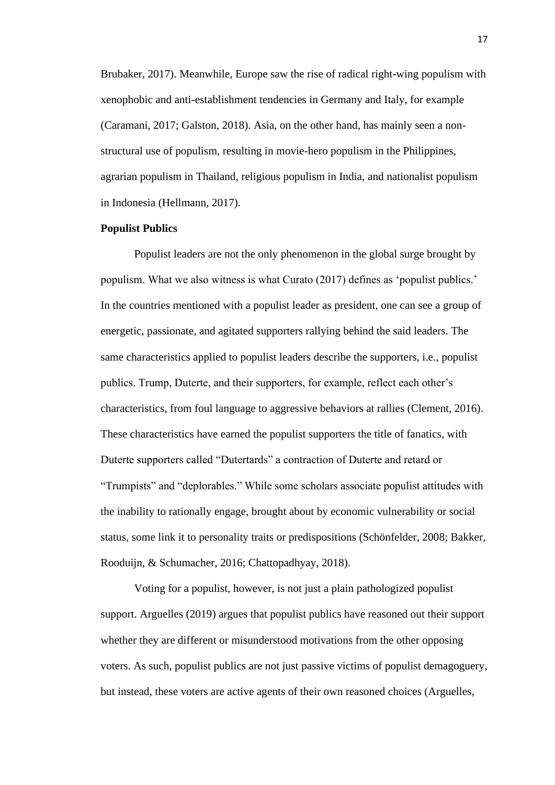Brubaker, 2017). Meanwhile, Europe saw the rise of radical right-wing populism with xenophobic and anti-establishment tendencies in Germany and Italy, for example (Caramani, 2017; Galston, 2018). Asia, on the other hand, has mainly seen a nonstructural use of populism, resulting in movie-hero populism in the Philippines, agrarian populism in Thailand, religious populism in India, and nationalist populism in Indonesia (Hellmann, 2017).

# **Populist Publics**

Populist leaders are not the only phenomenon in the global surge brought by populism. What we also witness is what Curato (2017) defines as 'populist publics.' In the countries mentioned with a populist leader as president, one can see a group of energetic, passionate, and agitated supporters rallying behind the said leaders. The same characteristics applied to populist leaders describe the supporters, i.e., populist publics. Trump, Duterte, and their supporters, for example, reflect each other's characteristics, from foul language to aggressive behaviors at rallies (Clement, 2016). These characteristics have earned the populist supporters the title of fanatics, with Duterte supporters called "Dutertards" a contraction of Duterte and retard or "Trumpists" and "deplorables." While some scholars associate populist attitudes with the inability to rationally engage, brought about by economic vulnerability or social status, some link it to personality traits or predispositions (Schönfelder, 2008; Bakker, Rooduijn, & Schumacher, 2016; Chattopadhyay, 2018).

Voting for a populist, however, is not just a plain pathologized populist support. Arguelles (2019) argues that populist publics have reasoned out their support whether they are different or misunderstood motivations from the other opposing voters. As such, populist publics are not just passive victims of populist demagoguery, but instead, these voters are active agents of their own reasoned choices (Arguelles,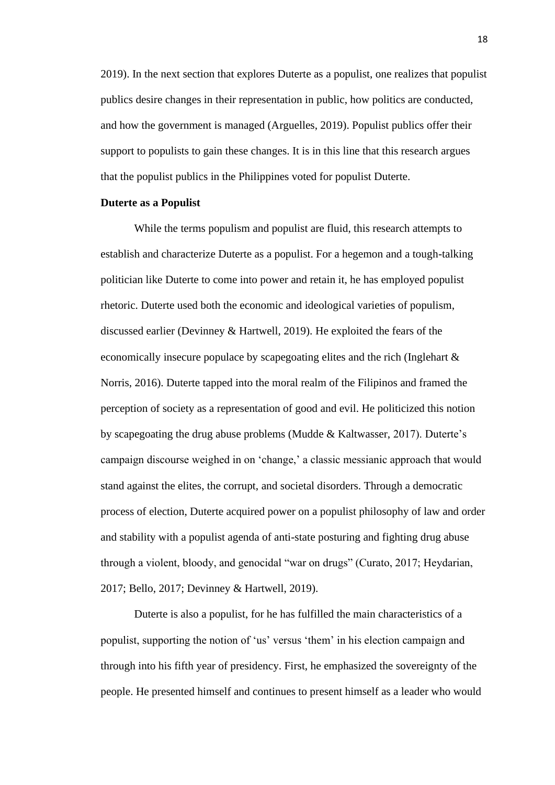2019). In the next section that explores Duterte as a populist, one realizes that populist publics desire changes in their representation in public, how politics are conducted, and how the government is managed (Arguelles, 2019). Populist publics offer their support to populists to gain these changes. It is in this line that this research argues that the populist publics in the Philippines voted for populist Duterte.

#### **Duterte as a Populist**

While the terms populism and populist are fluid, this research attempts to establish and characterize Duterte as a populist. For a hegemon and a tough-talking politician like Duterte to come into power and retain it, he has employed populist rhetoric. Duterte used both the economic and ideological varieties of populism, discussed earlier (Devinney & Hartwell, 2019). He exploited the fears of the economically insecure populace by scapegoating elites and the rich (Inglehart & Norris, 2016). Duterte tapped into the moral realm of the Filipinos and framed the perception of society as a representation of good and evil. He politicized this notion by scapegoating the drug abuse problems (Mudde & Kaltwasser, 2017). Duterte's campaign discourse weighed in on 'change,' a classic messianic approach that would stand against the elites, the corrupt, and societal disorders. Through a democratic process of election, Duterte acquired power on a populist philosophy of law and order and stability with a populist agenda of anti-state posturing and fighting drug abuse through a violent, bloody, and genocidal "war on drugs" (Curato, 2017; Heydarian, 2017; Bello, 2017; Devinney & Hartwell, 2019).

Duterte is also a populist, for he has fulfilled the main characteristics of a populist, supporting the notion of 'us' versus 'them' in his election campaign and through into his fifth year of presidency. First, he emphasized the sovereignty of the people. He presented himself and continues to present himself as a leader who would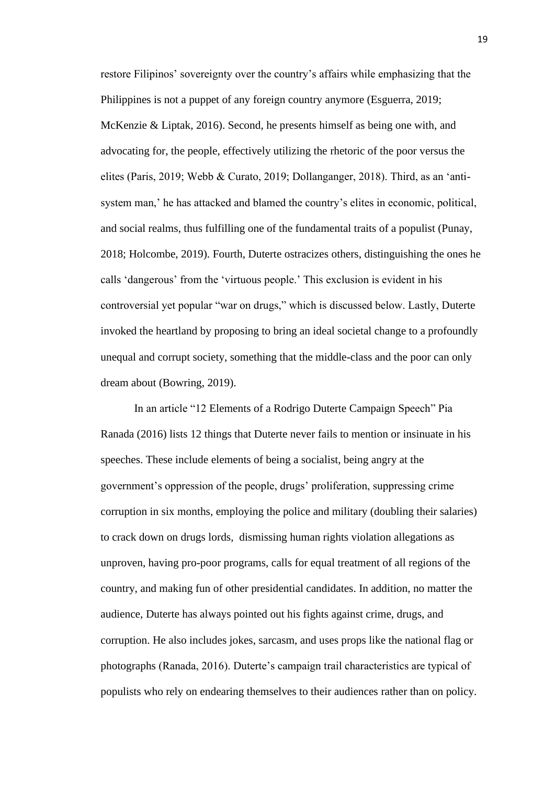restore Filipinos' sovereignty over the country's affairs while emphasizing that the Philippines is not a puppet of any foreign country anymore (Esguerra, 2019; McKenzie & Liptak, 2016). Second, he presents himself as being one with, and advocating for, the people, effectively utilizing the rhetoric of the poor versus the elites (Paris, 2019; Webb & Curato, 2019; Dollanganger, 2018). Third, as an 'antisystem man,' he has attacked and blamed the country's elites in economic, political, and social realms, thus fulfilling one of the fundamental traits of a populist (Punay, 2018; Holcombe, 2019). Fourth, Duterte ostracizes others, distinguishing the ones he calls 'dangerous' from the 'virtuous people.' This exclusion is evident in his controversial yet popular "war on drugs," which is discussed below. Lastly, Duterte invoked the heartland by proposing to bring an ideal societal change to a profoundly unequal and corrupt society, something that the middle-class and the poor can only dream about (Bowring, 2019).

In an article "12 Elements of a Rodrigo Duterte Campaign Speech" Pia Ranada (2016) lists 12 things that Duterte never fails to mention or insinuate in his speeches. These include elements of being a socialist, being angry at the government's oppression of the people, drugs' proliferation, suppressing crime corruption in six months, employing the police and military (doubling their salaries) to crack down on drugs lords, dismissing human rights violation allegations as unproven, having pro-poor programs, calls for equal treatment of all regions of the country, and making fun of other presidential candidates. In addition, no matter the audience, Duterte has always pointed out his fights against crime, drugs, and corruption. He also includes jokes, sarcasm, and uses props like the national flag or photographs (Ranada, 2016). Duterte's campaign trail characteristics are typical of populists who rely on endearing themselves to their audiences rather than on policy.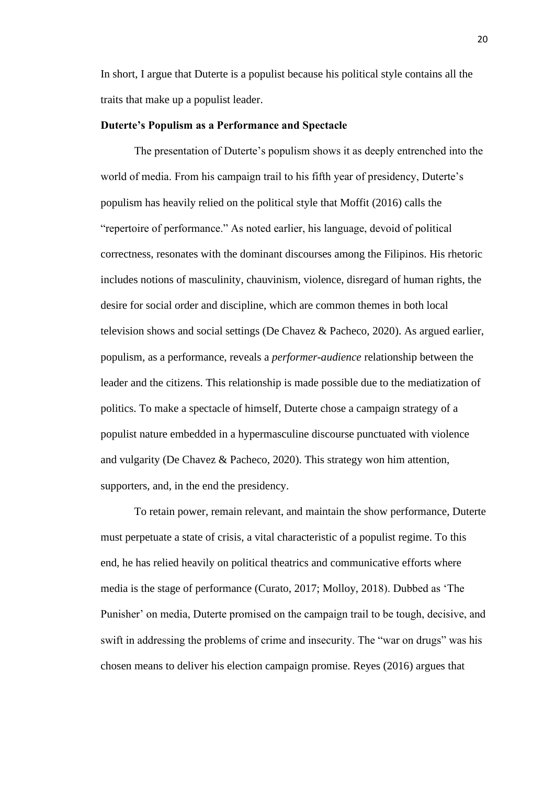In short, I argue that Duterte is a populist because his political style contains all the traits that make up a populist leader.

#### **Duterte's Populism as a Performance and Spectacle**

The presentation of Duterte's populism shows it as deeply entrenched into the world of media. From his campaign trail to his fifth year of presidency, Duterte's populism has heavily relied on the political style that Moffit (2016) calls the "repertoire of performance." As noted earlier, his language, devoid of political correctness, resonates with the dominant discourses among the Filipinos. His rhetoric includes notions of masculinity, chauvinism, violence, disregard of human rights, the desire for social order and discipline, which are common themes in both local television shows and social settings (De Chavez & Pacheco, 2020). As argued earlier, populism, as a performance, reveals a *performer*-*audience* relationship between the leader and the citizens. This relationship is made possible due to the mediatization of politics. To make a spectacle of himself, Duterte chose a campaign strategy of a populist nature embedded in a hypermasculine discourse punctuated with violence and vulgarity (De Chavez & Pacheco, 2020). This strategy won him attention, supporters, and, in the end the presidency.

To retain power, remain relevant, and maintain the show performance, Duterte must perpetuate a state of crisis, a vital characteristic of a populist regime. To this end, he has relied heavily on political theatrics and communicative efforts where media is the stage of performance (Curato, 2017; Molloy, 2018). Dubbed as 'The Punisher' on media, Duterte promised on the campaign trail to be tough, decisive, and swift in addressing the problems of crime and insecurity. The "war on drugs" was his chosen means to deliver his election campaign promise. Reyes (2016) argues that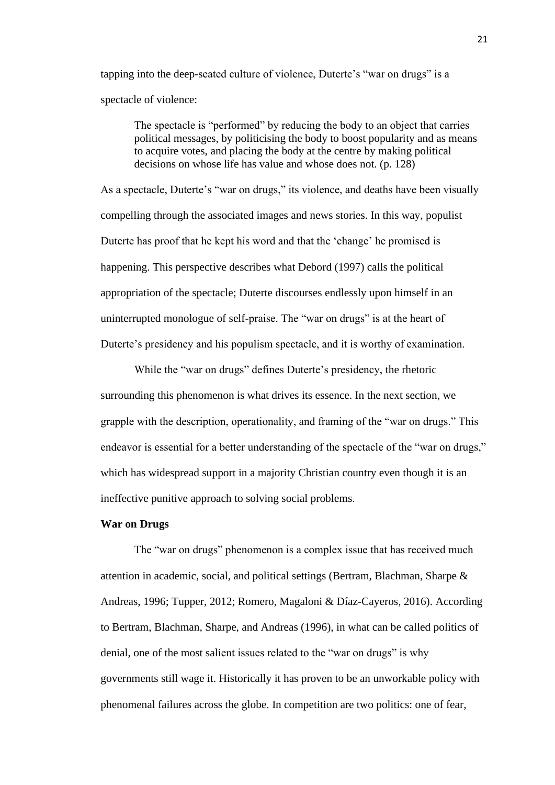tapping into the deep-seated culture of violence, Duterte's "war on drugs" is a spectacle of violence:

The spectacle is "performed" by reducing the body to an object that carries political messages, by politicising the body to boost popularity and as means to acquire votes, and placing the body at the centre by making political decisions on whose life has value and whose does not. (p. 128)

As a spectacle, Duterte's "war on drugs," its violence, and deaths have been visually compelling through the associated images and news stories. In this way, populist Duterte has proof that he kept his word and that the 'change' he promised is happening. This perspective describes what Debord (1997) calls the political appropriation of the spectacle; Duterte discourses endlessly upon himself in an uninterrupted monologue of self-praise. The "war on drugs" is at the heart of Duterte's presidency and his populism spectacle, and it is worthy of examination.

While the "war on drugs" defines Duterte's presidency, the rhetoric surrounding this phenomenon is what drives its essence. In the next section, we grapple with the description, operationality, and framing of the "war on drugs." This endeavor is essential for a better understanding of the spectacle of the "war on drugs," which has widespread support in a majority Christian country even though it is an ineffective punitive approach to solving social problems.

#### **War on Drugs**

The "war on drugs" phenomenon is a complex issue that has received much attention in academic, social, and political settings (Bertram, Blachman, Sharpe & Andreas, 1996; Tupper, 2012; Romero, Magaloni & Díaz-Cayeros, 2016). According to Bertram, Blachman, Sharpe, and Andreas (1996), in what can be called politics of denial, one of the most salient issues related to the "war on drugs" is why governments still wage it. Historically it has proven to be an unworkable policy with phenomenal failures across the globe. In competition are two politics: one of fear,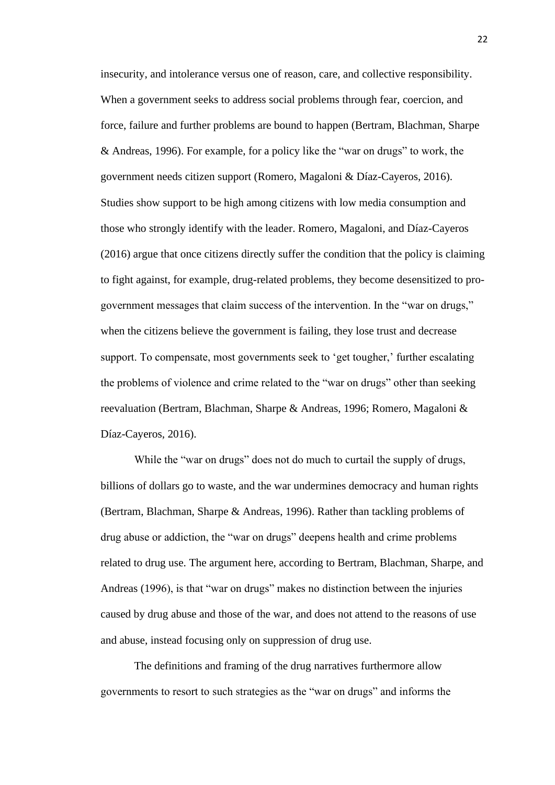insecurity, and intolerance versus one of reason, care, and collective responsibility. When a government seeks to address social problems through fear, coercion, and force, failure and further problems are bound to happen (Bertram, Blachman, Sharpe & Andreas, 1996). For example, for a policy like the "war on drugs" to work, the government needs citizen support (Romero, Magaloni & Díaz-Cayeros, 2016). Studies show support to be high among citizens with low media consumption and those who strongly identify with the leader. Romero, Magaloni, and Díaz-Cayeros (2016) argue that once citizens directly suffer the condition that the policy is claiming to fight against, for example, drug-related problems, they become desensitized to progovernment messages that claim success of the intervention. In the "war on drugs," when the citizens believe the government is failing, they lose trust and decrease support. To compensate, most governments seek to 'get tougher,' further escalating the problems of violence and crime related to the "war on drugs" other than seeking reevaluation (Bertram, Blachman, Sharpe & Andreas, 1996; Romero, Magaloni & Díaz-Cayeros, 2016).

While the "war on drugs" does not do much to curtail the supply of drugs, billions of dollars go to waste, and the war undermines democracy and human rights (Bertram, Blachman, Sharpe & Andreas, 1996). Rather than tackling problems of drug abuse or addiction, the "war on drugs" deepens health and crime problems related to drug use. The argument here, according to Bertram, Blachman, Sharpe, and Andreas (1996), is that "war on drugs" makes no distinction between the injuries caused by drug abuse and those of the war, and does not attend to the reasons of use and abuse, instead focusing only on suppression of drug use.

The definitions and framing of the drug narratives furthermore allow governments to resort to such strategies as the "war on drugs" and informs the 22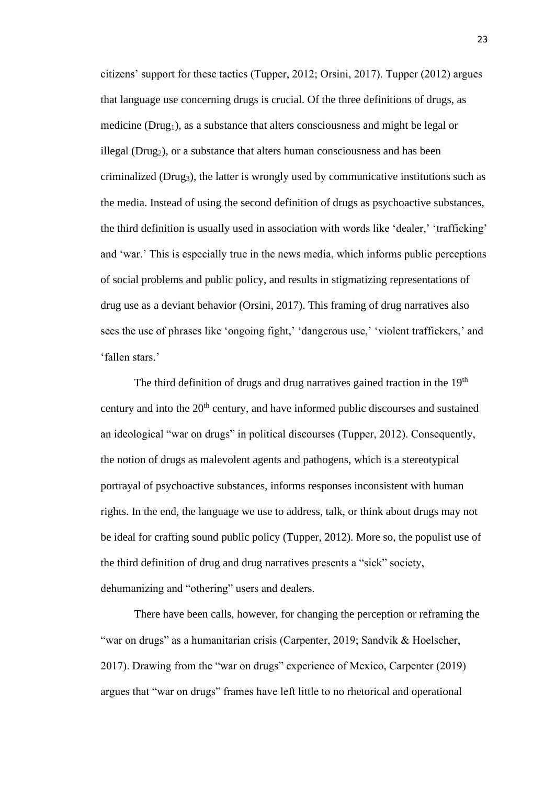citizens' support for these tactics (Tupper, 2012; Orsini, 2017). Tupper (2012) argues that language use concerning drugs is crucial. Of the three definitions of drugs, as medicine ( $Drug<sub>1</sub>$ ), as a substance that alters consciousness and might be legal or illegal (Drug<sub>2</sub>), or a substance that alters human consciousness and has been criminalized (Drug3), the latter is wrongly used by communicative institutions such as the media. Instead of using the second definition of drugs as psychoactive substances, the third definition is usually used in association with words like 'dealer,' 'trafficking' and 'war.' This is especially true in the news media, which informs public perceptions of social problems and public policy, and results in stigmatizing representations of drug use as a deviant behavior (Orsini, 2017). This framing of drug narratives also sees the use of phrases like 'ongoing fight,' 'dangerous use,' 'violent traffickers,' and 'fallen stars.'

The third definition of drugs and drug narratives gained traction in the  $19<sup>th</sup>$ century and into the 20<sup>th</sup> century, and have informed public discourses and sustained an ideological "war on drugs" in political discourses (Tupper, 2012). Consequently, the notion of drugs as malevolent agents and pathogens, which is a stereotypical portrayal of psychoactive substances, informs responses inconsistent with human rights. In the end, the language we use to address, talk, or think about drugs may not be ideal for crafting sound public policy (Tupper, 2012). More so, the populist use of the third definition of drug and drug narratives presents a "sick" society, dehumanizing and "othering" users and dealers.

There have been calls, however, for changing the perception or reframing the "war on drugs" as a humanitarian crisis (Carpenter, 2019; Sandvik & Hoelscher, 2017). Drawing from the "war on drugs" experience of Mexico, Carpenter (2019) argues that "war on drugs" frames have left little to no rhetorical and operational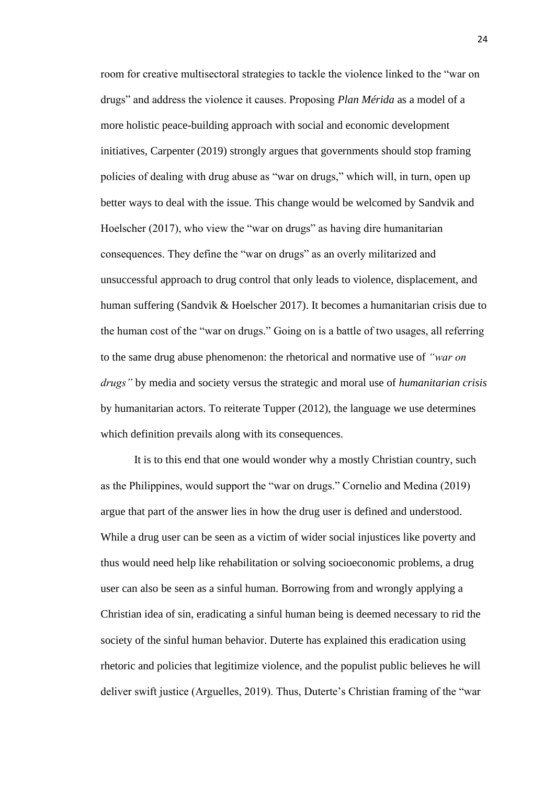room for creative multisectoral strategies to tackle the violence linked to the "war on drugs" and address the violence it causes. Proposing *Plan Mérida* as a model of a more holistic peace-building approach with social and economic development initiatives, Carpenter (2019) strongly argues that governments should stop framing policies of dealing with drug abuse as "war on drugs," which will, in turn, open up better ways to deal with the issue. This change would be welcomed by Sandvik and Hoelscher (2017), who view the "war on drugs" as having dire humanitarian consequences. They define the "war on drugs" as an overly militarized and unsuccessful approach to drug control that only leads to violence, displacement, and human suffering (Sandvik & Hoelscher 2017). It becomes a humanitarian crisis due to the human cost of the "war on drugs." Going on is a battle of two usages, all referring to the same drug abuse phenomenon: the rhetorical and normative use of *"war on drugs"* by media and society versus the strategic and moral use of *humanitarian crisis* by humanitarian actors. To reiterate Tupper (2012), the language we use determines which definition prevails along with its consequences.

It is to this end that one would wonder why a mostly Christian country, such as the Philippines, would support the "war on drugs." Cornelio and Medina (2019) argue that part of the answer lies in how the drug user is defined and understood. While a drug user can be seen as a victim of wider social injustices like poverty and thus would need help like rehabilitation or solving socioeconomic problems, a drug user can also be seen as a sinful human. Borrowing from and wrongly applying a Christian idea of sin, eradicating a sinful human being is deemed necessary to rid the society of the sinful human behavior. Duterte has explained this eradication using rhetoric and policies that legitimize violence, and the populist public believes he will deliver swift justice (Arguelles, 2019). Thus, Duterte's Christian framing of the "war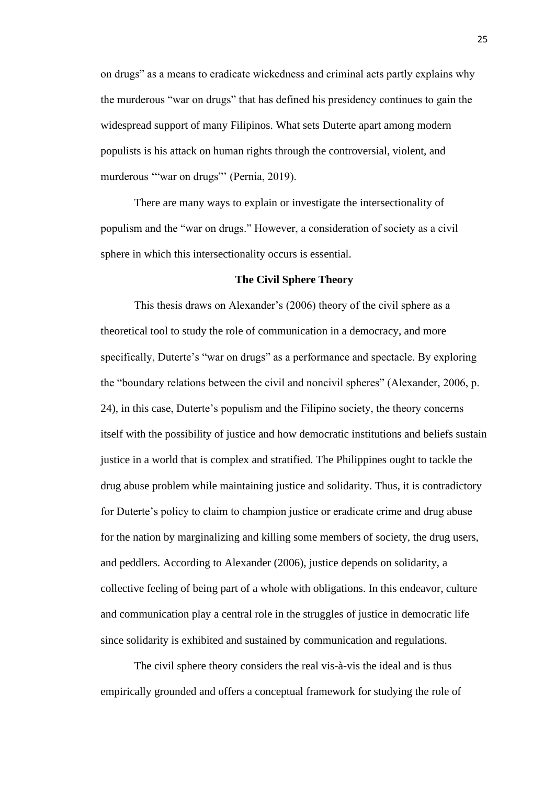on drugs" as a means to eradicate wickedness and criminal acts partly explains why the murderous "war on drugs" that has defined his presidency continues to gain the widespread support of many Filipinos. What sets Duterte apart among modern populists is his attack on human rights through the controversial, violent, and murderous "war on drugs" (Pernia, 2019).

There are many ways to explain or investigate the intersectionality of populism and the "war on drugs." However, a consideration of society as a civil sphere in which this intersectionality occurs is essential.

# **The Civil Sphere Theory**

This thesis draws on Alexander's (2006) theory of the civil sphere as a theoretical tool to study the role of communication in a democracy, and more specifically, Duterte's "war on drugs" as a performance and spectacle. By exploring the "boundary relations between the civil and noncivil spheres" (Alexander, 2006, p. 24), in this case, Duterte's populism and the Filipino society, the theory concerns itself with the possibility of justice and how democratic institutions and beliefs sustain justice in a world that is complex and stratified. The Philippines ought to tackle the drug abuse problem while maintaining justice and solidarity. Thus, it is contradictory for Duterte's policy to claim to champion justice or eradicate crime and drug abuse for the nation by marginalizing and killing some members of society, the drug users, and peddlers. According to Alexander (2006), justice depends on solidarity, a collective feeling of being part of a whole with obligations. In this endeavor, culture and communication play a central role in the struggles of justice in democratic life since solidarity is exhibited and sustained by communication and regulations.

The civil sphere theory considers the real vis-à-vis the ideal and is thus empirically grounded and offers a conceptual framework for studying the role of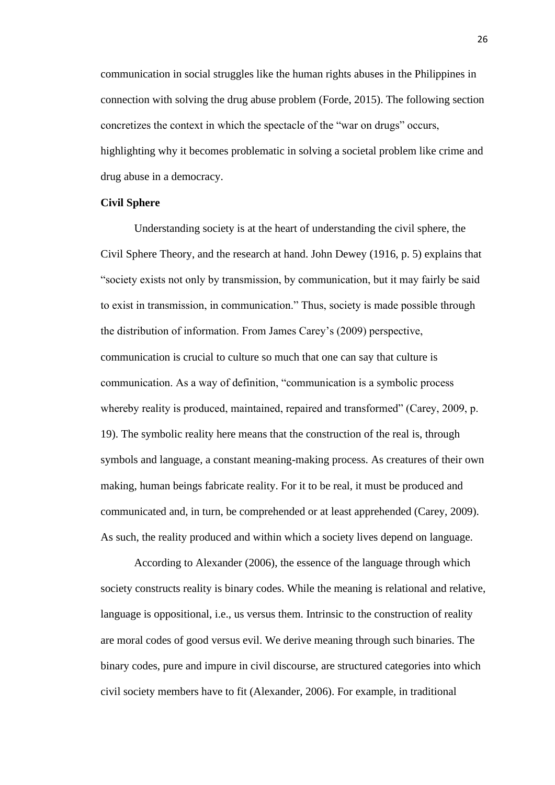communication in social struggles like the human rights abuses in the Philippines in connection with solving the drug abuse problem (Forde, 2015). The following section concretizes the context in which the spectacle of the "war on drugs" occurs, highlighting why it becomes problematic in solving a societal problem like crime and drug abuse in a democracy.

#### **Civil Sphere**

Understanding society is at the heart of understanding the civil sphere, the Civil Sphere Theory, and the research at hand. John Dewey (1916, p. 5) explains that "society exists not only by transmission, by communication, but it may fairly be said to exist in transmission, in communication." Thus, society is made possible through the distribution of information. From James Carey's (2009) perspective, communication is crucial to culture so much that one can say that culture is communication. As a way of definition, "communication is a symbolic process whereby reality is produced, maintained, repaired and transformed" (Carey, 2009, p. 19). The symbolic reality here means that the construction of the real is, through symbols and language, a constant meaning-making process. As creatures of their own making, human beings fabricate reality. For it to be real, it must be produced and communicated and, in turn, be comprehended or at least apprehended (Carey, 2009). As such, the reality produced and within which a society lives depend on language.

According to Alexander (2006), the essence of the language through which society constructs reality is binary codes. While the meaning is relational and relative, language is oppositional, i.e., us versus them. Intrinsic to the construction of reality are moral codes of good versus evil. We derive meaning through such binaries. The binary codes, pure and impure in civil discourse, are structured categories into which civil society members have to fit (Alexander, 2006). For example, in traditional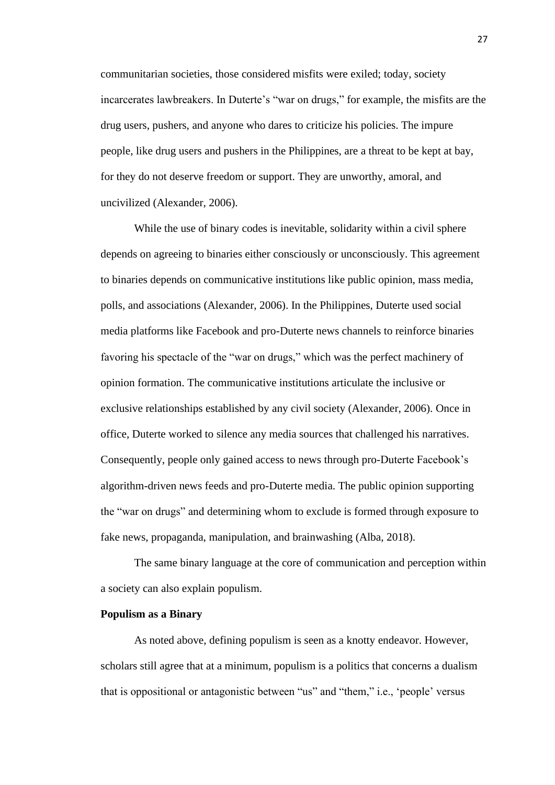communitarian societies, those considered misfits were exiled; today, society incarcerates lawbreakers. In Duterte's "war on drugs," for example, the misfits are the drug users, pushers, and anyone who dares to criticize his policies. The impure people, like drug users and pushers in the Philippines, are a threat to be kept at bay, for they do not deserve freedom or support. They are unworthy, amoral, and uncivilized (Alexander, 2006).

While the use of binary codes is inevitable, solidarity within a civil sphere depends on agreeing to binaries either consciously or unconsciously. This agreement to binaries depends on communicative institutions like public opinion, mass media, polls, and associations (Alexander, 2006). In the Philippines, Duterte used social media platforms like Facebook and pro-Duterte news channels to reinforce binaries favoring his spectacle of the "war on drugs," which was the perfect machinery of opinion formation. The communicative institutions articulate the inclusive or exclusive relationships established by any civil society (Alexander, 2006). Once in office, Duterte worked to silence any media sources that challenged his narratives. Consequently, people only gained access to news through pro-Duterte Facebook's algorithm-driven news feeds and pro-Duterte media. The public opinion supporting the "war on drugs" and determining whom to exclude is formed through exposure to fake news, propaganda, manipulation, and brainwashing (Alba, 2018).

The same binary language at the core of communication and perception within a society can also explain populism.

#### **Populism as a Binary**

As noted above, defining populism is seen as a knotty endeavor. However, scholars still agree that at a minimum, populism is a politics that concerns a dualism that is oppositional or antagonistic between "us" and "them," i.e., 'people' versus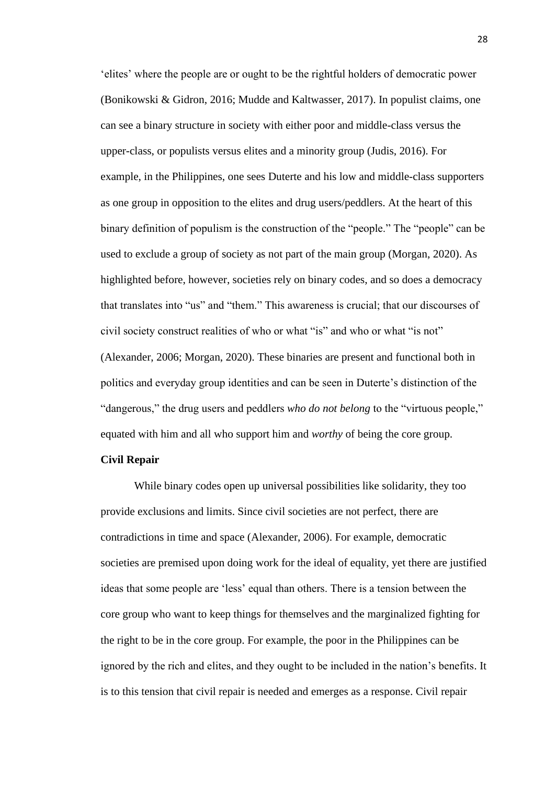'elites' where the people are or ought to be the rightful holders of democratic power (Bonikowski & Gidron, 2016; Mudde and Kaltwasser, 2017). In populist claims, one can see a binary structure in society with either poor and middle-class versus the upper-class, or populists versus elites and a minority group (Judis, 2016). For example, in the Philippines, one sees Duterte and his low and middle-class supporters as one group in opposition to the elites and drug users/peddlers. At the heart of this binary definition of populism is the construction of the "people." The "people" can be used to exclude a group of society as not part of the main group (Morgan, 2020). As highlighted before, however, societies rely on binary codes, and so does a democracy that translates into "us" and "them." This awareness is crucial; that our discourses of civil society construct realities of who or what "is" and who or what "is not" (Alexander, 2006; Morgan, 2020). These binaries are present and functional both in politics and everyday group identities and can be seen in Duterte's distinction of the "dangerous," the drug users and peddlers *who do not belong* to the "virtuous people," equated with him and all who support him and *worthy* of being the core group.

# **Civil Repair**

While binary codes open up universal possibilities like solidarity, they too provide exclusions and limits. Since civil societies are not perfect, there are contradictions in time and space (Alexander, 2006). For example, democratic societies are premised upon doing work for the ideal of equality, yet there are justified ideas that some people are 'less' equal than others. There is a tension between the core group who want to keep things for themselves and the marginalized fighting for the right to be in the core group. For example, the poor in the Philippines can be ignored by the rich and elites, and they ought to be included in the nation's benefits. It is to this tension that civil repair is needed and emerges as a response. Civil repair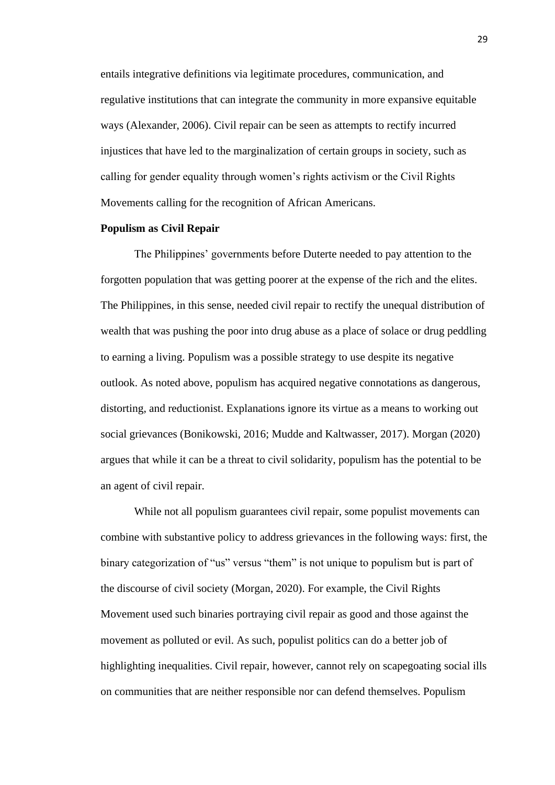entails integrative definitions via legitimate procedures, communication, and regulative institutions that can integrate the community in more expansive equitable ways (Alexander, 2006). Civil repair can be seen as attempts to rectify incurred injustices that have led to the marginalization of certain groups in society, such as calling for gender equality through women's rights activism or the Civil Rights Movements calling for the recognition of African Americans.

# **Populism as Civil Repair**

The Philippines' governments before Duterte needed to pay attention to the forgotten population that was getting poorer at the expense of the rich and the elites. The Philippines, in this sense, needed civil repair to rectify the unequal distribution of wealth that was pushing the poor into drug abuse as a place of solace or drug peddling to earning a living. Populism was a possible strategy to use despite its negative outlook. As noted above, populism has acquired negative connotations as dangerous, distorting, and reductionist. Explanations ignore its virtue as a means to working out social grievances (Bonikowski, 2016; Mudde and Kaltwasser, 2017). Morgan (2020) argues that while it can be a threat to civil solidarity, populism has the potential to be an agent of civil repair.

While not all populism guarantees civil repair, some populist movements can combine with substantive policy to address grievances in the following ways: first, the binary categorization of "us" versus "them" is not unique to populism but is part of the discourse of civil society (Morgan, 2020). For example, the Civil Rights Movement used such binaries portraying civil repair as good and those against the movement as polluted or evil. As such, populist politics can do a better job of highlighting inequalities. Civil repair, however, cannot rely on scapegoating social ills on communities that are neither responsible nor can defend themselves. Populism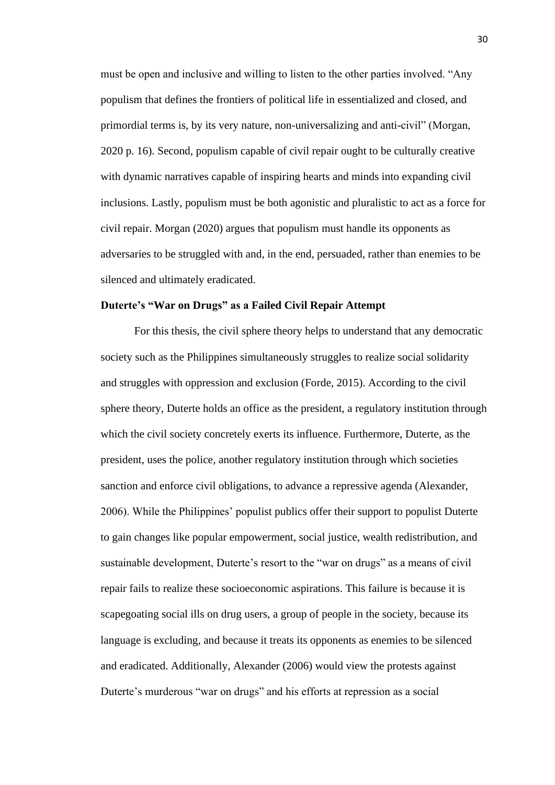must be open and inclusive and willing to listen to the other parties involved. "Any populism that defines the frontiers of political life in essentialized and closed, and primordial terms is, by its very nature, non-universalizing and anti-civil" (Morgan, 2020 p. 16). Second, populism capable of civil repair ought to be culturally creative with dynamic narratives capable of inspiring hearts and minds into expanding civil inclusions. Lastly, populism must be both agonistic and pluralistic to act as a force for civil repair. Morgan (2020) argues that populism must handle its opponents as adversaries to be struggled with and, in the end, persuaded, rather than enemies to be silenced and ultimately eradicated.

# **Duterte's "War on Drugs" as a Failed Civil Repair Attempt**

For this thesis, the civil sphere theory helps to understand that any democratic society such as the Philippines simultaneously struggles to realize social solidarity and struggles with oppression and exclusion (Forde, 2015). According to the civil sphere theory, Duterte holds an office as the president, a regulatory institution through which the civil society concretely exerts its influence. Furthermore, Duterte, as the president, uses the police, another regulatory institution through which societies sanction and enforce civil obligations, to advance a repressive agenda (Alexander, 2006). While the Philippines' populist publics offer their support to populist Duterte to gain changes like popular empowerment, social justice, wealth redistribution, and sustainable development, Duterte's resort to the "war on drugs" as a means of civil repair fails to realize these socioeconomic aspirations. This failure is because it is scapegoating social ills on drug users, a group of people in the society, because its language is excluding, and because it treats its opponents as enemies to be silenced and eradicated. Additionally, Alexander (2006) would view the protests against Duterte's murderous "war on drugs" and his efforts at repression as a social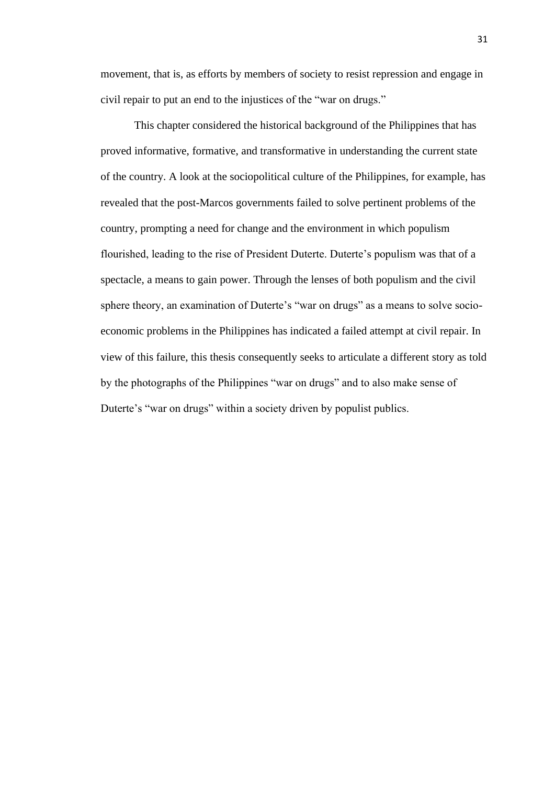movement, that is, as efforts by members of society to resist repression and engage in civil repair to put an end to the injustices of the "war on drugs."

This chapter considered the historical background of the Philippines that has proved informative, formative, and transformative in understanding the current state of the country. A look at the sociopolitical culture of the Philippines, for example, has revealed that the post-Marcos governments failed to solve pertinent problems of the country, prompting a need for change and the environment in which populism flourished, leading to the rise of President Duterte. Duterte's populism was that of a spectacle, a means to gain power. Through the lenses of both populism and the civil sphere theory, an examination of Duterte's "war on drugs" as a means to solve socioeconomic problems in the Philippines has indicated a failed attempt at civil repair. In view of this failure, this thesis consequently seeks to articulate a different story as told by the photographs of the Philippines "war on drugs" and to also make sense of Duterte's "war on drugs" within a society driven by populist publics.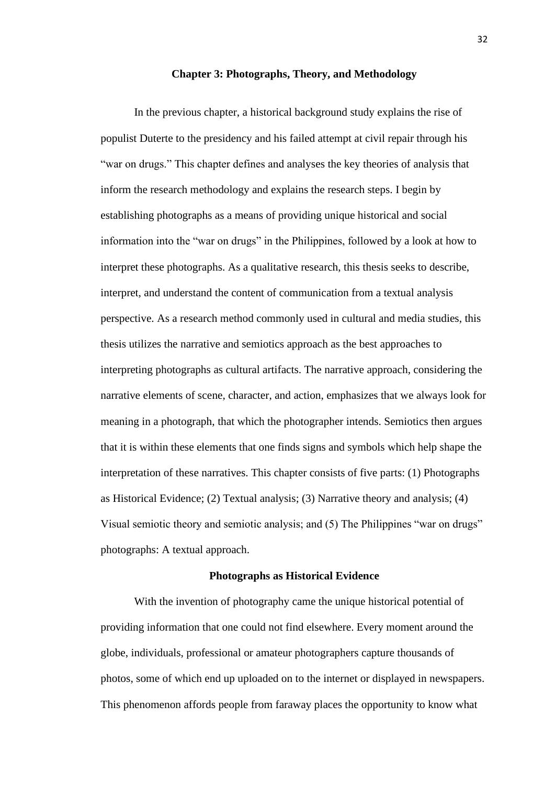#### **Chapter 3: Photographs, Theory, and Methodology**

In the previous chapter, a historical background study explains the rise of populist Duterte to the presidency and his failed attempt at civil repair through his "war on drugs." This chapter defines and analyses the key theories of analysis that inform the research methodology and explains the research steps. I begin by establishing photographs as a means of providing unique historical and social information into the "war on drugs" in the Philippines, followed by a look at how to interpret these photographs. As a qualitative research, this thesis seeks to describe, interpret, and understand the content of communication from a textual analysis perspective. As a research method commonly used in cultural and media studies, this thesis utilizes the narrative and semiotics approach as the best approaches to interpreting photographs as cultural artifacts. The narrative approach, considering the narrative elements of scene, character, and action, emphasizes that we always look for meaning in a photograph, that which the photographer intends. Semiotics then argues that it is within these elements that one finds signs and symbols which help shape the interpretation of these narratives. This chapter consists of five parts: (1) Photographs as Historical Evidence; (2) Textual analysis; (3) Narrative theory and analysis; (4) Visual semiotic theory and semiotic analysis; and (5) The Philippines "war on drugs" photographs: A textual approach.

## **Photographs as Historical Evidence**

With the invention of photography came the unique historical potential of providing information that one could not find elsewhere. Every moment around the globe, individuals, professional or amateur photographers capture thousands of photos, some of which end up uploaded on to the internet or displayed in newspapers. This phenomenon affords people from faraway places the opportunity to know what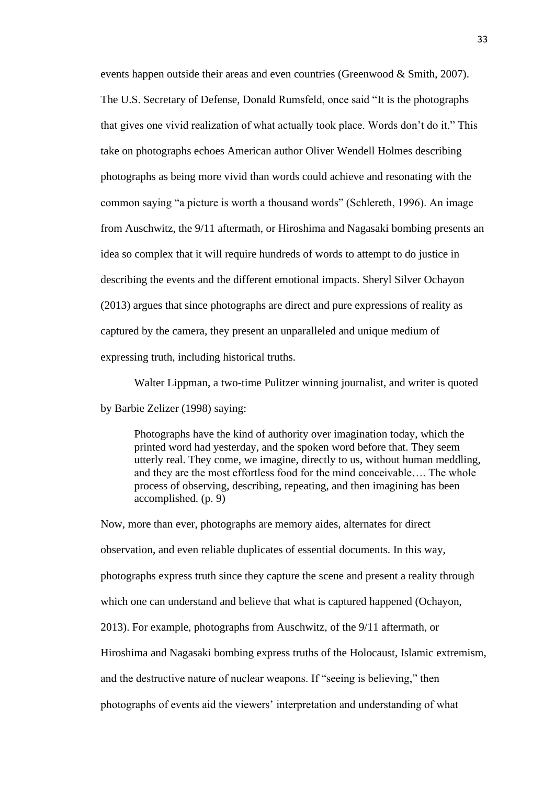events happen outside their areas and even countries (Greenwood & Smith, 2007). The U.S. Secretary of Defense, Donald Rumsfeld, once said "It is the photographs that gives one vivid realization of what actually took place. Words don't do it." This take on photographs echoes American author Oliver Wendell Holmes describing photographs as being more vivid than words could achieve and resonating with the common saying "a picture is worth a thousand words" (Schlereth, 1996). An image from Auschwitz, the 9/11 aftermath, or Hiroshima and Nagasaki bombing presents an idea so complex that it will require hundreds of words to attempt to do justice in describing the events and the different emotional impacts. Sheryl Silver Ochayon (2013) argues that since photographs are direct and pure expressions of reality as captured by the camera, they present an unparalleled and unique medium of expressing truth, including historical truths.

Walter Lippman, a two-time Pulitzer winning journalist, and writer is quoted

by Barbie Zelizer (1998) saying:

Photographs have the kind of authority over imagination today, which the printed word had yesterday, and the spoken word before that. They seem utterly real. They come, we imagine, directly to us, without human meddling, and they are the most effortless food for the mind conceivable…. The whole process of observing, describing, repeating, and then imagining has been accomplished. (p. 9)

Now, more than ever, photographs are memory aides, alternates for direct observation, and even reliable duplicates of essential documents. In this way, photographs express truth since they capture the scene and present a reality through which one can understand and believe that what is captured happened (Ochayon, 2013). For example, photographs from Auschwitz, of the 9/11 aftermath, or Hiroshima and Nagasaki bombing express truths of the Holocaust, Islamic extremism, and the destructive nature of nuclear weapons. If "seeing is believing," then photographs of events aid the viewers' interpretation and understanding of what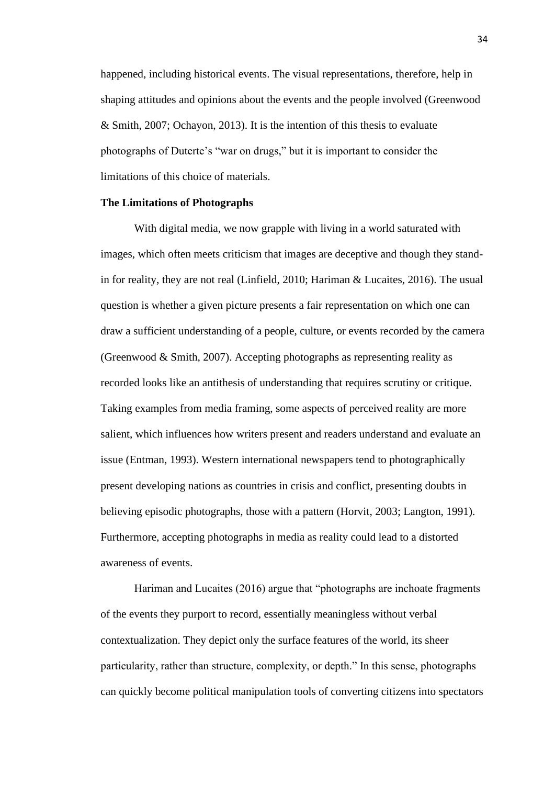happened, including historical events. The visual representations, therefore, help in shaping attitudes and opinions about the events and the people involved (Greenwood & Smith, 2007; Ochayon, 2013). It is the intention of this thesis to evaluate photographs of Duterte's "war on drugs," but it is important to consider the limitations of this choice of materials.

### **The Limitations of Photographs**

With digital media, we now grapple with living in a world saturated with images, which often meets criticism that images are deceptive and though they standin for reality, they are not real (Linfield, 2010; Hariman & Lucaites, 2016). The usual question is whether a given picture presents a fair representation on which one can draw a sufficient understanding of a people, culture, or events recorded by the camera (Greenwood & Smith, 2007). Accepting photographs as representing reality as recorded looks like an antithesis of understanding that requires scrutiny or critique. Taking examples from media framing, some aspects of perceived reality are more salient, which influences how writers present and readers understand and evaluate an issue (Entman, 1993). Western international newspapers tend to photographically present developing nations as countries in crisis and conflict, presenting doubts in believing episodic photographs, those with a pattern (Horvit, 2003; Langton, 1991). Furthermore, accepting photographs in media as reality could lead to a distorted awareness of events.

Hariman and Lucaites (2016) argue that "photographs are inchoate fragments of the events they purport to record, essentially meaningless without verbal contextualization. They depict only the surface features of the world, its sheer particularity, rather than structure, complexity, or depth." In this sense, photographs can quickly become political manipulation tools of converting citizens into spectators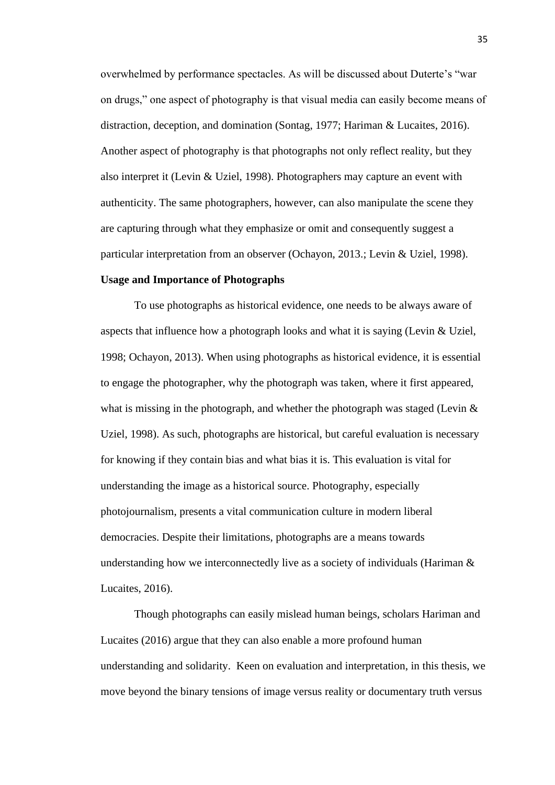overwhelmed by performance spectacles. As will be discussed about Duterte's "war on drugs," one aspect of photography is that visual media can easily become means of distraction, deception, and domination (Sontag, 1977; Hariman & Lucaites, 2016). Another aspect of photography is that photographs not only reflect reality, but they also interpret it (Levin & Uziel, 1998). Photographers may capture an event with authenticity. The same photographers, however, can also manipulate the scene they are capturing through what they emphasize or omit and consequently suggest a particular interpretation from an observer (Ochayon, 2013.; Levin & Uziel, 1998).

## **Usage and Importance of Photographs**

To use photographs as historical evidence, one needs to be always aware of aspects that influence how a photograph looks and what it is saying (Levin & Uziel, 1998; Ochayon, 2013). When using photographs as historical evidence, it is essential to engage the photographer, why the photograph was taken, where it first appeared, what is missing in the photograph, and whether the photograph was staged (Levin  $\&$ Uziel, 1998). As such, photographs are historical, but careful evaluation is necessary for knowing if they contain bias and what bias it is. This evaluation is vital for understanding the image as a historical source. Photography, especially photojournalism, presents a vital communication culture in modern liberal democracies. Despite their limitations, photographs are a means towards understanding how we interconnectedly live as a society of individuals (Hariman  $\&$ Lucaites, 2016).

Though photographs can easily mislead human beings, scholars Hariman and Lucaites (2016) argue that they can also enable a more profound human understanding and solidarity. Keen on evaluation and interpretation, in this thesis, we move beyond the binary tensions of image versus reality or documentary truth versus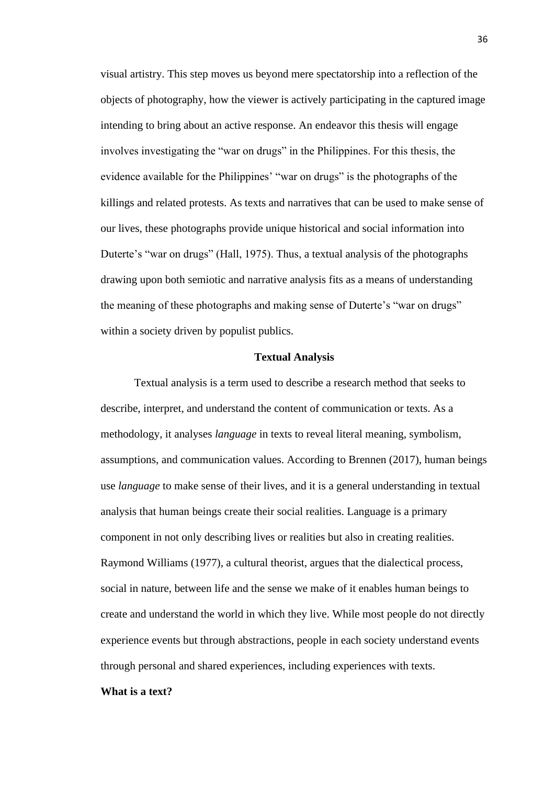visual artistry. This step moves us beyond mere spectatorship into a reflection of the objects of photography, how the viewer is actively participating in the captured image intending to bring about an active response. An endeavor this thesis will engage involves investigating the "war on drugs" in the Philippines. For this thesis, the evidence available for the Philippines' "war on drugs" is the photographs of the killings and related protests. As texts and narratives that can be used to make sense of our lives, these photographs provide unique historical and social information into Duterte's "war on drugs" (Hall, 1975). Thus, a textual analysis of the photographs drawing upon both semiotic and narrative analysis fits as a means of understanding the meaning of these photographs and making sense of Duterte's "war on drugs" within a society driven by populist publics.

### **Textual Analysis**

Textual analysis is a term used to describe a research method that seeks to describe, interpret, and understand the content of communication or texts. As a methodology, it analyses *language* in texts to reveal literal meaning, symbolism, assumptions, and communication values. According to Brennen (2017), human beings use *language* to make sense of their lives, and it is a general understanding in textual analysis that human beings create their social realities. Language is a primary component in not only describing lives or realities but also in creating realities. Raymond Williams (1977), a cultural theorist, argues that the dialectical process, social in nature, between life and the sense we make of it enables human beings to create and understand the world in which they live. While most people do not directly experience events but through abstractions, people in each society understand events through personal and shared experiences, including experiences with texts.

# **What is a text?**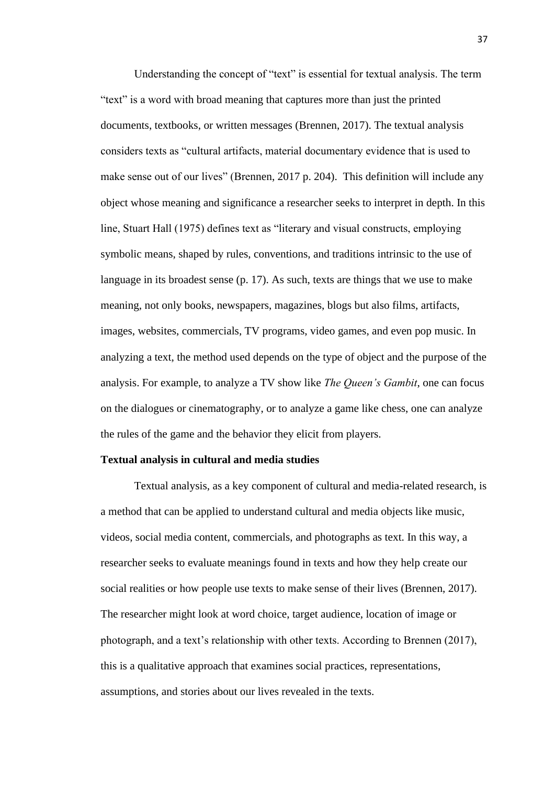Understanding the concept of "text" is essential for textual analysis. The term "text" is a word with broad meaning that captures more than just the printed documents, textbooks, or written messages (Brennen, 2017). The textual analysis considers texts as "cultural artifacts, material documentary evidence that is used to make sense out of our lives" (Brennen, 2017 p. 204). This definition will include any object whose meaning and significance a researcher seeks to interpret in depth. In this line, Stuart Hall (1975) defines text as "literary and visual constructs, employing symbolic means, shaped by rules, conventions, and traditions intrinsic to the use of language in its broadest sense (p. 17). As such, texts are things that we use to make meaning, not only books, newspapers, magazines, blogs but also films, artifacts, images, websites, commercials, TV programs, video games, and even pop music. In analyzing a text, the method used depends on the type of object and the purpose of the analysis. For example, to analyze a TV show like *The Queen's Gambit*, one can focus on the dialogues or cinematography, or to analyze a game like chess, one can analyze the rules of the game and the behavior they elicit from players.

#### **Textual analysis in cultural and media studies**

Textual analysis, as a key component of cultural and media-related research, is a method that can be applied to understand cultural and media objects like music, videos, social media content, commercials, and photographs as text. In this way, a researcher seeks to evaluate meanings found in texts and how they help create our social realities or how people use texts to make sense of their lives (Brennen, 2017). The researcher might look at word choice, target audience, location of image or photograph, and a text's relationship with other texts. According to Brennen (2017), this is a qualitative approach that examines social practices, representations, assumptions, and stories about our lives revealed in the texts.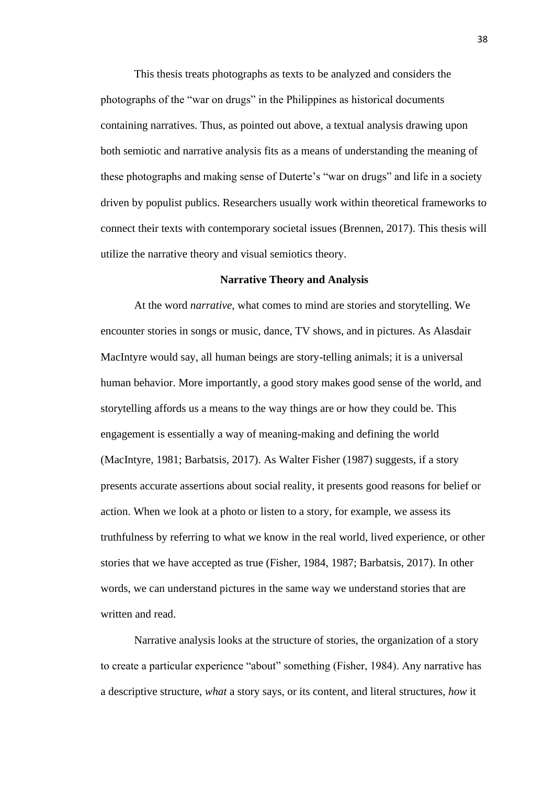This thesis treats photographs as texts to be analyzed and considers the photographs of the "war on drugs" in the Philippines as historical documents containing narratives. Thus, as pointed out above, a textual analysis drawing upon both semiotic and narrative analysis fits as a means of understanding the meaning of these photographs and making sense of Duterte's "war on drugs" and life in a society driven by populist publics. Researchers usually work within theoretical frameworks to connect their texts with contemporary societal issues (Brennen, 2017). This thesis will utilize the narrative theory and visual semiotics theory.

## **Narrative Theory and Analysis**

At the word *narrative,* what comes to mind are stories and storytelling. We encounter stories in songs or music, dance, TV shows, and in pictures. As Alasdair MacIntyre would say, all human beings are story-telling animals; it is a universal human behavior. More importantly, a good story makes good sense of the world, and storytelling affords us a means to the way things are or how they could be. This engagement is essentially a way of meaning-making and defining the world (MacIntyre, 1981; Barbatsis, 2017). As Walter Fisher (1987) suggests, if a story presents accurate assertions about social reality, it presents good reasons for belief or action. When we look at a photo or listen to a story, for example, we assess its truthfulness by referring to what we know in the real world, lived experience, or other stories that we have accepted as true (Fisher, 1984, 1987; Barbatsis, 2017). In other words, we can understand pictures in the same way we understand stories that are written and read.

Narrative analysis looks at the structure of stories, the organization of a story to create a particular experience "about" something (Fisher, 1984). Any narrative has a descriptive structure, *what* a story says, or its content, and literal structures, *how* it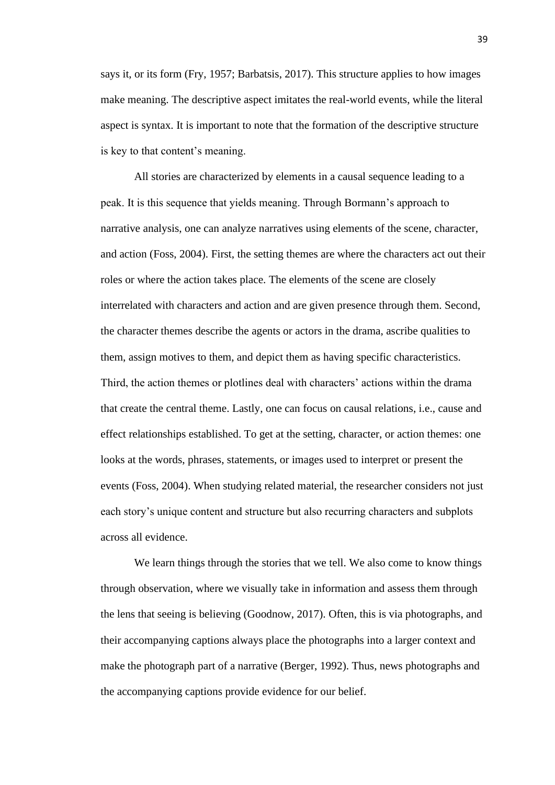says it, or its form (Fry, 1957; Barbatsis, 2017). This structure applies to how images make meaning. The descriptive aspect imitates the real-world events, while the literal aspect is syntax. It is important to note that the formation of the descriptive structure is key to that content's meaning.

All stories are characterized by elements in a causal sequence leading to a peak. It is this sequence that yields meaning. Through Bormann's approach to narrative analysis, one can analyze narratives using elements of the scene, character, and action (Foss, 2004). First, the setting themes are where the characters act out their roles or where the action takes place. The elements of the scene are closely interrelated with characters and action and are given presence through them. Second, the character themes describe the agents or actors in the drama, ascribe qualities to them, assign motives to them, and depict them as having specific characteristics. Third, the action themes or plotlines deal with characters' actions within the drama that create the central theme. Lastly, one can focus on causal relations, i.e., cause and effect relationships established. To get at the setting, character, or action themes: one looks at the words, phrases, statements, or images used to interpret or present the events (Foss, 2004). When studying related material, the researcher considers not just each story's unique content and structure but also recurring characters and subplots across all evidence.

We learn things through the stories that we tell. We also come to know things through observation, where we visually take in information and assess them through the lens that seeing is believing (Goodnow, 2017). Often, this is via photographs, and their accompanying captions always place the photographs into a larger context and make the photograph part of a narrative (Berger, 1992). Thus, news photographs and the accompanying captions provide evidence for our belief.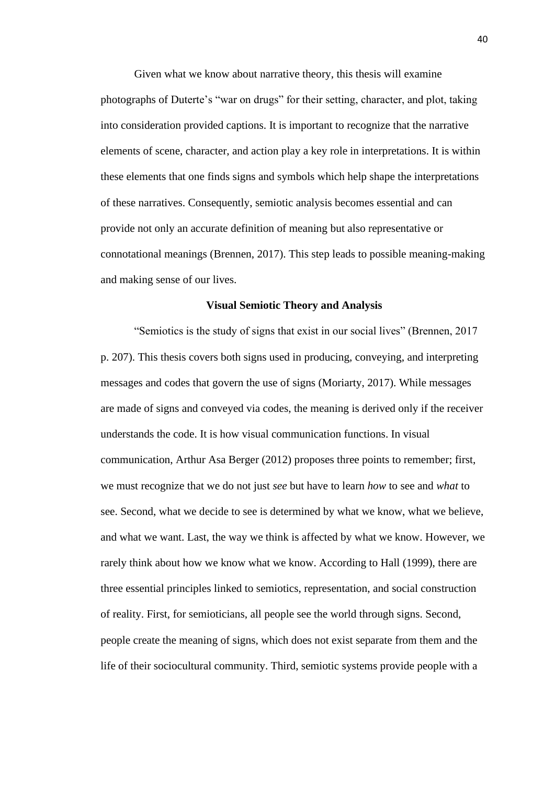Given what we know about narrative theory, this thesis will examine photographs of Duterte's "war on drugs" for their setting, character, and plot, taking into consideration provided captions. It is important to recognize that the narrative elements of scene, character, and action play a key role in interpretations. It is within these elements that one finds signs and symbols which help shape the interpretations of these narratives. Consequently, semiotic analysis becomes essential and can provide not only an accurate definition of meaning but also representative or connotational meanings (Brennen, 2017). This step leads to possible meaning-making and making sense of our lives.

#### **Visual Semiotic Theory and Analysis**

"Semiotics is the study of signs that exist in our social lives" (Brennen, 2017 p. 207). This thesis covers both signs used in producing, conveying, and interpreting messages and codes that govern the use of signs (Moriarty, 2017). While messages are made of signs and conveyed via codes, the meaning is derived only if the receiver understands the code. It is how visual communication functions. In visual communication, Arthur Asa Berger (2012) proposes three points to remember; first, we must recognize that we do not just *see* but have to learn *how* to see and *what* to see. Second, what we decide to see is determined by what we know, what we believe, and what we want. Last, the way we think is affected by what we know. However, we rarely think about how we know what we know. According to Hall (1999), there are three essential principles linked to semiotics, representation, and social construction of reality. First, for semioticians, all people see the world through signs. Second, people create the meaning of signs, which does not exist separate from them and the life of their sociocultural community. Third, semiotic systems provide people with a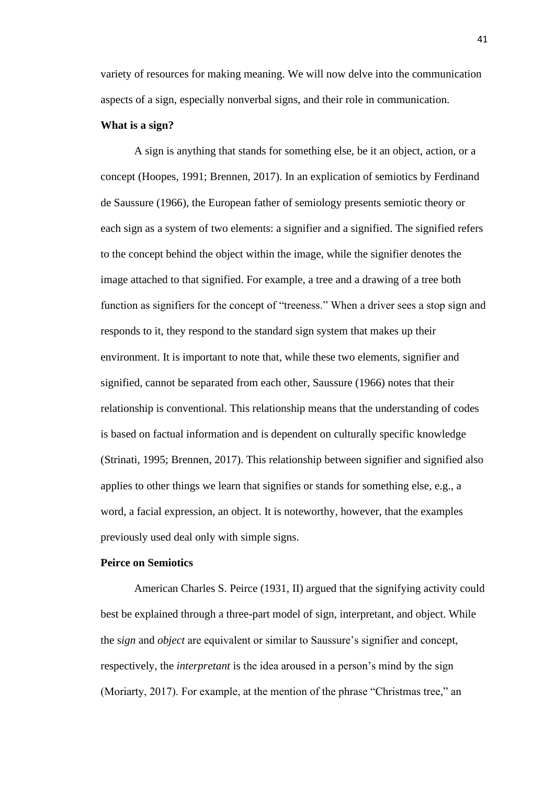variety of resources for making meaning. We will now delve into the communication aspects of a sign, especially nonverbal signs, and their role in communication.

### **What is a sign?**

A sign is anything that stands for something else, be it an object, action, or a concept (Hoopes, 1991; Brennen, 2017). In an explication of semiotics by Ferdinand de Saussure (1966), the European father of semiology presents semiotic theory or each sign as a system of two elements: a signifier and a signified. The signified refers to the concept behind the object within the image, while the signifier denotes the image attached to that signified. For example, a tree and a drawing of a tree both function as signifiers for the concept of "treeness." When a driver sees a stop sign and responds to it, they respond to the standard sign system that makes up their environment. It is important to note that, while these two elements, signifier and signified, cannot be separated from each other, Saussure (1966) notes that their relationship is conventional. This relationship means that the understanding of codes is based on factual information and is dependent on culturally specific knowledge (Strinati, 1995; Brennen, 2017). This relationship between signifier and signified also applies to other things we learn that signifies or stands for something else, e.g., a word, a facial expression, an object. It is noteworthy, however, that the examples previously used deal only with simple signs.

### **Peirce on Semiotics**

American Charles S. Peirce (1931, II) argued that the signifying activity could best be explained through a three-part model of sign, interpretant, and object. While the s*ign* and *object* are equivalent or similar to Saussure's signifier and concept, respectively, the *interpretant* is the idea aroused in a person's mind by the sign (Moriarty, 2017). For example, at the mention of the phrase "Christmas tree," an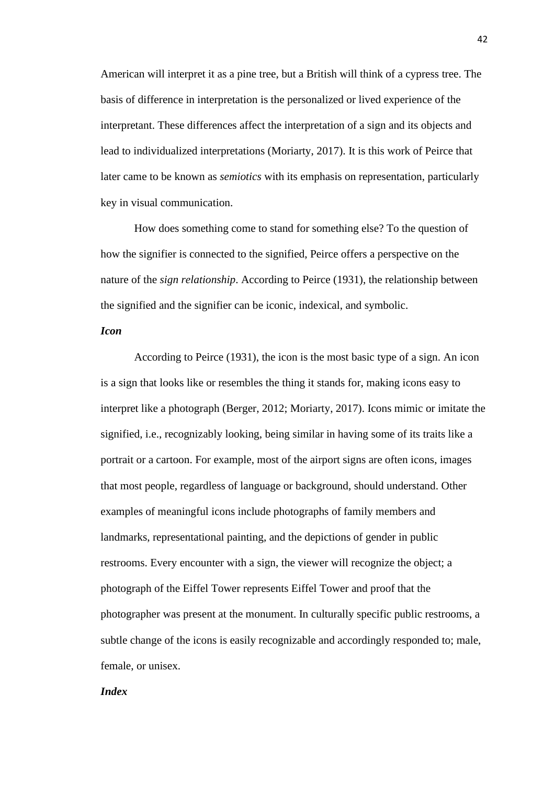American will interpret it as a pine tree, but a British will think of a cypress tree. The basis of difference in interpretation is the personalized or lived experience of the interpretant. These differences affect the interpretation of a sign and its objects and lead to individualized interpretations (Moriarty, 2017). It is this work of Peirce that later came to be known as *semiotics* with its emphasis on representation, particularly key in visual communication.

How does something come to stand for something else? To the question of how the signifier is connected to the signified, Peirce offers a perspective on the nature of the *sign relationship*. According to Peirce (1931), the relationship between the signified and the signifier can be iconic, indexical, and symbolic.

## *Icon*

According to Peirce (1931), the icon is the most basic type of a sign. An icon is a sign that looks like or resembles the thing it stands for, making icons easy to interpret like a photograph (Berger, 2012; Moriarty, 2017). Icons mimic or imitate the signified, i.e., recognizably looking, being similar in having some of its traits like a portrait or a cartoon. For example, most of the airport signs are often icons, images that most people, regardless of language or background, should understand. Other examples of meaningful icons include photographs of family members and landmarks, representational painting, and the depictions of gender in public restrooms. Every encounter with a sign, the viewer will recognize the object; a photograph of the Eiffel Tower represents Eiffel Tower and proof that the photographer was present at the monument. In culturally specific public restrooms, a subtle change of the icons is easily recognizable and accordingly responded to; male, female, or unisex.

# *Index*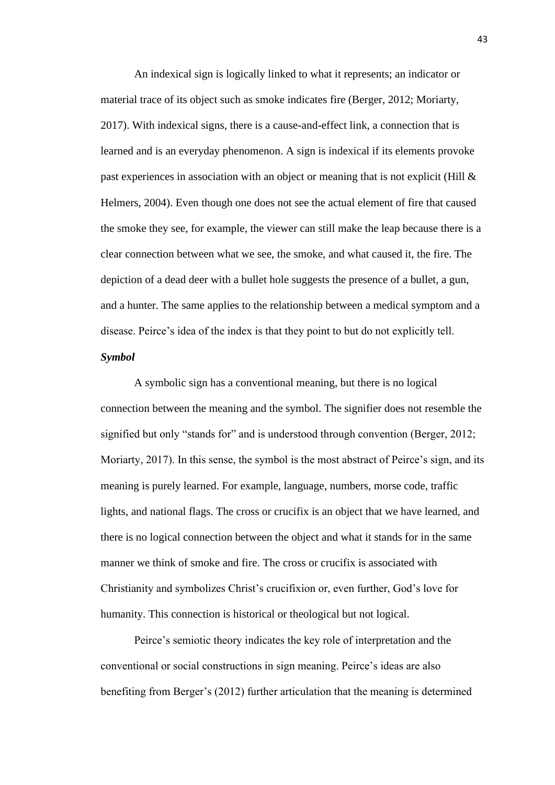An indexical sign is logically linked to what it represents; an indicator or material trace of its object such as smoke indicates fire (Berger, 2012; Moriarty, 2017). With indexical signs, there is a cause-and-effect link, a connection that is learned and is an everyday phenomenon. A sign is indexical if its elements provoke past experiences in association with an object or meaning that is not explicit (Hill & Helmers, 2004). Even though one does not see the actual element of fire that caused the smoke they see, for example, the viewer can still make the leap because there is a clear connection between what we see, the smoke, and what caused it, the fire. The depiction of a dead deer with a bullet hole suggests the presence of a bullet, a gun, and a hunter. The same applies to the relationship between a medical symptom and a disease. Peirce's idea of the index is that they point to but do not explicitly tell.

# *Symbol*

A symbolic sign has a conventional meaning, but there is no logical connection between the meaning and the symbol. The signifier does not resemble the signified but only "stands for" and is understood through convention (Berger, 2012; Moriarty, 2017). In this sense, the symbol is the most abstract of Peirce's sign, and its meaning is purely learned. For example, language, numbers, morse code, traffic lights, and national flags. The cross or crucifix is an object that we have learned, and there is no logical connection between the object and what it stands for in the same manner we think of smoke and fire. The cross or crucifix is associated with Christianity and symbolizes Christ's crucifixion or, even further, God's love for humanity. This connection is historical or theological but not logical.

Peirce's semiotic theory indicates the key role of interpretation and the conventional or social constructions in sign meaning. Peirce's ideas are also benefiting from Berger's (2012) further articulation that the meaning is determined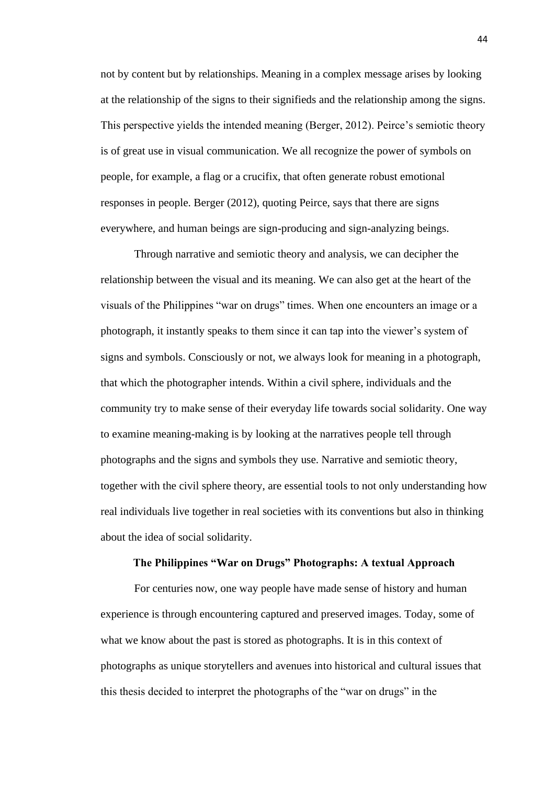not by content but by relationships. Meaning in a complex message arises by looking at the relationship of the signs to their signifieds and the relationship among the signs. This perspective yields the intended meaning (Berger, 2012). Peirce's semiotic theory is of great use in visual communication. We all recognize the power of symbols on people, for example, a flag or a crucifix, that often generate robust emotional responses in people. Berger (2012), quoting Peirce, says that there are signs everywhere, and human beings are sign-producing and sign-analyzing beings.

Through narrative and semiotic theory and analysis, we can decipher the relationship between the visual and its meaning. We can also get at the heart of the visuals of the Philippines "war on drugs" times. When one encounters an image or a photograph, it instantly speaks to them since it can tap into the viewer's system of signs and symbols. Consciously or not, we always look for meaning in a photograph, that which the photographer intends. Within a civil sphere, individuals and the community try to make sense of their everyday life towards social solidarity. One way to examine meaning-making is by looking at the narratives people tell through photographs and the signs and symbols they use. Narrative and semiotic theory, together with the civil sphere theory, are essential tools to not only understanding how real individuals live together in real societies with its conventions but also in thinking about the idea of social solidarity.

#### **The Philippines "War on Drugs" Photographs: A textual Approach**

For centuries now, one way people have made sense of history and human experience is through encountering captured and preserved images. Today, some of what we know about the past is stored as photographs. It is in this context of photographs as unique storytellers and avenues into historical and cultural issues that this thesis decided to interpret the photographs of the "war on drugs" in the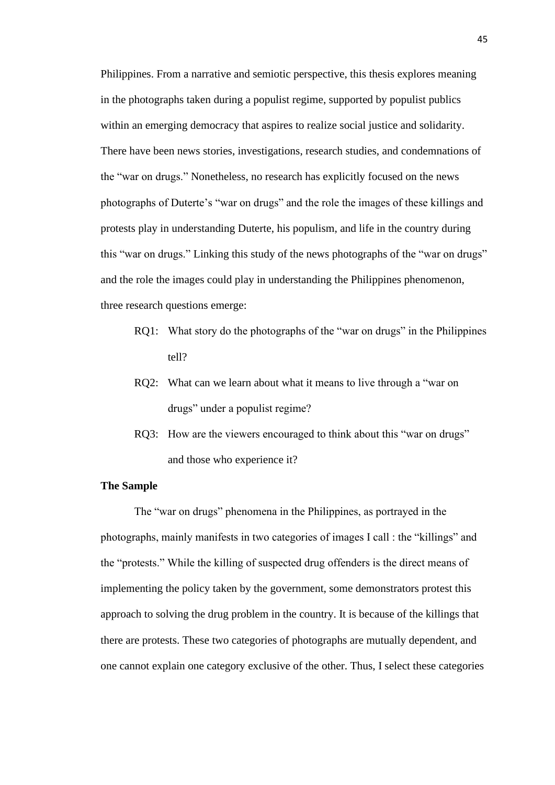Philippines. From a narrative and semiotic perspective, this thesis explores meaning in the photographs taken during a populist regime, supported by populist publics within an emerging democracy that aspires to realize social justice and solidarity. There have been news stories, investigations, research studies, and condemnations of the "war on drugs." Nonetheless, no research has explicitly focused on the news photographs of Duterte's "war on drugs" and the role the images of these killings and protests play in understanding Duterte, his populism, and life in the country during this "war on drugs." Linking this study of the news photographs of the "war on drugs" and the role the images could play in understanding the Philippines phenomenon, three research questions emerge:

- RQ1: What story do the photographs of the "war on drugs" in the Philippines tell?
- RQ2: What can we learn about what it means to live through a "war on drugs" under a populist regime?
- RO3: How are the viewers encouraged to think about this "war on drugs" and those who experience it?

### **The Sample**

The "war on drugs" phenomena in the Philippines, as portrayed in the photographs, mainly manifests in two categories of images I call : the "killings" and the "protests." While the killing of suspected drug offenders is the direct means of implementing the policy taken by the government, some demonstrators protest this approach to solving the drug problem in the country. It is because of the killings that there are protests. These two categories of photographs are mutually dependent, and one cannot explain one category exclusive of the other. Thus, I select these categories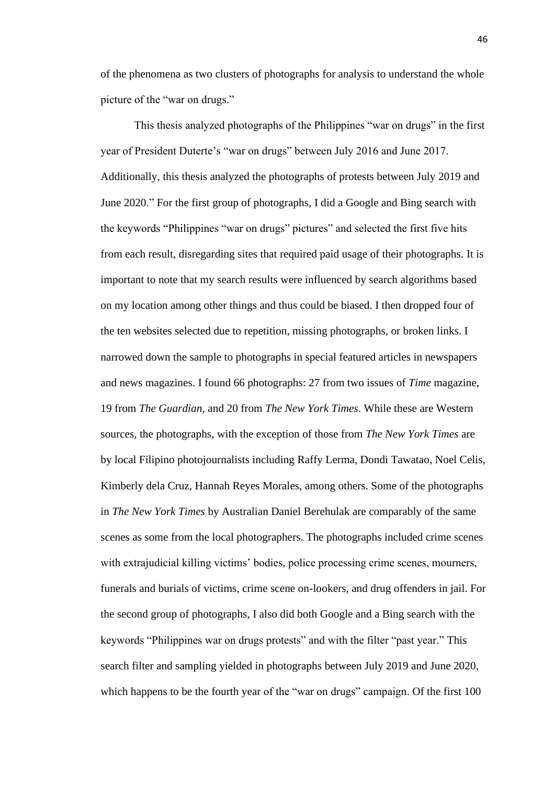of the phenomena as two clusters of photographs for analysis to understand the whole picture of the "war on drugs."

This thesis analyzed photographs of the Philippines "war on drugs" in the first year of President Duterte's "war on drugs" between July 2016 and June 2017. Additionally, this thesis analyzed the photographs of protests between July 2019 and June 2020." For the first group of photographs, I did a Google and Bing search with the keywords "Philippines "war on drugs" pictures" and selected the first five hits from each result, disregarding sites that required paid usage of their photographs. It is important to note that my search results were influenced by search algorithms based on my location among other things and thus could be biased. I then dropped four of the ten websites selected due to repetition, missing photographs, or broken links. I narrowed down the sample to photographs in special featured articles in newspapers and news magazines. I found 66 photographs: 27 from two issues of *Time* magazine, 19 from *The Guardian*, and 20 from *The New York Times*. While these are Western sources, the photographs, with the exception of those from *The New York Times* are by local Filipino photojournalists including Raffy Lerma, Dondi Tawatao, Noel Celis, Kimberly dela Cruz, Hannah Reyes Morales, among others. Some of the photographs in *The New York Times* by Australian Daniel Berehulak are comparably of the same scenes as some from the local photographers. The photographs included crime scenes with extrajudicial killing victims' bodies, police processing crime scenes, mourners, funerals and burials of victims, crime scene on-lookers, and drug offenders in jail. For the second group of photographs, I also did both Google and a Bing search with the keywords "Philippines war on drugs protests" and with the filter "past year." This search filter and sampling yielded in photographs between July 2019 and June 2020, which happens to be the fourth year of the "war on drugs" campaign. Of the first 100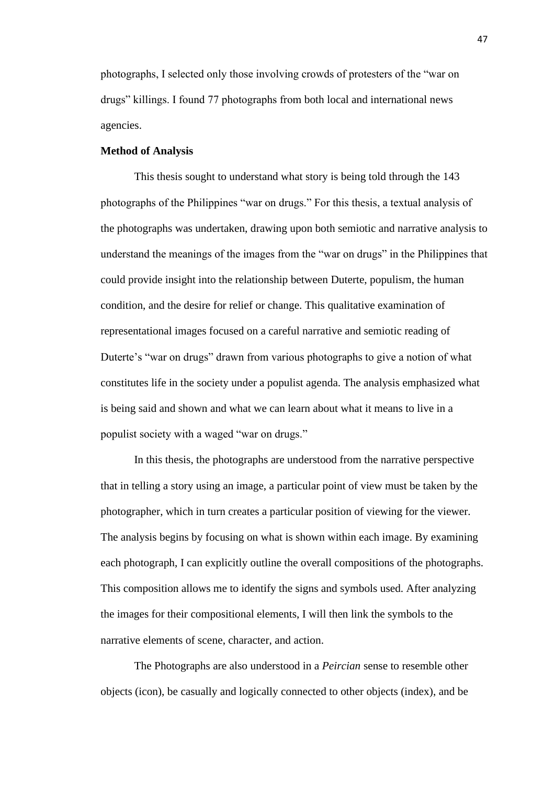photographs, I selected only those involving crowds of protesters of the "war on drugs" killings. I found 77 photographs from both local and international news agencies.

## **Method of Analysis**

This thesis sought to understand what story is being told through the 143 photographs of the Philippines "war on drugs." For this thesis, a textual analysis of the photographs was undertaken, drawing upon both semiotic and narrative analysis to understand the meanings of the images from the "war on drugs" in the Philippines that could provide insight into the relationship between Duterte, populism, the human condition, and the desire for relief or change. This qualitative examination of representational images focused on a careful narrative and semiotic reading of Duterte's "war on drugs" drawn from various photographs to give a notion of what constitutes life in the society under a populist agenda. The analysis emphasized what is being said and shown and what we can learn about what it means to live in a populist society with a waged "war on drugs."

In this thesis, the photographs are understood from the narrative perspective that in telling a story using an image, a particular point of view must be taken by the photographer, which in turn creates a particular position of viewing for the viewer. The analysis begins by focusing on what is shown within each image. By examining each photograph, I can explicitly outline the overall compositions of the photographs. This composition allows me to identify the signs and symbols used. After analyzing the images for their compositional elements, I will then link the symbols to the narrative elements of scene, character, and action.

The Photographs are also understood in a *Peircian* sense to resemble other objects (icon), be casually and logically connected to other objects (index), and be

47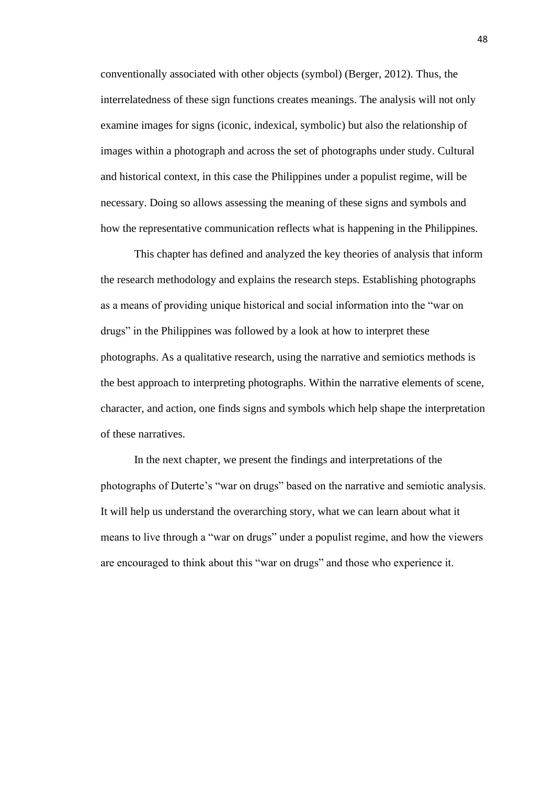conventionally associated with other objects (symbol) (Berger, 2012). Thus, the interrelatedness of these sign functions creates meanings. The analysis will not only examine images for signs (iconic, indexical, symbolic) but also the relationship of images within a photograph and across the set of photographs under study. Cultural and historical context, in this case the Philippines under a populist regime, will be necessary. Doing so allows assessing the meaning of these signs and symbols and how the representative communication reflects what is happening in the Philippines.

This chapter has defined and analyzed the key theories of analysis that inform the research methodology and explains the research steps. Establishing photographs as a means of providing unique historical and social information into the "war on drugs" in the Philippines was followed by a look at how to interpret these photographs. As a qualitative research, using the narrative and semiotics methods is the best approach to interpreting photographs. Within the narrative elements of scene, character, and action, one finds signs and symbols which help shape the interpretation of these narratives.

In the next chapter, we present the findings and interpretations of the photographs of Duterte's "war on drugs" based on the narrative and semiotic analysis. It will help us understand the overarching story, what we can learn about what it means to live through a "war on drugs" under a populist regime, and how the viewers are encouraged to think about this "war on drugs" and those who experience it.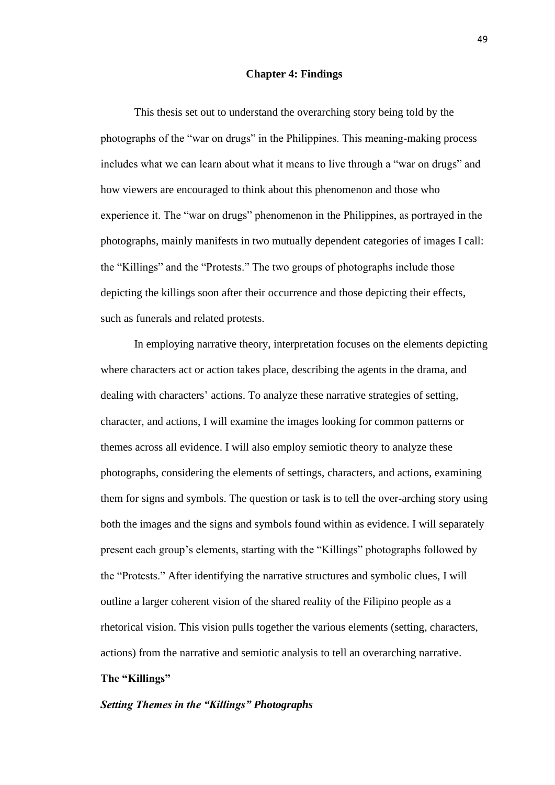## **Chapter 4: Findings**

This thesis set out to understand the overarching story being told by the photographs of the "war on drugs" in the Philippines. This meaning-making process includes what we can learn about what it means to live through a "war on drugs" and how viewers are encouraged to think about this phenomenon and those who experience it. The "war on drugs" phenomenon in the Philippines, as portrayed in the photographs, mainly manifests in two mutually dependent categories of images I call: the "Killings" and the "Protests." The two groups of photographs include those depicting the killings soon after their occurrence and those depicting their effects, such as funerals and related protests.

In employing narrative theory, interpretation focuses on the elements depicting where characters act or action takes place, describing the agents in the drama, and dealing with characters' actions. To analyze these narrative strategies of setting, character, and actions, I will examine the images looking for common patterns or themes across all evidence. I will also employ semiotic theory to analyze these photographs, considering the elements of settings, characters, and actions, examining them for signs and symbols. The question or task is to tell the over-arching story using both the images and the signs and symbols found within as evidence. I will separately present each group's elements, starting with the "Killings" photographs followed by the "Protests." After identifying the narrative structures and symbolic clues, I will outline a larger coherent vision of the shared reality of the Filipino people as a rhetorical vision. This vision pulls together the various elements (setting, characters, actions) from the narrative and semiotic analysis to tell an overarching narrative.

## **The "Killings"**

## *Setting Themes in the "Killings" Photographs*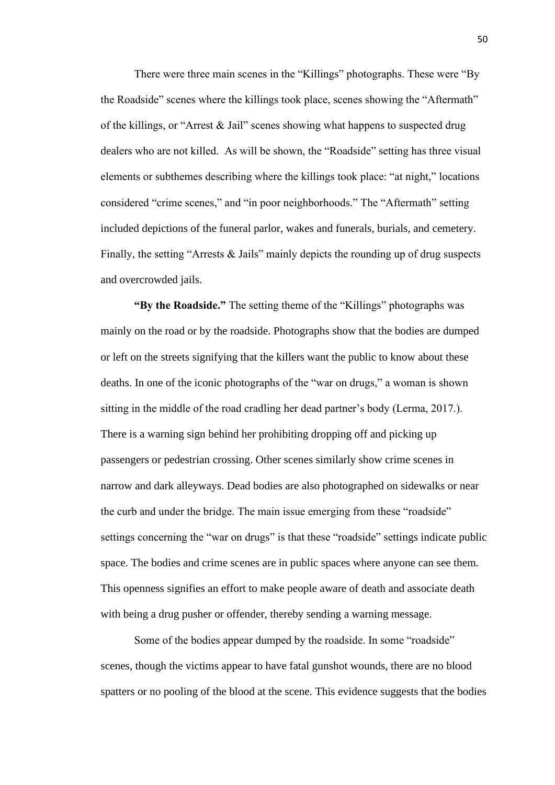There were three main scenes in the "Killings" photographs. These were "By the Roadside" scenes where the killings took place, scenes showing the "Aftermath" of the killings, or "Arrest & Jail" scenes showing what happens to suspected drug dealers who are not killed. As will be shown, the "Roadside" setting has three visual elements or subthemes describing where the killings took place: "at night," locations considered "crime scenes," and "in poor neighborhoods." The "Aftermath" setting included depictions of the funeral parlor, wakes and funerals, burials, and cemetery. Finally, the setting "Arrests & Jails" mainly depicts the rounding up of drug suspects and overcrowded jails.

**"By the Roadside."** The setting theme of the "Killings" photographs was mainly on the road or by the roadside. Photographs show that the bodies are dumped or left on the streets signifying that the killers want the public to know about these deaths. In one of the iconic photographs of the "war on drugs," a woman is shown sitting in the middle of the road cradling her dead partner's body (Lerma, 2017.). There is a warning sign behind her prohibiting dropping off and picking up passengers or pedestrian crossing. Other scenes similarly show crime scenes in narrow and dark alleyways. Dead bodies are also photographed on sidewalks or near the curb and under the bridge. The main issue emerging from these "roadside" settings concerning the "war on drugs" is that these "roadside" settings indicate public space. The bodies and crime scenes are in public spaces where anyone can see them. This openness signifies an effort to make people aware of death and associate death with being a drug pusher or offender, thereby sending a warning message.

Some of the bodies appear dumped by the roadside. In some "roadside" scenes, though the victims appear to have fatal gunshot wounds, there are no blood spatters or no pooling of the blood at the scene. This evidence suggests that the bodies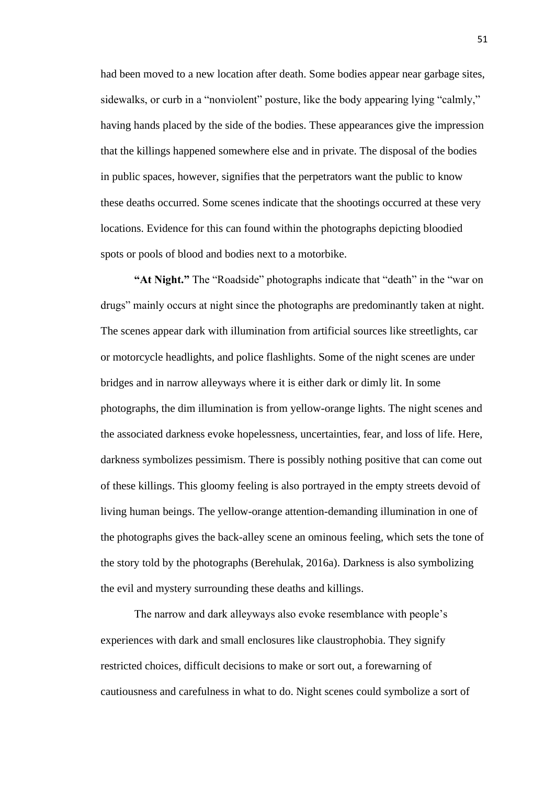had been moved to a new location after death. Some bodies appear near garbage sites, sidewalks, or curb in a "nonviolent" posture, like the body appearing lying "calmly," having hands placed by the side of the bodies. These appearances give the impression that the killings happened somewhere else and in private. The disposal of the bodies in public spaces, however, signifies that the perpetrators want the public to know these deaths occurred. Some scenes indicate that the shootings occurred at these very locations. Evidence for this can found within the photographs depicting bloodied spots or pools of blood and bodies next to a motorbike.

**"At Night."** The "Roadside" photographs indicate that "death" in the "war on drugs" mainly occurs at night since the photographs are predominantly taken at night. The scenes appear dark with illumination from artificial sources like streetlights, car or motorcycle headlights, and police flashlights. Some of the night scenes are under bridges and in narrow alleyways where it is either dark or dimly lit. In some photographs, the dim illumination is from yellow-orange lights. The night scenes and the associated darkness evoke hopelessness, uncertainties, fear, and loss of life. Here, darkness symbolizes pessimism. There is possibly nothing positive that can come out of these killings. This gloomy feeling is also portrayed in the empty streets devoid of living human beings. The yellow-orange attention-demanding illumination in one of the photographs gives the back-alley scene an ominous feeling, which sets the tone of the story told by the photographs (Berehulak, 2016a). Darkness is also symbolizing the evil and mystery surrounding these deaths and killings.

The narrow and dark alleyways also evoke resemblance with people's experiences with dark and small enclosures like claustrophobia. They signify restricted choices, difficult decisions to make or sort out, a forewarning of cautiousness and carefulness in what to do. Night scenes could symbolize a sort of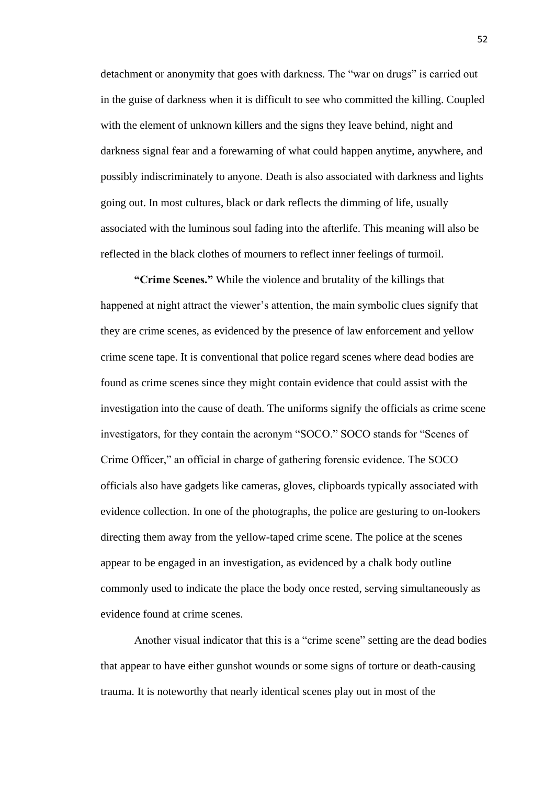detachment or anonymity that goes with darkness. The "war on drugs" is carried out in the guise of darkness when it is difficult to see who committed the killing. Coupled with the element of unknown killers and the signs they leave behind, night and darkness signal fear and a forewarning of what could happen anytime, anywhere, and possibly indiscriminately to anyone. Death is also associated with darkness and lights going out. In most cultures, black or dark reflects the dimming of life, usually associated with the luminous soul fading into the afterlife. This meaning will also be reflected in the black clothes of mourners to reflect inner feelings of turmoil.

**"Crime Scenes."** While the violence and brutality of the killings that happened at night attract the viewer's attention, the main symbolic clues signify that they are crime scenes, as evidenced by the presence of law enforcement and yellow crime scene tape. It is conventional that police regard scenes where dead bodies are found as crime scenes since they might contain evidence that could assist with the investigation into the cause of death. The uniforms signify the officials as crime scene investigators, for they contain the acronym "SOCO." SOCO stands for "Scenes of Crime Officer," an official in charge of gathering forensic evidence. The SOCO officials also have gadgets like cameras, gloves, clipboards typically associated with evidence collection. In one of the photographs, the police are gesturing to on-lookers directing them away from the yellow-taped crime scene. The police at the scenes appear to be engaged in an investigation, as evidenced by a chalk body outline commonly used to indicate the place the body once rested, serving simultaneously as evidence found at crime scenes.

Another visual indicator that this is a "crime scene" setting are the dead bodies that appear to have either gunshot wounds or some signs of torture or death-causing trauma. It is noteworthy that nearly identical scenes play out in most of the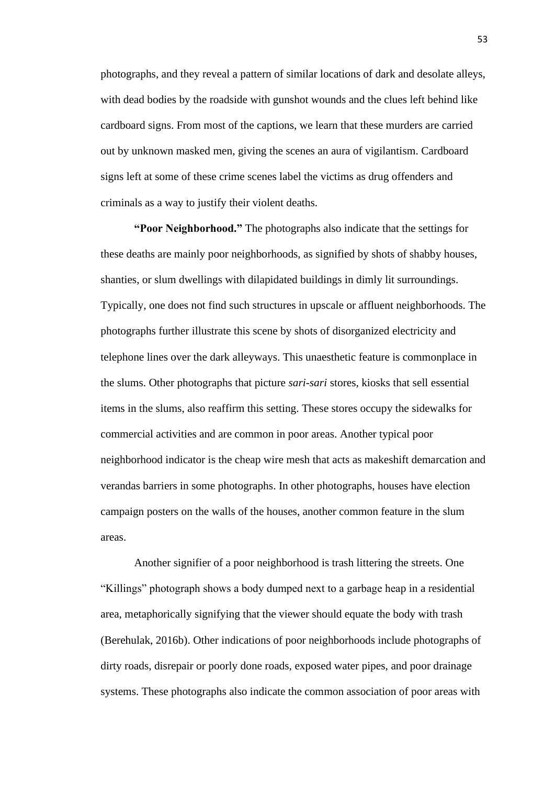photographs, and they reveal a pattern of similar locations of dark and desolate alleys, with dead bodies by the roadside with gunshot wounds and the clues left behind like cardboard signs. From most of the captions, we learn that these murders are carried out by unknown masked men, giving the scenes an aura of vigilantism. Cardboard signs left at some of these crime scenes label the victims as drug offenders and criminals as a way to justify their violent deaths.

**"Poor Neighborhood."** The photographs also indicate that the settings for these deaths are mainly poor neighborhoods, as signified by shots of shabby houses, shanties, or slum dwellings with dilapidated buildings in dimly lit surroundings. Typically, one does not find such structures in upscale or affluent neighborhoods. The photographs further illustrate this scene by shots of disorganized electricity and telephone lines over the dark alleyways. This unaesthetic feature is commonplace in the slums. Other photographs that picture *sari-sari* stores, kiosks that sell essential items in the slums, also reaffirm this setting. These stores occupy the sidewalks for commercial activities and are common in poor areas. Another typical poor neighborhood indicator is the cheap wire mesh that acts as makeshift demarcation and verandas barriers in some photographs. In other photographs, houses have election campaign posters on the walls of the houses, another common feature in the slum areas.

Another signifier of a poor neighborhood is trash littering the streets. One "Killings" photograph shows a body dumped next to a garbage heap in a residential area, metaphorically signifying that the viewer should equate the body with trash (Berehulak, 2016b). Other indications of poor neighborhoods include photographs of dirty roads, disrepair or poorly done roads, exposed water pipes, and poor drainage systems. These photographs also indicate the common association of poor areas with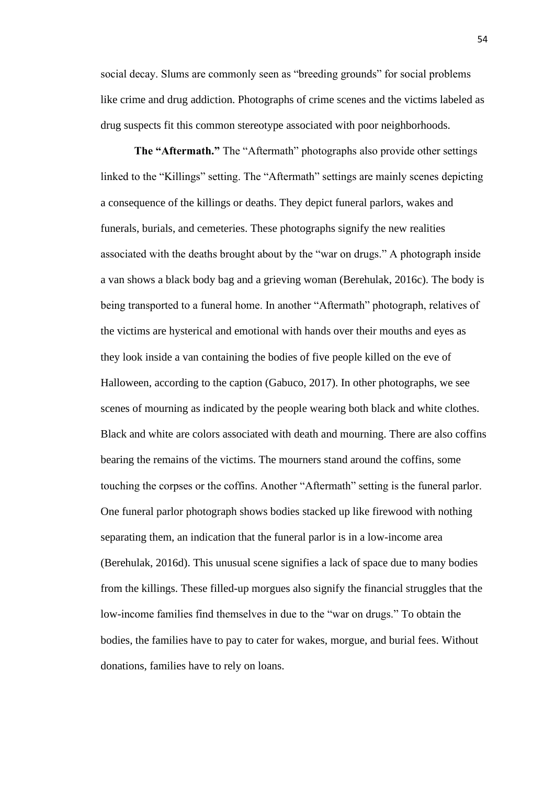social decay. Slums are commonly seen as "breeding grounds" for social problems like crime and drug addiction. Photographs of crime scenes and the victims labeled as drug suspects fit this common stereotype associated with poor neighborhoods.

**The "Aftermath."** The "Aftermath" photographs also provide other settings linked to the "Killings" setting. The "Aftermath" settings are mainly scenes depicting a consequence of the killings or deaths. They depict funeral parlors, wakes and funerals, burials, and cemeteries. These photographs signify the new realities associated with the deaths brought about by the "war on drugs." A photograph inside a van shows a black body bag and a grieving woman (Berehulak, 2016c). The body is being transported to a funeral home. In another "Aftermath" photograph, relatives of the victims are hysterical and emotional with hands over their mouths and eyes as they look inside a van containing the bodies of five people killed on the eve of Halloween, according to the caption (Gabuco, 2017). In other photographs, we see scenes of mourning as indicated by the people wearing both black and white clothes. Black and white are colors associated with death and mourning. There are also coffins bearing the remains of the victims. The mourners stand around the coffins, some touching the corpses or the coffins. Another "Aftermath" setting is the funeral parlor. One funeral parlor photograph shows bodies stacked up like firewood with nothing separating them, an indication that the funeral parlor is in a low-income area (Berehulak, 2016d). This unusual scene signifies a lack of space due to many bodies from the killings. These filled-up morgues also signify the financial struggles that the low-income families find themselves in due to the "war on drugs." To obtain the bodies, the families have to pay to cater for wakes, morgue, and burial fees. Without donations, families have to rely on loans.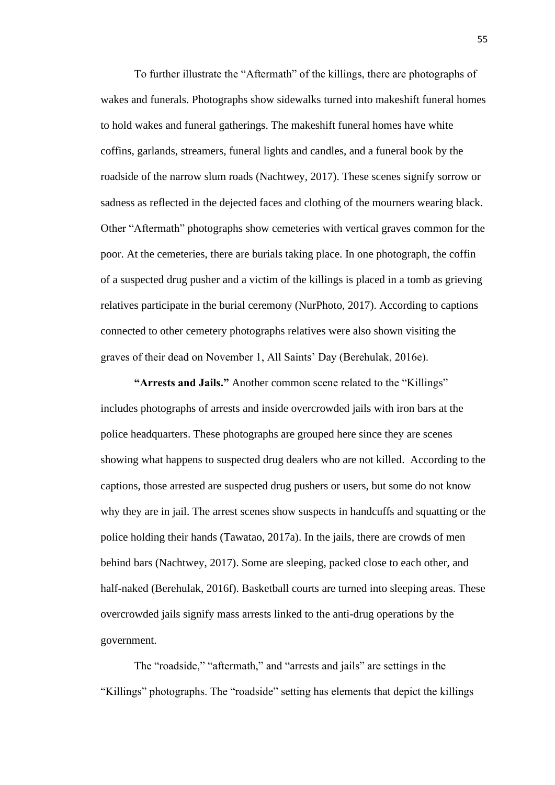To further illustrate the "Aftermath" of the killings, there are photographs of wakes and funerals. Photographs show sidewalks turned into makeshift funeral homes to hold wakes and funeral gatherings. The makeshift funeral homes have white coffins, garlands, streamers, funeral lights and candles, and a funeral book by the roadside of the narrow slum roads (Nachtwey, 2017). These scenes signify sorrow or sadness as reflected in the dejected faces and clothing of the mourners wearing black. Other "Aftermath" photographs show cemeteries with vertical graves common for the poor. At the cemeteries, there are burials taking place. In one photograph, the coffin of a suspected drug pusher and a victim of the killings is placed in a tomb as grieving relatives participate in the burial ceremony (NurPhoto, 2017). According to captions connected to other cemetery photographs relatives were also shown visiting the graves of their dead on November 1, All Saints' Day (Berehulak, 2016e).

**"Arrests and Jails."** Another common scene related to the "Killings" includes photographs of arrests and inside overcrowded jails with iron bars at the police headquarters. These photographs are grouped here since they are scenes showing what happens to suspected drug dealers who are not killed. According to the captions, those arrested are suspected drug pushers or users, but some do not know why they are in jail. The arrest scenes show suspects in handcuffs and squatting or the police holding their hands (Tawatao, 2017a). In the jails, there are crowds of men behind bars (Nachtwey, 2017). Some are sleeping, packed close to each other, and half-naked (Berehulak, 2016f). Basketball courts are turned into sleeping areas. These overcrowded jails signify mass arrests linked to the anti-drug operations by the government.

The "roadside," "aftermath," and "arrests and jails" are settings in the "Killings" photographs. The "roadside" setting has elements that depict the killings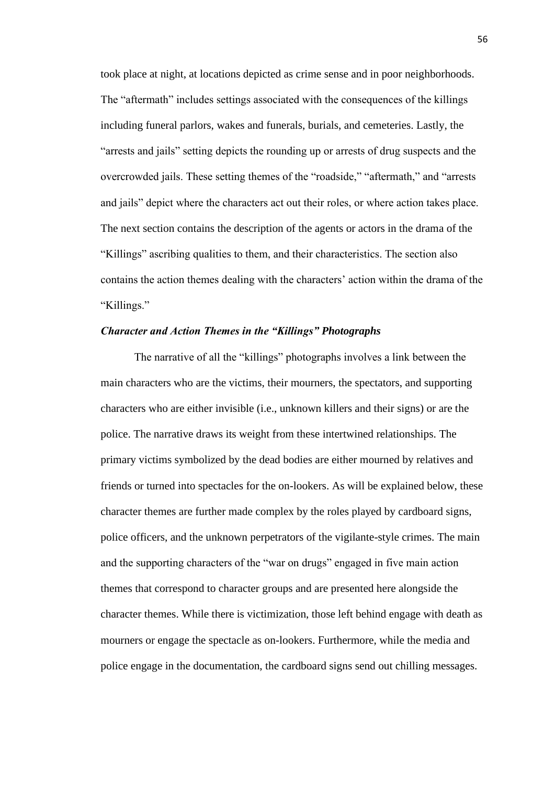took place at night, at locations depicted as crime sense and in poor neighborhoods. The "aftermath" includes settings associated with the consequences of the killings including funeral parlors, wakes and funerals, burials, and cemeteries. Lastly, the "arrests and jails" setting depicts the rounding up or arrests of drug suspects and the overcrowded jails. These setting themes of the "roadside," "aftermath," and "arrests and jails" depict where the characters act out their roles, or where action takes place. The next section contains the description of the agents or actors in the drama of the "Killings" ascribing qualities to them, and their characteristics. The section also contains the action themes dealing with the characters' action within the drama of the "Killings."

## *Character and Action Themes in the "Killings" Photographs*

The narrative of all the "killings" photographs involves a link between the main characters who are the victims, their mourners, the spectators, and supporting characters who are either invisible (i.e., unknown killers and their signs) or are the police. The narrative draws its weight from these intertwined relationships. The primary victims symbolized by the dead bodies are either mourned by relatives and friends or turned into spectacles for the on-lookers. As will be explained below, these character themes are further made complex by the roles played by cardboard signs, police officers, and the unknown perpetrators of the vigilante-style crimes. The main and the supporting characters of the "war on drugs" engaged in five main action themes that correspond to character groups and are presented here alongside the character themes. While there is victimization, those left behind engage with death as mourners or engage the spectacle as on-lookers. Furthermore, while the media and police engage in the documentation, the cardboard signs send out chilling messages.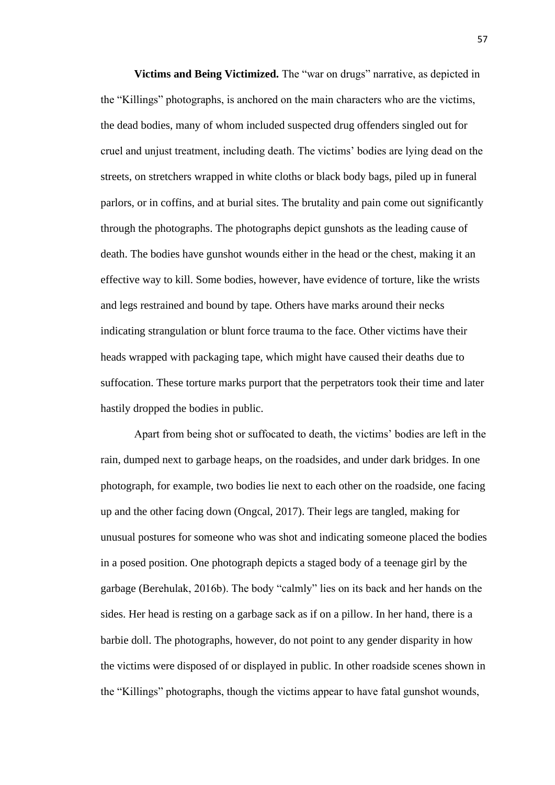**Victims and Being Victimized.** The "war on drugs" narrative, as depicted in the "Killings" photographs, is anchored on the main characters who are the victims, the dead bodies, many of whom included suspected drug offenders singled out for cruel and unjust treatment, including death. The victims' bodies are lying dead on the streets, on stretchers wrapped in white cloths or black body bags, piled up in funeral parlors, or in coffins, and at burial sites. The brutality and pain come out significantly through the photographs. The photographs depict gunshots as the leading cause of death. The bodies have gunshot wounds either in the head or the chest, making it an effective way to kill. Some bodies, however, have evidence of torture, like the wrists and legs restrained and bound by tape. Others have marks around their necks indicating strangulation or blunt force trauma to the face. Other victims have their heads wrapped with packaging tape, which might have caused their deaths due to suffocation. These torture marks purport that the perpetrators took their time and later hastily dropped the bodies in public.

Apart from being shot or suffocated to death, the victims' bodies are left in the rain, dumped next to garbage heaps, on the roadsides, and under dark bridges. In one photograph, for example, two bodies lie next to each other on the roadside, one facing up and the other facing down (Ongcal, 2017). Their legs are tangled, making for unusual postures for someone who was shot and indicating someone placed the bodies in a posed position. One photograph depicts a staged body of a teenage girl by the garbage (Berehulak, 2016b). The body "calmly" lies on its back and her hands on the sides. Her head is resting on a garbage sack as if on a pillow. In her hand, there is a barbie doll. The photographs, however, do not point to any gender disparity in how the victims were disposed of or displayed in public. In other roadside scenes shown in the "Killings" photographs, though the victims appear to have fatal gunshot wounds,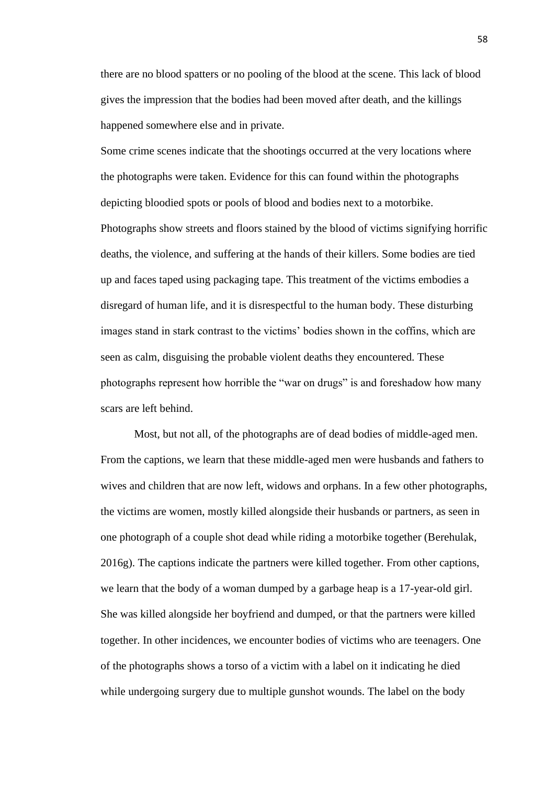there are no blood spatters or no pooling of the blood at the scene. This lack of blood gives the impression that the bodies had been moved after death, and the killings happened somewhere else and in private.

Some crime scenes indicate that the shootings occurred at the very locations where the photographs were taken. Evidence for this can found within the photographs depicting bloodied spots or pools of blood and bodies next to a motorbike. Photographs show streets and floors stained by the blood of victims signifying horrific deaths, the violence, and suffering at the hands of their killers. Some bodies are tied up and faces taped using packaging tape. This treatment of the victims embodies a disregard of human life, and it is disrespectful to the human body. These disturbing images stand in stark contrast to the victims' bodies shown in the coffins, which are seen as calm, disguising the probable violent deaths they encountered. These photographs represent how horrible the "war on drugs" is and foreshadow how many scars are left behind.

Most, but not all, of the photographs are of dead bodies of middle-aged men. From the captions, we learn that these middle-aged men were husbands and fathers to wives and children that are now left, widows and orphans. In a few other photographs, the victims are women, mostly killed alongside their husbands or partners, as seen in one photograph of a couple shot dead while riding a motorbike together (Berehulak, 2016g). The captions indicate the partners were killed together. From other captions, we learn that the body of a woman dumped by a garbage heap is a 17-year-old girl. She was killed alongside her boyfriend and dumped, or that the partners were killed together. In other incidences, we encounter bodies of victims who are teenagers. One of the photographs shows a torso of a victim with a label on it indicating he died while undergoing surgery due to multiple gunshot wounds. The label on the body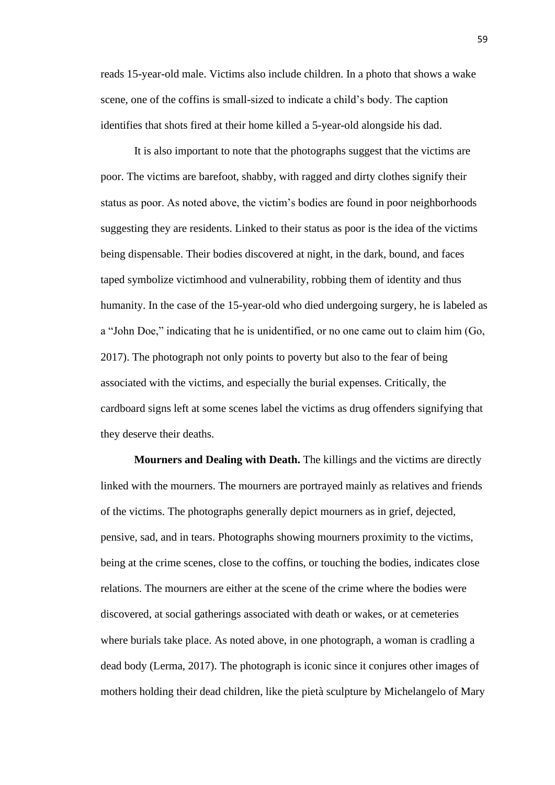reads 15-year-old male. Victims also include children. In a photo that shows a wake scene, one of the coffins is small-sized to indicate a child's body. The caption identifies that shots fired at their home killed a 5-year-old alongside his dad.

It is also important to note that the photographs suggest that the victims are poor. The victims are barefoot, shabby, with ragged and dirty clothes signify their status as poor. As noted above, the victim's bodies are found in poor neighborhoods suggesting they are residents. Linked to their status as poor is the idea of the victims being dispensable. Their bodies discovered at night, in the dark, bound, and faces taped symbolize victimhood and vulnerability, robbing them of identity and thus humanity. In the case of the 15-year-old who died undergoing surgery, he is labeled as a "John Doe," indicating that he is unidentified, or no one came out to claim him (Go, 2017). The photograph not only points to poverty but also to the fear of being associated with the victims, and especially the burial expenses. Critically, the cardboard signs left at some scenes label the victims as drug offenders signifying that they deserve their deaths.

**Mourners and Dealing with Death.** The killings and the victims are directly linked with the mourners. The mourners are portrayed mainly as relatives and friends of the victims. The photographs generally depict mourners as in grief, dejected, pensive, sad, and in tears. Photographs showing mourners proximity to the victims, being at the crime scenes, close to the coffins, or touching the bodies, indicates close relations. The mourners are either at the scene of the crime where the bodies were discovered, at social gatherings associated with death or wakes, or at cemeteries where burials take place. As noted above, in one photograph, a woman is cradling a dead body (Lerma, 2017). The photograph is iconic since it conjures other images of mothers holding their dead children, like the pietà sculpture by Michelangelo of Mary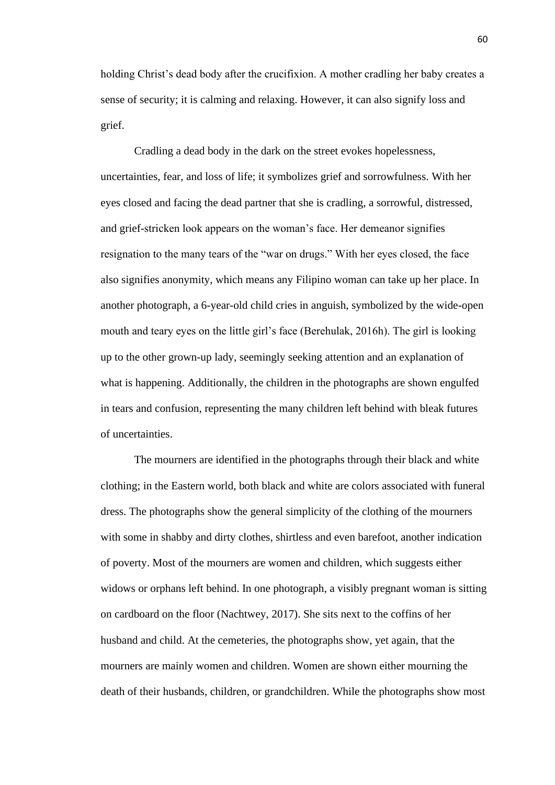holding Christ's dead body after the crucifixion. A mother cradling her baby creates a sense of security; it is calming and relaxing. However, it can also signify loss and grief.

Cradling a dead body in the dark on the street evokes hopelessness, uncertainties, fear, and loss of life; it symbolizes grief and sorrowfulness. With her eyes closed and facing the dead partner that she is cradling, a sorrowful, distressed, and grief-stricken look appears on the woman's face. Her demeanor signifies resignation to the many tears of the "war on drugs." With her eyes closed, the face also signifies anonymity, which means any Filipino woman can take up her place. In another photograph, a 6-year-old child cries in anguish, symbolized by the wide-open mouth and teary eyes on the little girl's face (Berehulak, 2016h). The girl is looking up to the other grown-up lady, seemingly seeking attention and an explanation of what is happening. Additionally, the children in the photographs are shown engulfed in tears and confusion, representing the many children left behind with bleak futures of uncertainties.

The mourners are identified in the photographs through their black and white clothing; in the Eastern world, both black and white are colors associated with funeral dress. The photographs show the general simplicity of the clothing of the mourners with some in shabby and dirty clothes, shirtless and even barefoot, another indication of poverty. Most of the mourners are women and children, which suggests either widows or orphans left behind. In one photograph, a visibly pregnant woman is sitting on cardboard on the floor (Nachtwey, 2017). She sits next to the coffins of her husband and child. At the cemeteries, the photographs show, yet again, that the mourners are mainly women and children. Women are shown either mourning the death of their husbands, children, or grandchildren. While the photographs show most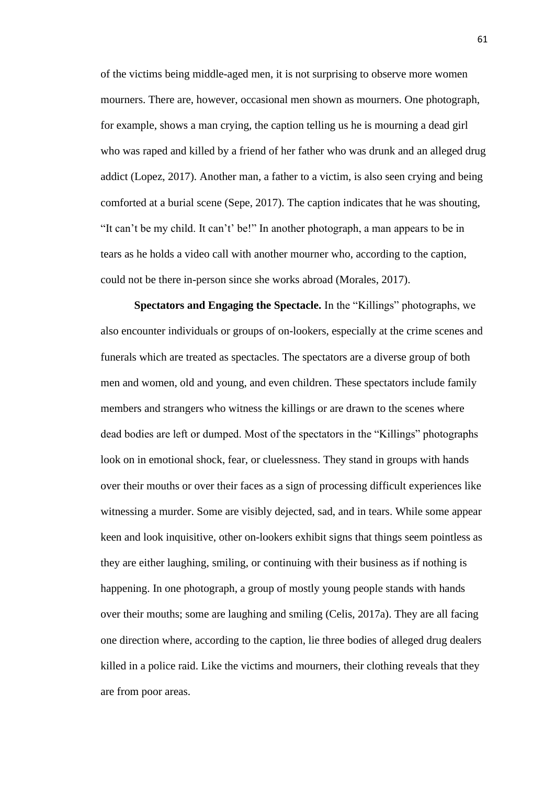of the victims being middle-aged men, it is not surprising to observe more women mourners. There are, however, occasional men shown as mourners. One photograph, for example, shows a man crying, the caption telling us he is mourning a dead girl who was raped and killed by a friend of her father who was drunk and an alleged drug addict (Lopez, 2017). Another man, a father to a victim, is also seen crying and being comforted at a burial scene (Sepe, 2017). The caption indicates that he was shouting, "It can't be my child. It can't' be!" In another photograph, a man appears to be in tears as he holds a video call with another mourner who, according to the caption, could not be there in-person since she works abroad (Morales, 2017).

**Spectators and Engaging the Spectacle.** In the "Killings" photographs, we also encounter individuals or groups of on-lookers, especially at the crime scenes and funerals which are treated as spectacles. The spectators are a diverse group of both men and women, old and young, and even children. These spectators include family members and strangers who witness the killings or are drawn to the scenes where dead bodies are left or dumped. Most of the spectators in the "Killings" photographs look on in emotional shock, fear, or cluelessness. They stand in groups with hands over their mouths or over their faces as a sign of processing difficult experiences like witnessing a murder. Some are visibly dejected, sad, and in tears. While some appear keen and look inquisitive, other on-lookers exhibit signs that things seem pointless as they are either laughing, smiling, or continuing with their business as if nothing is happening. In one photograph, a group of mostly young people stands with hands over their mouths; some are laughing and smiling (Celis, 2017a). They are all facing one direction where, according to the caption, lie three bodies of alleged drug dealers killed in a police raid. Like the victims and mourners, their clothing reveals that they are from poor areas.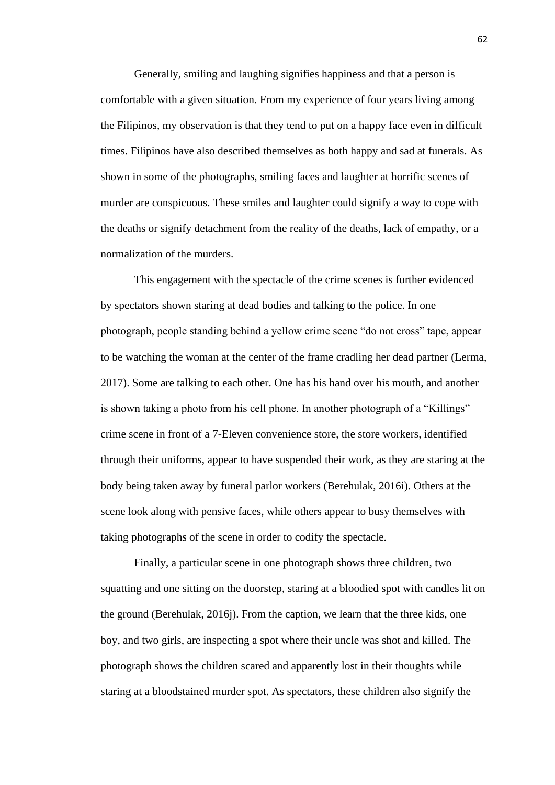Generally, smiling and laughing signifies happiness and that a person is comfortable with a given situation. From my experience of four years living among the Filipinos, my observation is that they tend to put on a happy face even in difficult times. Filipinos have also described themselves as both happy and sad at funerals. As shown in some of the photographs, smiling faces and laughter at horrific scenes of murder are conspicuous. These smiles and laughter could signify a way to cope with the deaths or signify detachment from the reality of the deaths, lack of empathy, or a normalization of the murders.

This engagement with the spectacle of the crime scenes is further evidenced by spectators shown staring at dead bodies and talking to the police. In one photograph, people standing behind a yellow crime scene "do not cross" tape, appear to be watching the woman at the center of the frame cradling her dead partner (Lerma, 2017). Some are talking to each other. One has his hand over his mouth, and another is shown taking a photo from his cell phone. In another photograph of a "Killings" crime scene in front of a 7-Eleven convenience store, the store workers, identified through their uniforms, appear to have suspended their work, as they are staring at the body being taken away by funeral parlor workers (Berehulak, 2016i). Others at the scene look along with pensive faces, while others appear to busy themselves with taking photographs of the scene in order to codify the spectacle.

Finally, a particular scene in one photograph shows three children, two squatting and one sitting on the doorstep, staring at a bloodied spot with candles lit on the ground (Berehulak, 2016j). From the caption, we learn that the three kids, one boy, and two girls, are inspecting a spot where their uncle was shot and killed. The photograph shows the children scared and apparently lost in their thoughts while staring at a bloodstained murder spot. As spectators, these children also signify the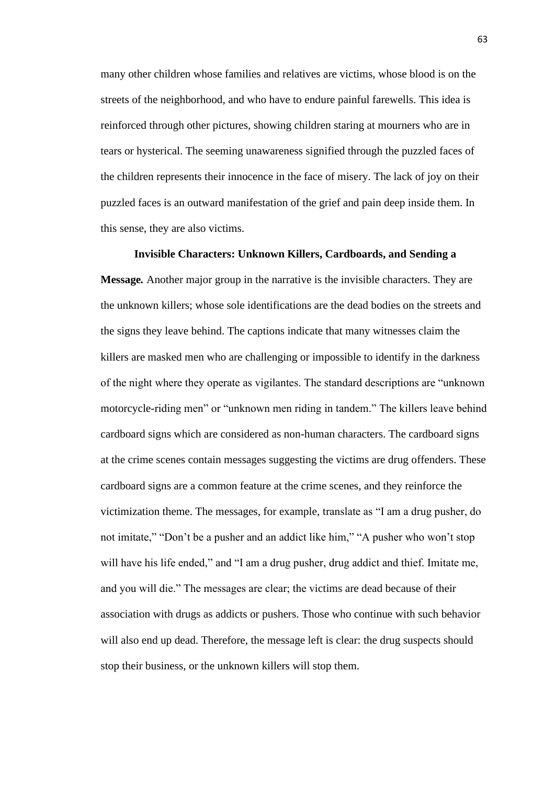many other children whose families and relatives are victims, whose blood is on the streets of the neighborhood, and who have to endure painful farewells. This idea is reinforced through other pictures, showing children staring at mourners who are in tears or hysterical. The seeming unawareness signified through the puzzled faces of the children represents their innocence in the face of misery. The lack of joy on their puzzled faces is an outward manifestation of the grief and pain deep inside them. In this sense, they are also victims.

**Invisible Characters: Unknown Killers, Cardboards, and Sending a Message***.* Another major group in the narrative is the invisible characters. They are the unknown killers; whose sole identifications are the dead bodies on the streets and the signs they leave behind. The captions indicate that many witnesses claim the killers are masked men who are challenging or impossible to identify in the darkness of the night where they operate as vigilantes. The standard descriptions are "unknown motorcycle-riding men" or "unknown men riding in tandem." The killers leave behind cardboard signs which are considered as non-human characters. The cardboard signs at the crime scenes contain messages suggesting the victims are drug offenders. These cardboard signs are a common feature at the crime scenes, and they reinforce the victimization theme. The messages, for example, translate as "I am a drug pusher, do not imitate," "Don't be a pusher and an addict like him," "A pusher who won't stop will have his life ended," and "I am a drug pusher, drug addict and thief. Imitate me, and you will die." The messages are clear; the victims are dead because of their association with drugs as addicts or pushers. Those who continue with such behavior will also end up dead. Therefore, the message left is clear: the drug suspects should stop their business, or the unknown killers will stop them.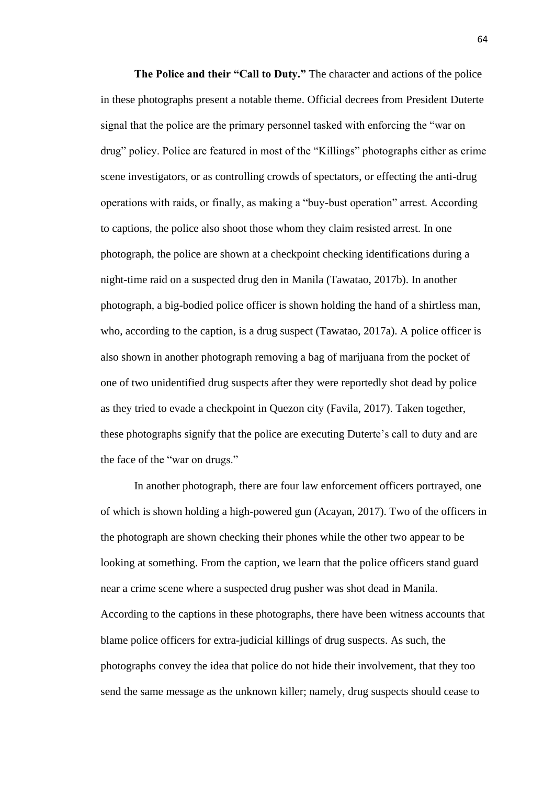**The Police and their "Call to Duty."** The character and actions of the police in these photographs present a notable theme. Official decrees from President Duterte signal that the police are the primary personnel tasked with enforcing the "war on drug" policy. Police are featured in most of the "Killings" photographs either as crime scene investigators, or as controlling crowds of spectators, or effecting the anti-drug operations with raids, or finally, as making a "buy-bust operation" arrest. According to captions, the police also shoot those whom they claim resisted arrest. In one photograph, the police are shown at a checkpoint checking identifications during a night-time raid on a suspected drug den in Manila (Tawatao, 2017b). In another photograph, a big-bodied police officer is shown holding the hand of a shirtless man, who, according to the caption, is a drug suspect (Tawatao, 2017a). A police officer is also shown in another photograph removing a bag of marijuana from the pocket of one of two unidentified drug suspects after they were reportedly shot dead by police as they tried to evade a checkpoint in Quezon city (Favila, 2017). Taken together, these photographs signify that the police are executing Duterte's call to duty and are the face of the "war on drugs."

In another photograph, there are four law enforcement officers portrayed, one of which is shown holding a high-powered gun (Acayan, 2017). Two of the officers in the photograph are shown checking their phones while the other two appear to be looking at something. From the caption, we learn that the police officers stand guard near a crime scene where a suspected drug pusher was shot dead in Manila. According to the captions in these photographs, there have been witness accounts that blame police officers for extra-judicial killings of drug suspects. As such, the photographs convey the idea that police do not hide their involvement, that they too send the same message as the unknown killer; namely, drug suspects should cease to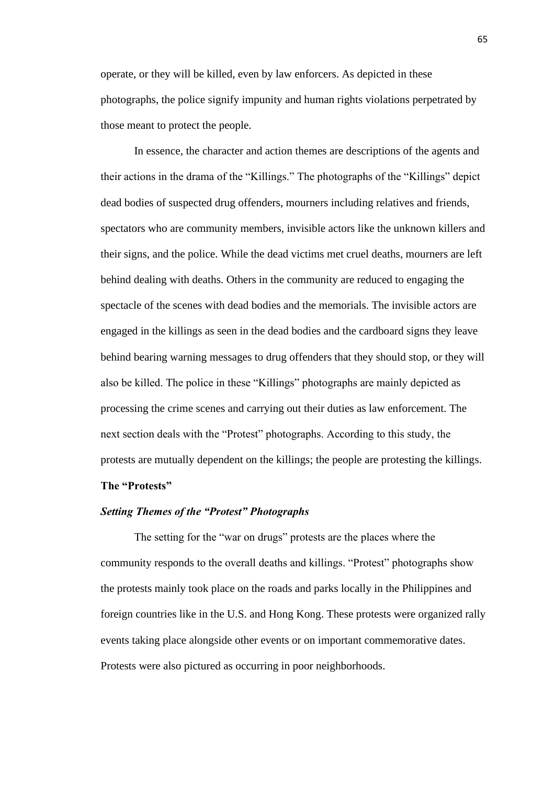operate, or they will be killed, even by law enforcers. As depicted in these photographs, the police signify impunity and human rights violations perpetrated by those meant to protect the people.

In essence, the character and action themes are descriptions of the agents and their actions in the drama of the "Killings." The photographs of the "Killings" depict dead bodies of suspected drug offenders, mourners including relatives and friends, spectators who are community members, invisible actors like the unknown killers and their signs, and the police. While the dead victims met cruel deaths, mourners are left behind dealing with deaths. Others in the community are reduced to engaging the spectacle of the scenes with dead bodies and the memorials. The invisible actors are engaged in the killings as seen in the dead bodies and the cardboard signs they leave behind bearing warning messages to drug offenders that they should stop, or they will also be killed. The police in these "Killings" photographs are mainly depicted as processing the crime scenes and carrying out their duties as law enforcement. The next section deals with the "Protest" photographs. According to this study, the protests are mutually dependent on the killings; the people are protesting the killings.

## **The "Protests"**

## *Setting Themes of the "Protest" Photographs*

The setting for the "war on drugs" protests are the places where the community responds to the overall deaths and killings. "Protest" photographs show the protests mainly took place on the roads and parks locally in the Philippines and foreign countries like in the U.S. and Hong Kong. These protests were organized rally events taking place alongside other events or on important commemorative dates. Protests were also pictured as occurring in poor neighborhoods.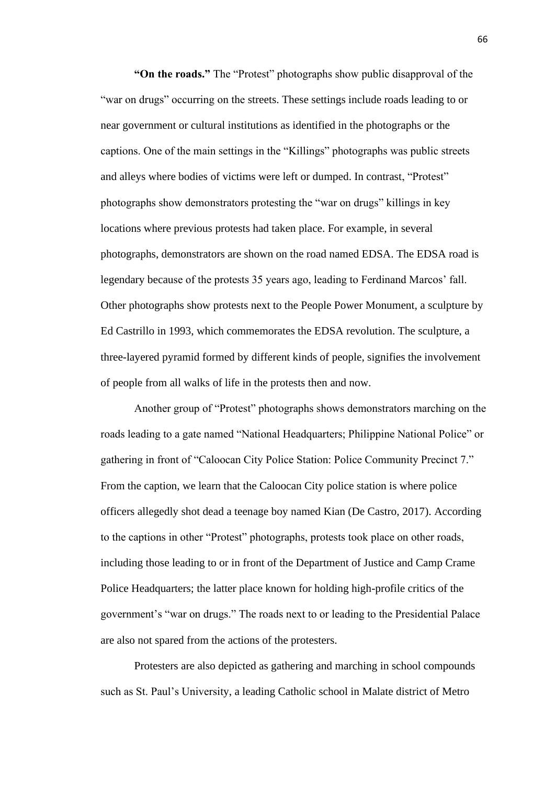**"On the roads."** The "Protest" photographs show public disapproval of the "war on drugs" occurring on the streets. These settings include roads leading to or near government or cultural institutions as identified in the photographs or the captions. One of the main settings in the "Killings" photographs was public streets and alleys where bodies of victims were left or dumped. In contrast, "Protest" photographs show demonstrators protesting the "war on drugs" killings in key locations where previous protests had taken place. For example, in several photographs, demonstrators are shown on the road named EDSA. The EDSA road is legendary because of the protests 35 years ago, leading to Ferdinand Marcos' fall. Other photographs show protests next to the People Power Monument, a sculpture by Ed Castrillo in 1993, which commemorates the EDSA revolution. The sculpture, a three-layered pyramid formed by different kinds of people, signifies the involvement of people from all walks of life in the protests then and now.

Another group of "Protest" photographs shows demonstrators marching on the roads leading to a gate named "National Headquarters; Philippine National Police" or gathering in front of "Caloocan City Police Station: Police Community Precinct 7." From the caption, we learn that the Caloocan City police station is where police officers allegedly shot dead a teenage boy named Kian (De Castro, 2017). According to the captions in other "Protest" photographs, protests took place on other roads, including those leading to or in front of the Department of Justice and Camp Crame Police Headquarters; the latter place known for holding high-profile critics of the government's "war on drugs." The roads next to or leading to the Presidential Palace are also not spared from the actions of the protesters.

Protesters are also depicted as gathering and marching in school compounds such as St. Paul's University, a leading Catholic school in Malate district of Metro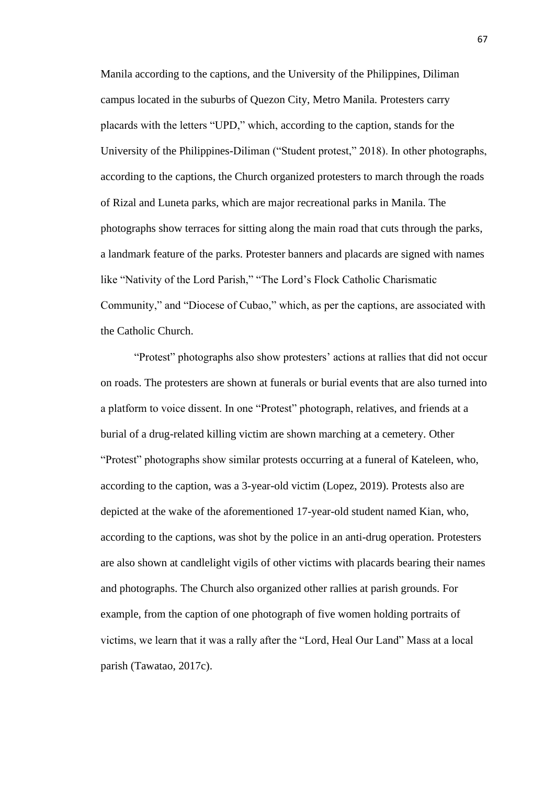Manila according to the captions, and the University of the Philippines, Diliman campus located in the suburbs of Quezon City, Metro Manila. Protesters carry placards with the letters "UPD," which, according to the caption, stands for the University of the Philippines-Diliman ("Student protest," 2018). In other photographs, according to the captions, the Church organized protesters to march through the roads of Rizal and Luneta parks, which are major recreational parks in Manila. The photographs show terraces for sitting along the main road that cuts through the parks, a landmark feature of the parks. Protester banners and placards are signed with names like "Nativity of the Lord Parish," "The Lord's Flock Catholic Charismatic Community," and "Diocese of Cubao," which, as per the captions, are associated with the Catholic Church.

"Protest" photographs also show protesters' actions at rallies that did not occur on roads. The protesters are shown at funerals or burial events that are also turned into a platform to voice dissent. In one "Protest" photograph, relatives, and friends at a burial of a drug-related killing victim are shown marching at a cemetery. Other "Protest" photographs show similar protests occurring at a funeral of Kateleen, who, according to the caption, was a 3-year-old victim (Lopez, 2019). Protests also are depicted at the wake of the aforementioned 17-year-old student named Kian, who, according to the captions, was shot by the police in an anti-drug operation. Protesters are also shown at candlelight vigils of other victims with placards bearing their names and photographs. The Church also organized other rallies at parish grounds. For example, from the caption of one photograph of five women holding portraits of victims, we learn that it was a rally after the "Lord, Heal Our Land" Mass at a local parish (Tawatao, 2017c).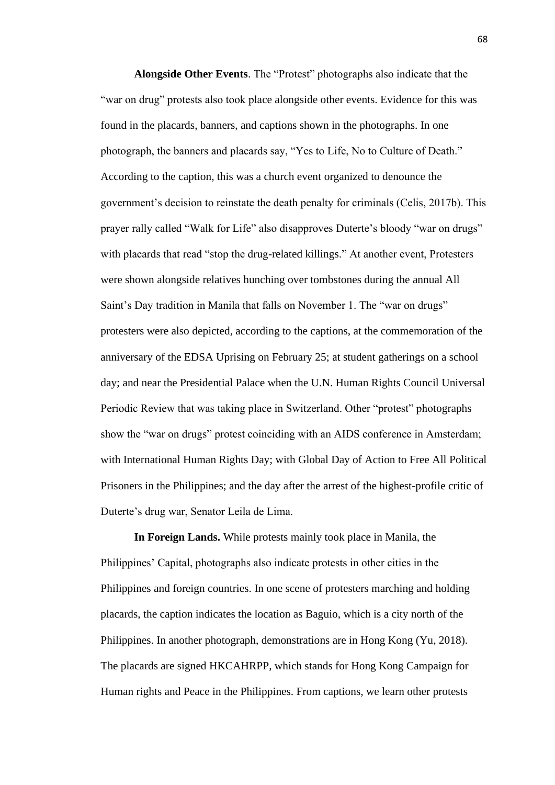**Alongside Other Events**. The "Protest" photographs also indicate that the "war on drug" protests also took place alongside other events. Evidence for this was found in the placards, banners, and captions shown in the photographs. In one photograph, the banners and placards say, "Yes to Life, No to Culture of Death." According to the caption, this was a church event organized to denounce the government's decision to reinstate the death penalty for criminals (Celis, 2017b). This prayer rally called "Walk for Life" also disapproves Duterte's bloody "war on drugs" with placards that read "stop the drug-related killings." At another event, Protesters were shown alongside relatives hunching over tombstones during the annual All Saint's Day tradition in Manila that falls on November 1. The "war on drugs" protesters were also depicted, according to the captions, at the commemoration of the anniversary of the EDSA Uprising on February 25; at student gatherings on a school day; and near the Presidential Palace when the U.N. Human Rights Council Universal Periodic Review that was taking place in Switzerland. Other "protest" photographs show the "war on drugs" protest coinciding with an AIDS conference in Amsterdam; with International Human Rights Day; with Global Day of Action to Free All Political Prisoners in the Philippines; and the day after the arrest of the highest-profile critic of Duterte's drug war, Senator Leila de Lima.

**In Foreign Lands.** While protests mainly took place in Manila, the Philippines' Capital, photographs also indicate protests in other cities in the Philippines and foreign countries. In one scene of protesters marching and holding placards, the caption indicates the location as Baguio, which is a city north of the Philippines. In another photograph, demonstrations are in Hong Kong (Yu, 2018). The placards are signed HKCAHRPP, which stands for Hong Kong Campaign for Human rights and Peace in the Philippines. From captions, we learn other protests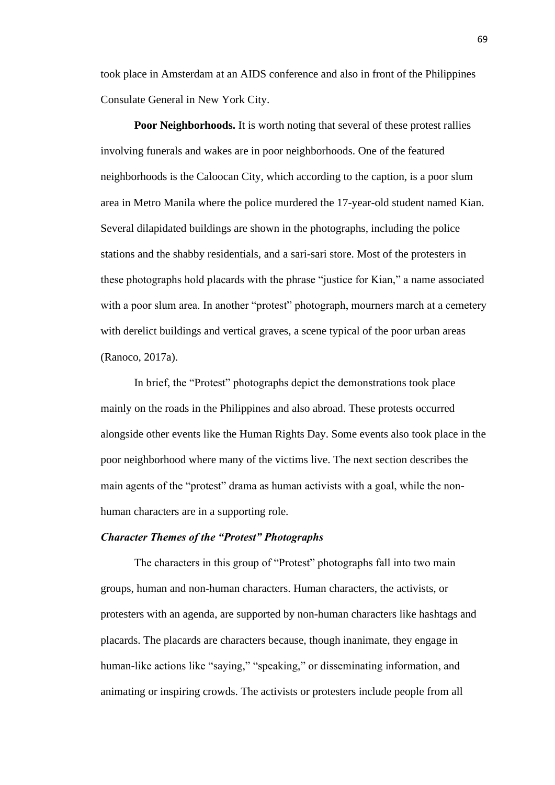took place in Amsterdam at an AIDS conference and also in front of the Philippines Consulate General in New York City.

**Poor Neighborhoods.** It is worth noting that several of these protest rallies involving funerals and wakes are in poor neighborhoods. One of the featured neighborhoods is the Caloocan City, which according to the caption, is a poor slum area in Metro Manila where the police murdered the 17-year-old student named Kian. Several dilapidated buildings are shown in the photographs, including the police stations and the shabby residentials, and a sari-sari store. Most of the protesters in these photographs hold placards with the phrase "justice for Kian," a name associated with a poor slum area. In another "protest" photograph, mourners march at a cemetery with derelict buildings and vertical graves, a scene typical of the poor urban areas (Ranoco, 2017a).

In brief, the "Protest" photographs depict the demonstrations took place mainly on the roads in the Philippines and also abroad. These protests occurred alongside other events like the Human Rights Day. Some events also took place in the poor neighborhood where many of the victims live. The next section describes the main agents of the "protest" drama as human activists with a goal, while the nonhuman characters are in a supporting role.

# *Character Themes of the "Protest" Photographs*

The characters in this group of "Protest" photographs fall into two main groups, human and non-human characters. Human characters, the activists, or protesters with an agenda, are supported by non-human characters like hashtags and placards. The placards are characters because, though inanimate, they engage in human-like actions like "saying," "speaking," or disseminating information, and animating or inspiring crowds. The activists or protesters include people from all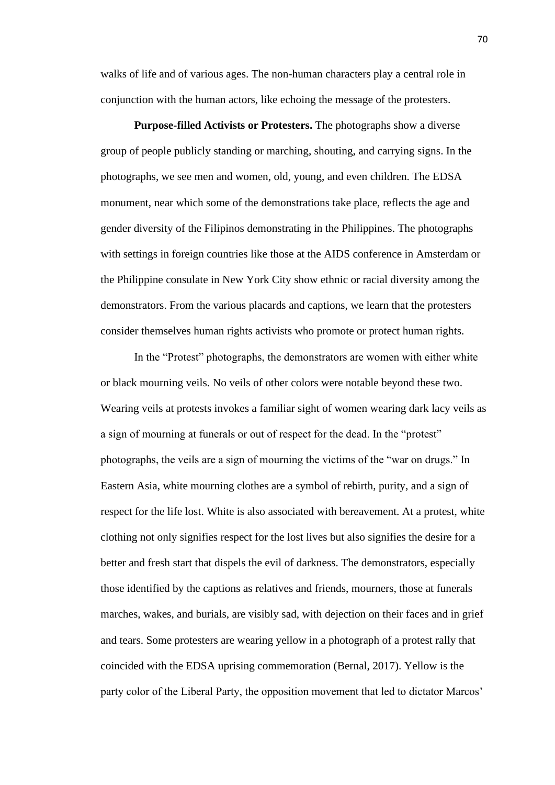walks of life and of various ages. The non-human characters play a central role in conjunction with the human actors, like echoing the message of the protesters.

**Purpose-filled Activists or Protesters.** The photographs show a diverse group of people publicly standing or marching, shouting, and carrying signs. In the photographs, we see men and women, old, young, and even children. The EDSA monument, near which some of the demonstrations take place, reflects the age and gender diversity of the Filipinos demonstrating in the Philippines. The photographs with settings in foreign countries like those at the AIDS conference in Amsterdam or the Philippine consulate in New York City show ethnic or racial diversity among the demonstrators. From the various placards and captions, we learn that the protesters consider themselves human rights activists who promote or protect human rights.

In the "Protest" photographs, the demonstrators are women with either white or black mourning veils. No veils of other colors were notable beyond these two. Wearing veils at protests invokes a familiar sight of women wearing dark lacy veils as a sign of mourning at funerals or out of respect for the dead. In the "protest" photographs, the veils are a sign of mourning the victims of the "war on drugs." In Eastern Asia, white mourning clothes are a symbol of rebirth, purity, and a sign of respect for the life lost. White is also associated with bereavement. At a protest, white clothing not only signifies respect for the lost lives but also signifies the desire for a better and fresh start that dispels the evil of darkness. The demonstrators, especially those identified by the captions as relatives and friends, mourners, those at funerals marches, wakes, and burials, are visibly sad, with dejection on their faces and in grief and tears. Some protesters are wearing yellow in a photograph of a protest rally that coincided with the EDSA uprising commemoration (Bernal, 2017). Yellow is the party color of the Liberal Party, the opposition movement that led to dictator Marcos'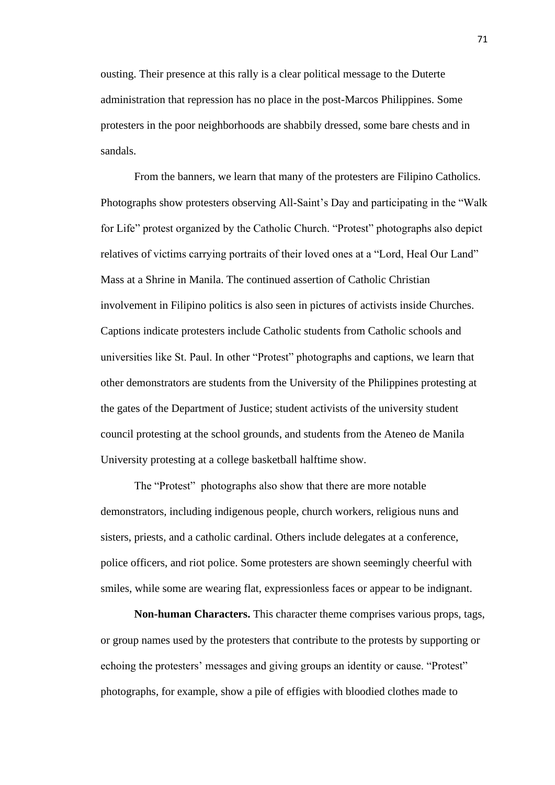ousting. Their presence at this rally is a clear political message to the Duterte administration that repression has no place in the post-Marcos Philippines. Some protesters in the poor neighborhoods are shabbily dressed, some bare chests and in sandals.

From the banners, we learn that many of the protesters are Filipino Catholics. Photographs show protesters observing All-Saint's Day and participating in the "Walk for Life" protest organized by the Catholic Church. "Protest" photographs also depict relatives of victims carrying portraits of their loved ones at a "Lord, Heal Our Land" Mass at a Shrine in Manila. The continued assertion of Catholic Christian involvement in Filipino politics is also seen in pictures of activists inside Churches. Captions indicate protesters include Catholic students from Catholic schools and universities like St. Paul. In other "Protest" photographs and captions, we learn that other demonstrators are students from the University of the Philippines protesting at the gates of the Department of Justice; student activists of the university student council protesting at the school grounds, and students from the Ateneo de Manila University protesting at a college basketball halftime show.

The "Protest" photographs also show that there are more notable demonstrators, including indigenous people, church workers, religious nuns and sisters, priests, and a catholic cardinal. Others include delegates at a conference, police officers, and riot police. Some protesters are shown seemingly cheerful with smiles, while some are wearing flat, expressionless faces or appear to be indignant.

**Non-human Characters.** This character theme comprises various props, tags, or group names used by the protesters that contribute to the protests by supporting or echoing the protesters' messages and giving groups an identity or cause. "Protest" photographs, for example, show a pile of effigies with bloodied clothes made to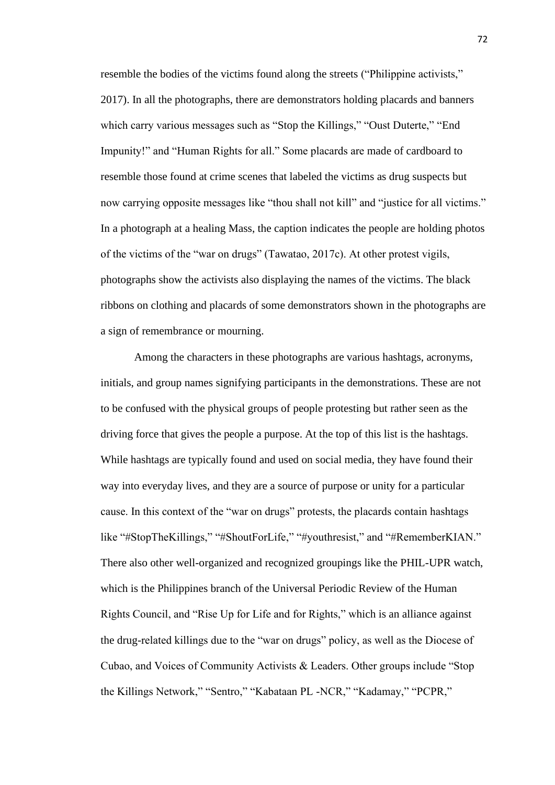resemble the bodies of the victims found along the streets ("Philippine activists," 2017). In all the photographs, there are demonstrators holding placards and banners which carry various messages such as "Stop the Killings," "Oust Duterte," "End Impunity!" and "Human Rights for all." Some placards are made of cardboard to resemble those found at crime scenes that labeled the victims as drug suspects but now carrying opposite messages like "thou shall not kill" and "justice for all victims." In a photograph at a healing Mass, the caption indicates the people are holding photos of the victims of the "war on drugs" (Tawatao, 2017c). At other protest vigils, photographs show the activists also displaying the names of the victims. The black ribbons on clothing and placards of some demonstrators shown in the photographs are a sign of remembrance or mourning.

Among the characters in these photographs are various hashtags, acronyms, initials, and group names signifying participants in the demonstrations. These are not to be confused with the physical groups of people protesting but rather seen as the driving force that gives the people a purpose. At the top of this list is the hashtags. While hashtags are typically found and used on social media, they have found their way into everyday lives, and they are a source of purpose or unity for a particular cause. In this context of the "war on drugs" protests, the placards contain hashtags like "#StopTheKillings," "#ShoutForLife," "#youthresist," and "#RememberKIAN." There also other well-organized and recognized groupings like the PHIL-UPR watch, which is the Philippines branch of the Universal Periodic Review of the Human Rights Council, and "Rise Up for Life and for Rights," which is an alliance against the drug-related killings due to the "war on drugs" policy, as well as the Diocese of Cubao, and Voices of Community Activists & Leaders. Other groups include "Stop the Killings Network," "Sentro," "Kabataan PL -NCR," "Kadamay," "PCPR,"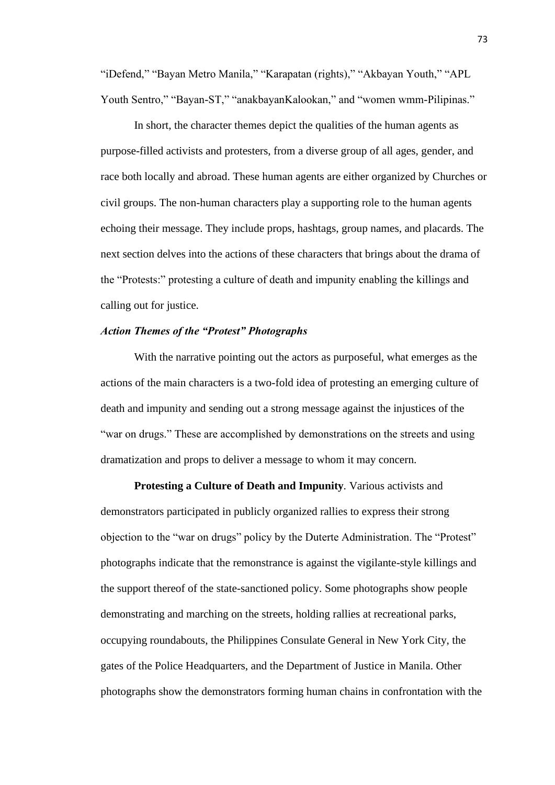"iDefend," "Bayan Metro Manila," "Karapatan (rights)," "Akbayan Youth," "APL Youth Sentro," "Bayan-ST," "anakbayanKalookan," and "women wmm-Pilipinas."

In short, the character themes depict the qualities of the human agents as purpose-filled activists and protesters, from a diverse group of all ages, gender, and race both locally and abroad. These human agents are either organized by Churches or civil groups. The non-human characters play a supporting role to the human agents echoing their message. They include props, hashtags, group names, and placards. The next section delves into the actions of these characters that brings about the drama of the "Protests:" protesting a culture of death and impunity enabling the killings and calling out for justice.

# *Action Themes of the "Protest" Photographs*

With the narrative pointing out the actors as purposeful, what emerges as the actions of the main characters is a two-fold idea of protesting an emerging culture of death and impunity and sending out a strong message against the injustices of the "war on drugs." These are accomplished by demonstrations on the streets and using dramatization and props to deliver a message to whom it may concern.

**Protesting a Culture of Death and Impunity***.* Various activists and demonstrators participated in publicly organized rallies to express their strong objection to the "war on drugs" policy by the Duterte Administration. The "Protest" photographs indicate that the remonstrance is against the vigilante-style killings and the support thereof of the state-sanctioned policy. Some photographs show people demonstrating and marching on the streets, holding rallies at recreational parks, occupying roundabouts, the Philippines Consulate General in New York City, the gates of the Police Headquarters, and the Department of Justice in Manila. Other photographs show the demonstrators forming human chains in confrontation with the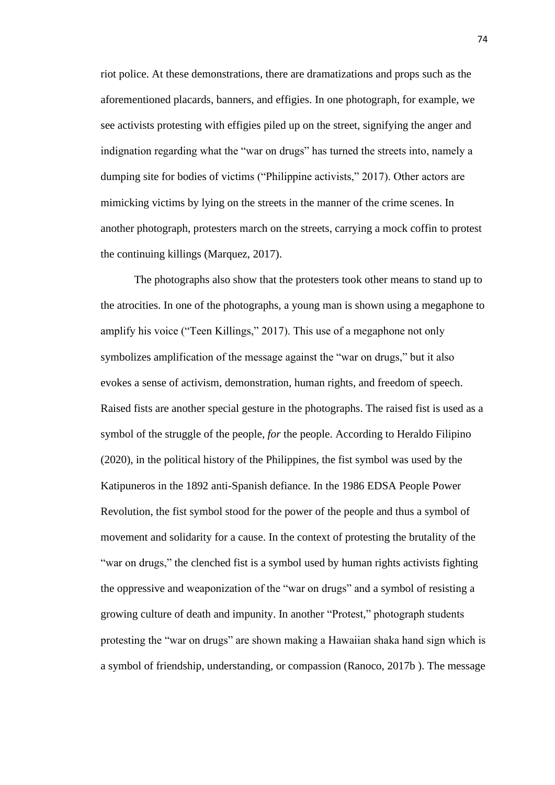riot police. At these demonstrations, there are dramatizations and props such as the aforementioned placards, banners, and effigies. In one photograph, for example, we see activists protesting with effigies piled up on the street, signifying the anger and indignation regarding what the "war on drugs" has turned the streets into, namely a dumping site for bodies of victims ("Philippine activists," 2017). Other actors are mimicking victims by lying on the streets in the manner of the crime scenes. In another photograph, protesters march on the streets, carrying a mock coffin to protest the continuing killings (Marquez, 2017).

The photographs also show that the protesters took other means to stand up to the atrocities. In one of the photographs, a young man is shown using a megaphone to amplify his voice ("Teen Killings," 2017). This use of a megaphone not only symbolizes amplification of the message against the "war on drugs," but it also evokes a sense of activism, demonstration, human rights, and freedom of speech. Raised fists are another special gesture in the photographs. The raised fist is used as a symbol of the struggle of the people, *for* the people. According to Heraldo Filipino (2020), in the political history of the Philippines, the fist symbol was used by the Katipuneros in the 1892 anti-Spanish defiance. In the 1986 EDSA People Power Revolution, the fist symbol stood for the power of the people and thus a symbol of movement and solidarity for a cause. In the context of protesting the brutality of the "war on drugs," the clenched fist is a symbol used by human rights activists fighting the oppressive and weaponization of the "war on drugs" and a symbol of resisting a growing culture of death and impunity. In another "Protest," photograph students protesting the "war on drugs" are shown making a Hawaiian shaka hand sign which is a symbol of friendship, understanding, or compassion (Ranoco, 2017b ). The message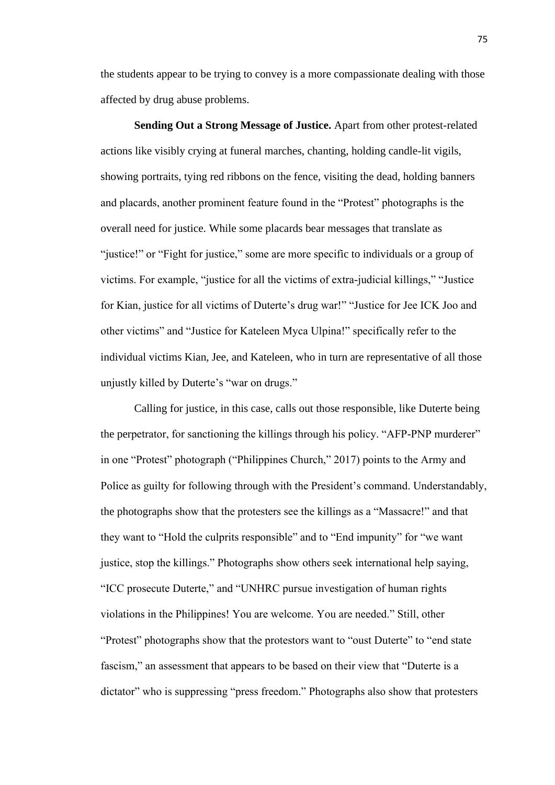the students appear to be trying to convey is a more compassionate dealing with those affected by drug abuse problems.

**Sending Out a Strong Message of Justice.** Apart from other protest-related actions like visibly crying at funeral marches, chanting, holding candle-lit vigils, showing portraits, tying red ribbons on the fence, visiting the dead, holding banners and placards, another prominent feature found in the "Protest" photographs is the overall need for justice. While some placards bear messages that translate as "justice!" or "Fight for justice," some are more specific to individuals or a group of victims. For example, "justice for all the victims of extra-judicial killings," "Justice for Kian, justice for all victims of Duterte's drug war!" "Justice for Jee ICK Joo and other victims" and "Justice for Kateleen Myca Ulpina!" specifically refer to the individual victims Kian, Jee, and Kateleen, who in turn are representative of all those unjustly killed by Duterte's "war on drugs."

Calling for justice, in this case, calls out those responsible, like Duterte being the perpetrator, for sanctioning the killings through his policy. "AFP-PNP murderer" in one "Protest" photograph ("Philippines Church," 2017) points to the Army and Police as guilty for following through with the President's command. Understandably, the photographs show that the protesters see the killings as a "Massacre!" and that they want to "Hold the culprits responsible" and to "End impunity" for "we want justice, stop the killings." Photographs show others seek international help saying, "ICC prosecute Duterte," and "UNHRC pursue investigation of human rights violations in the Philippines! You are welcome. You are needed." Still, other "Protest" photographs show that the protestors want to "oust Duterte" to "end state fascism," an assessment that appears to be based on their view that "Duterte is a dictator" who is suppressing "press freedom." Photographs also show that protesters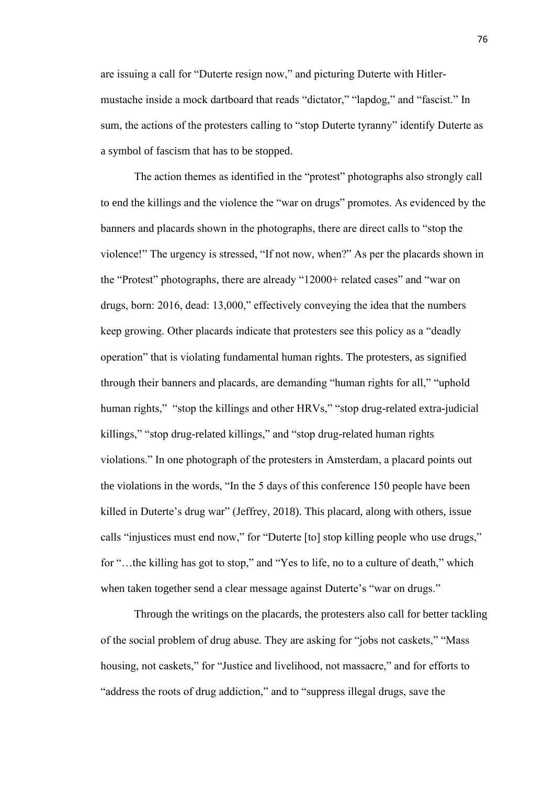are issuing a call for "Duterte resign now," and picturing Duterte with Hitlermustache inside a mock dartboard that reads "dictator," "lapdog," and "fascist." In sum, the actions of the protesters calling to "stop Duterte tyranny" identify Duterte as a symbol of fascism that has to be stopped.

The action themes as identified in the "protest" photographs also strongly call to end the killings and the violence the "war on drugs" promotes. As evidenced by the banners and placards shown in the photographs, there are direct calls to "stop the violence!" The urgency is stressed, "If not now, when?" As per the placards shown in the "Protest" photographs, there are already "12000+ related cases" and "war on drugs, born: 2016, dead: 13,000," effectively conveying the idea that the numbers keep growing. Other placards indicate that protesters see this policy as a "deadly operation" that is violating fundamental human rights. The protesters, as signified through their banners and placards, are demanding "human rights for all," "uphold human rights," "stop the killings and other HRVs," "stop drug-related extra-judicial killings," "stop drug-related killings," and "stop drug-related human rights violations." In one photograph of the protesters in Amsterdam, a placard points out the violations in the words, "In the 5 days of this conference 150 people have been killed in Duterte's drug war" (Jeffrey, 2018). This placard, along with others, issue calls "injustices must end now," for "Duterte [to] stop killing people who use drugs," for "…the killing has got to stop," and "Yes to life, no to a culture of death," which when taken together send a clear message against Duterte's "war on drugs."

Through the writings on the placards, the protesters also call for better tackling of the social problem of drug abuse. They are asking for "jobs not caskets," "Mass housing, not caskets," for "Justice and livelihood, not massacre," and for efforts to "address the roots of drug addiction," and to "suppress illegal drugs, save the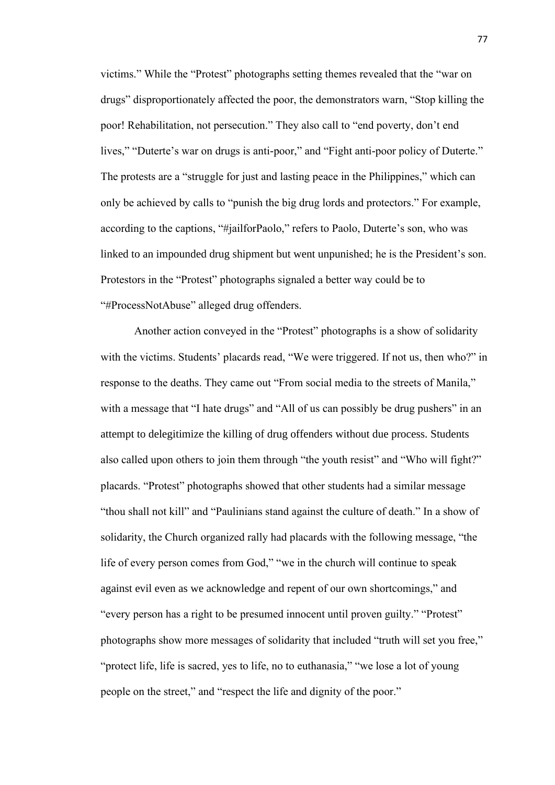victims." While the "Protest" photographs setting themes revealed that the "war on drugs" disproportionately affected the poor, the demonstrators warn, "Stop killing the poor! Rehabilitation, not persecution." They also call to "end poverty, don't end lives," "Duterte's war on drugs is anti-poor," and "Fight anti-poor policy of Duterte." The protests are a "struggle for just and lasting peace in the Philippines," which can only be achieved by calls to "punish the big drug lords and protectors." For example, according to the captions, "#jailforPaolo," refers to Paolo, Duterte's son, who was linked to an impounded drug shipment but went unpunished; he is the President's son. Protestors in the "Protest" photographs signaled a better way could be to "#ProcessNotAbuse" alleged drug offenders.

Another action conveyed in the "Protest" photographs is a show of solidarity with the victims. Students' placards read, "We were triggered. If not us, then who?" in response to the deaths. They came out "From social media to the streets of Manila," with a message that "I hate drugs" and "All of us can possibly be drug pushers" in an attempt to delegitimize the killing of drug offenders without due process. Students also called upon others to join them through "the youth resist" and "Who will fight?" placards. "Protest" photographs showed that other students had a similar message "thou shall not kill" and "Paulinians stand against the culture of death." In a show of solidarity, the Church organized rally had placards with the following message, "the life of every person comes from God," "we in the church will continue to speak against evil even as we acknowledge and repent of our own shortcomings," and "every person has a right to be presumed innocent until proven guilty." "Protest" photographs show more messages of solidarity that included "truth will set you free," "protect life, life is sacred, yes to life, no to euthanasia," "we lose a lot of young people on the street," and "respect the life and dignity of the poor."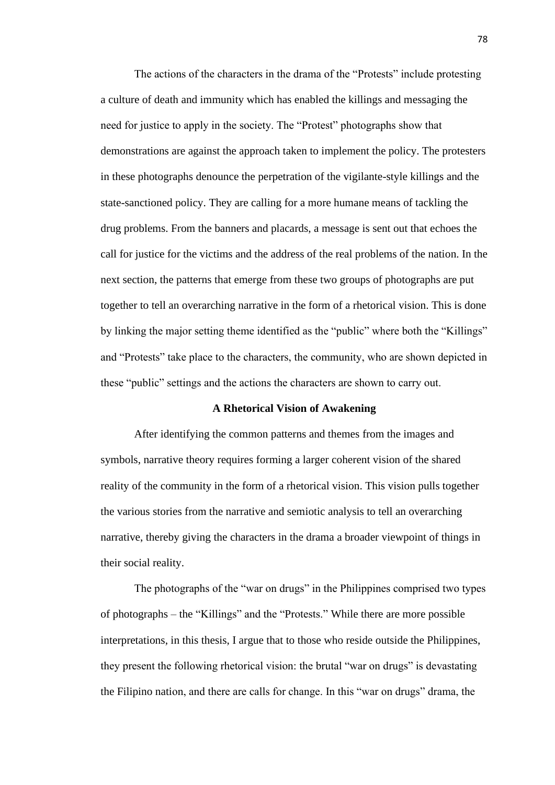The actions of the characters in the drama of the "Protests" include protesting a culture of death and immunity which has enabled the killings and messaging the need for justice to apply in the society. The "Protest" photographs show that demonstrations are against the approach taken to implement the policy. The protesters in these photographs denounce the perpetration of the vigilante-style killings and the state-sanctioned policy. They are calling for a more humane means of tackling the drug problems. From the banners and placards, a message is sent out that echoes the call for justice for the victims and the address of the real problems of the nation. In the next section, the patterns that emerge from these two groups of photographs are put together to tell an overarching narrative in the form of a rhetorical vision. This is done by linking the major setting theme identified as the "public" where both the "Killings" and "Protests" take place to the characters, the community, who are shown depicted in these "public" settings and the actions the characters are shown to carry out.

## **A Rhetorical Vision of Awakening**

After identifying the common patterns and themes from the images and symbols, narrative theory requires forming a larger coherent vision of the shared reality of the community in the form of a rhetorical vision. This vision pulls together the various stories from the narrative and semiotic analysis to tell an overarching narrative, thereby giving the characters in the drama a broader viewpoint of things in their social reality.

The photographs of the "war on drugs" in the Philippines comprised two types of photographs – the "Killings" and the "Protests." While there are more possible interpretations, in this thesis, I argue that to those who reside outside the Philippines, they present the following rhetorical vision: the brutal "war on drugs" is devastating the Filipino nation, and there are calls for change. In this "war on drugs" drama, the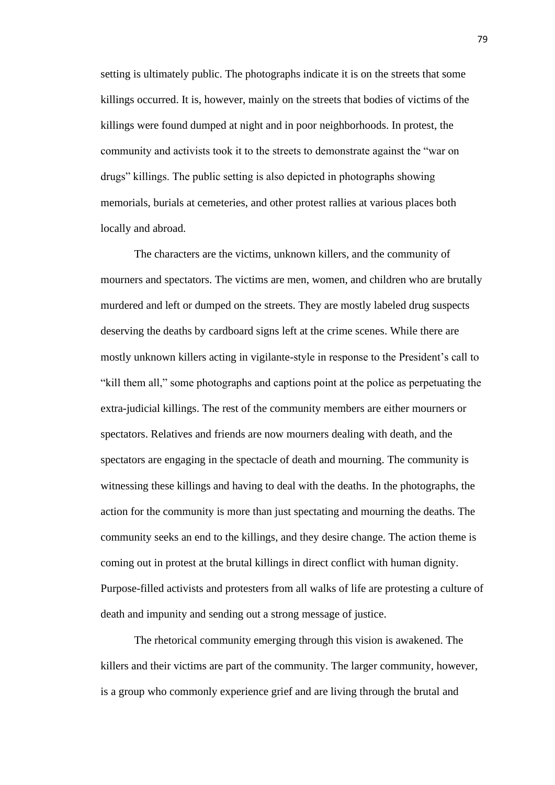setting is ultimately public. The photographs indicate it is on the streets that some killings occurred. It is, however, mainly on the streets that bodies of victims of the killings were found dumped at night and in poor neighborhoods. In protest, the community and activists took it to the streets to demonstrate against the "war on drugs" killings. The public setting is also depicted in photographs showing memorials, burials at cemeteries, and other protest rallies at various places both locally and abroad.

The characters are the victims, unknown killers, and the community of mourners and spectators. The victims are men, women, and children who are brutally murdered and left or dumped on the streets. They are mostly labeled drug suspects deserving the deaths by cardboard signs left at the crime scenes. While there are mostly unknown killers acting in vigilante-style in response to the President's call to "kill them all," some photographs and captions point at the police as perpetuating the extra-judicial killings. The rest of the community members are either mourners or spectators. Relatives and friends are now mourners dealing with death, and the spectators are engaging in the spectacle of death and mourning. The community is witnessing these killings and having to deal with the deaths. In the photographs, the action for the community is more than just spectating and mourning the deaths. The community seeks an end to the killings, and they desire change. The action theme is coming out in protest at the brutal killings in direct conflict with human dignity. Purpose-filled activists and protesters from all walks of life are protesting a culture of death and impunity and sending out a strong message of justice.

The rhetorical community emerging through this vision is awakened. The killers and their victims are part of the community. The larger community, however, is a group who commonly experience grief and are living through the brutal and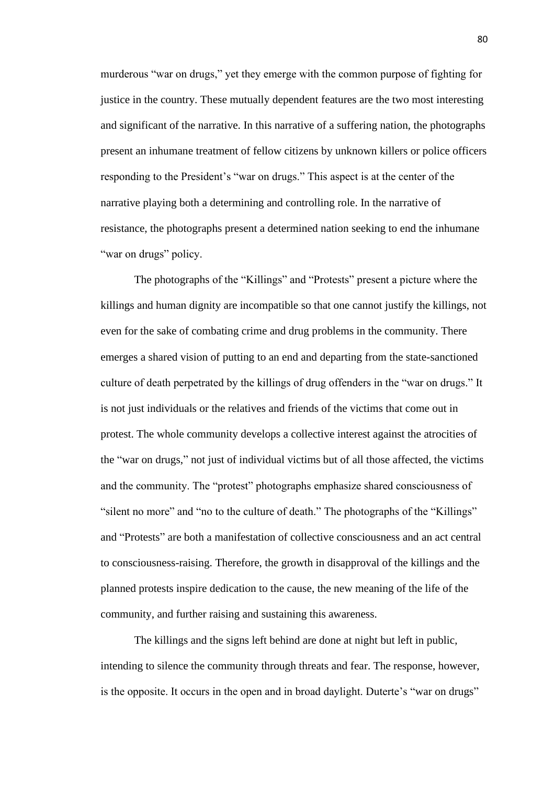murderous "war on drugs," yet they emerge with the common purpose of fighting for justice in the country. These mutually dependent features are the two most interesting and significant of the narrative. In this narrative of a suffering nation, the photographs present an inhumane treatment of fellow citizens by unknown killers or police officers responding to the President's "war on drugs." This aspect is at the center of the narrative playing both a determining and controlling role. In the narrative of resistance, the photographs present a determined nation seeking to end the inhumane "war on drugs" policy.

The photographs of the "Killings" and "Protests" present a picture where the killings and human dignity are incompatible so that one cannot justify the killings, not even for the sake of combating crime and drug problems in the community. There emerges a shared vision of putting to an end and departing from the state-sanctioned culture of death perpetrated by the killings of drug offenders in the "war on drugs." It is not just individuals or the relatives and friends of the victims that come out in protest. The whole community develops a collective interest against the atrocities of the "war on drugs," not just of individual victims but of all those affected, the victims and the community. The "protest" photographs emphasize shared consciousness of "silent no more" and "no to the culture of death." The photographs of the "Killings" and "Protests" are both a manifestation of collective consciousness and an act central to consciousness-raising. Therefore, the growth in disapproval of the killings and the planned protests inspire dedication to the cause, the new meaning of the life of the community, and further raising and sustaining this awareness.

The killings and the signs left behind are done at night but left in public, intending to silence the community through threats and fear. The response, however, is the opposite. It occurs in the open and in broad daylight. Duterte's "war on drugs"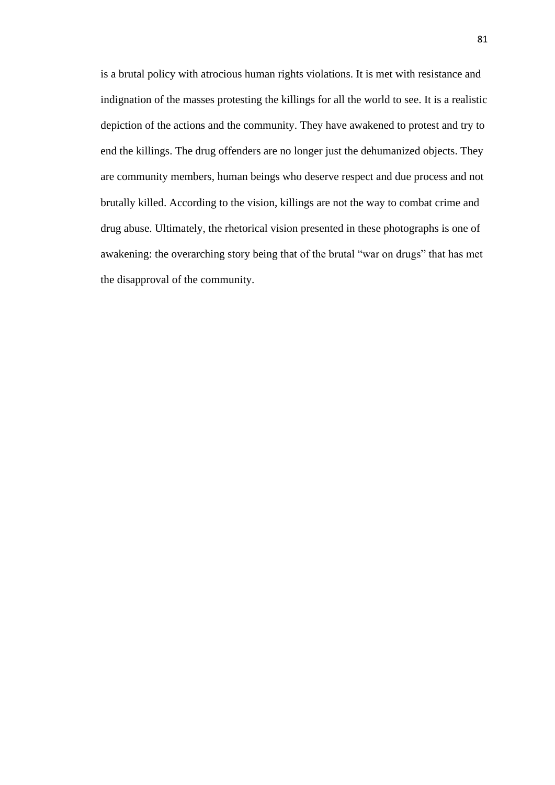is a brutal policy with atrocious human rights violations. It is met with resistance and indignation of the masses protesting the killings for all the world to see. It is a realistic depiction of the actions and the community. They have awakened to protest and try to end the killings. The drug offenders are no longer just the dehumanized objects. They are community members, human beings who deserve respect and due process and not brutally killed. According to the vision, killings are not the way to combat crime and drug abuse. Ultimately, the rhetorical vision presented in these photographs is one of awakening: the overarching story being that of the brutal "war on drugs" that has met the disapproval of the community.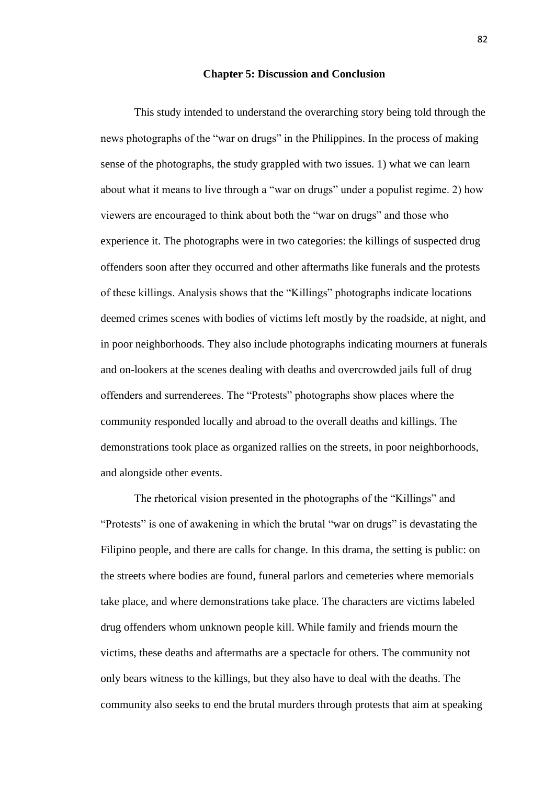### **Chapter 5: Discussion and Conclusion**

This study intended to understand the overarching story being told through the news photographs of the "war on drugs" in the Philippines. In the process of making sense of the photographs, the study grappled with two issues. 1) what we can learn about what it means to live through a "war on drugs" under a populist regime. 2) how viewers are encouraged to think about both the "war on drugs" and those who experience it. The photographs were in two categories: the killings of suspected drug offenders soon after they occurred and other aftermaths like funerals and the protests of these killings. Analysis shows that the "Killings" photographs indicate locations deemed crimes scenes with bodies of victims left mostly by the roadside, at night, and in poor neighborhoods. They also include photographs indicating mourners at funerals and on-lookers at the scenes dealing with deaths and overcrowded jails full of drug offenders and surrenderees. The "Protests" photographs show places where the community responded locally and abroad to the overall deaths and killings. The demonstrations took place as organized rallies on the streets, in poor neighborhoods, and alongside other events.

The rhetorical vision presented in the photographs of the "Killings" and "Protests" is one of awakening in which the brutal "war on drugs" is devastating the Filipino people, and there are calls for change. In this drama, the setting is public: on the streets where bodies are found, funeral parlors and cemeteries where memorials take place, and where demonstrations take place. The characters are victims labeled drug offenders whom unknown people kill. While family and friends mourn the victims, these deaths and aftermaths are a spectacle for others. The community not only bears witness to the killings, but they also have to deal with the deaths. The community also seeks to end the brutal murders through protests that aim at speaking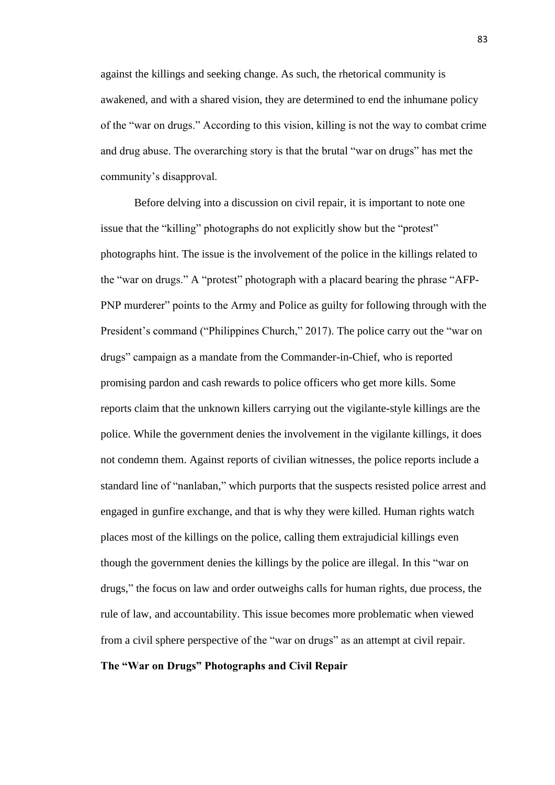against the killings and seeking change. As such, the rhetorical community is awakened, and with a shared vision, they are determined to end the inhumane policy of the "war on drugs." According to this vision, killing is not the way to combat crime and drug abuse. The overarching story is that the brutal "war on drugs" has met the community's disapproval.

Before delving into a discussion on civil repair, it is important to note one issue that the "killing" photographs do not explicitly show but the "protest" photographs hint. The issue is the involvement of the police in the killings related to the "war on drugs." A "protest" photograph with a placard bearing the phrase "AFP-PNP murderer" points to the Army and Police as guilty for following through with the President's command ("Philippines Church," 2017). The police carry out the "war on drugs" campaign as a mandate from the Commander-in-Chief, who is reported promising pardon and cash rewards to police officers who get more kills. Some reports claim that the unknown killers carrying out the vigilante-style killings are the police. While the government denies the involvement in the vigilante killings, it does not condemn them. Against reports of civilian witnesses, the police reports include a standard line of "nanlaban," which purports that the suspects resisted police arrest and engaged in gunfire exchange, and that is why they were killed. Human rights watch places most of the killings on the police, calling them extrajudicial killings even though the government denies the killings by the police are illegal. In this "war on drugs," the focus on law and order outweighs calls for human rights, due process, the rule of law, and accountability. This issue becomes more problematic when viewed from a civil sphere perspective of the "war on drugs" as an attempt at civil repair. **The "War on Drugs" Photographs and Civil Repair**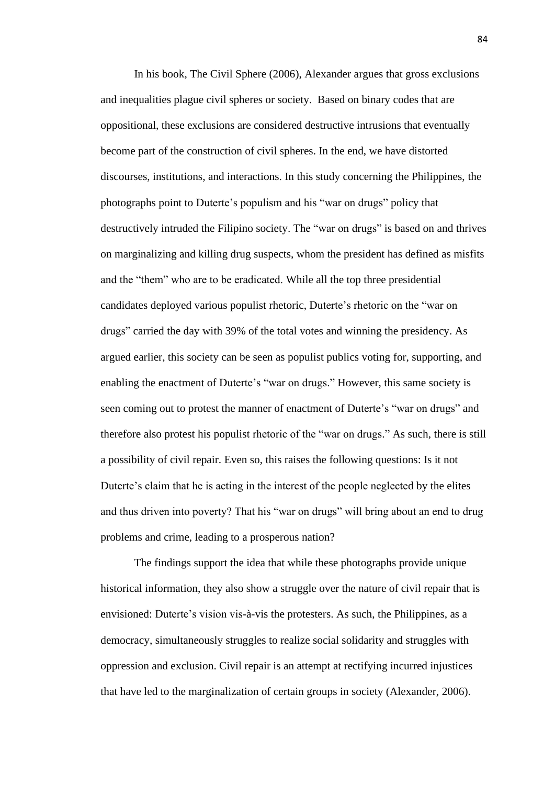In his book, The Civil Sphere (2006), Alexander argues that gross exclusions and inequalities plague civil spheres or society. Based on binary codes that are oppositional, these exclusions are considered destructive intrusions that eventually become part of the construction of civil spheres. In the end, we have distorted discourses, institutions, and interactions. In this study concerning the Philippines, the photographs point to Duterte's populism and his "war on drugs" policy that destructively intruded the Filipino society. The "war on drugs" is based on and thrives on marginalizing and killing drug suspects, whom the president has defined as misfits and the "them" who are to be eradicated. While all the top three presidential candidates deployed various populist rhetoric, Duterte's rhetoric on the "war on drugs" carried the day with 39% of the total votes and winning the presidency. As argued earlier, this society can be seen as populist publics voting for, supporting, and enabling the enactment of Duterte's "war on drugs." However, this same society is seen coming out to protest the manner of enactment of Duterte's "war on drugs" and therefore also protest his populist rhetoric of the "war on drugs." As such, there is still a possibility of civil repair. Even so, this raises the following questions: Is it not Duterte's claim that he is acting in the interest of the people neglected by the elites and thus driven into poverty? That his "war on drugs" will bring about an end to drug problems and crime, leading to a prosperous nation?

The findings support the idea that while these photographs provide unique historical information, they also show a struggle over the nature of civil repair that is envisioned: Duterte's vision vis-à-vis the protesters. As such, the Philippines, as a democracy, simultaneously struggles to realize social solidarity and struggles with oppression and exclusion. Civil repair is an attempt at rectifying incurred injustices that have led to the marginalization of certain groups in society (Alexander, 2006).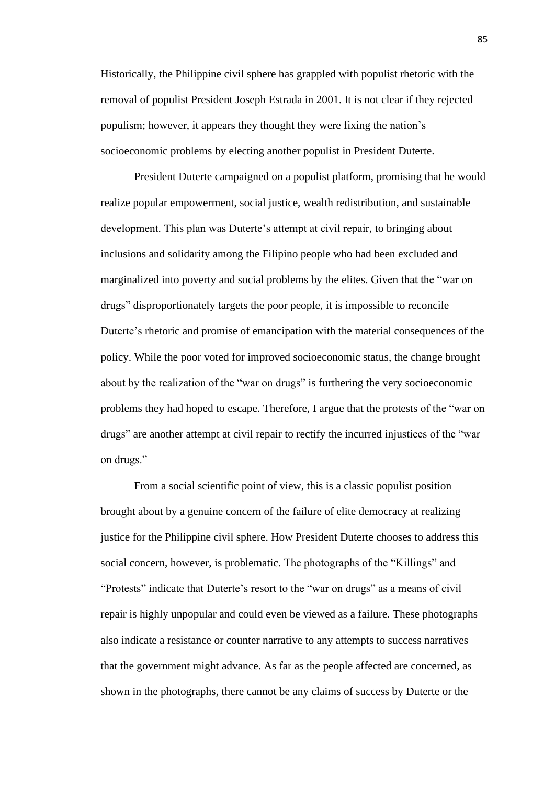Historically, the Philippine civil sphere has grappled with populist rhetoric with the removal of populist President Joseph Estrada in 2001. It is not clear if they rejected populism; however, it appears they thought they were fixing the nation's socioeconomic problems by electing another populist in President Duterte.

President Duterte campaigned on a populist platform, promising that he would realize popular empowerment, social justice, wealth redistribution, and sustainable development. This plan was Duterte's attempt at civil repair, to bringing about inclusions and solidarity among the Filipino people who had been excluded and marginalized into poverty and social problems by the elites. Given that the "war on drugs" disproportionately targets the poor people, it is impossible to reconcile Duterte's rhetoric and promise of emancipation with the material consequences of the policy. While the poor voted for improved socioeconomic status, the change brought about by the realization of the "war on drugs" is furthering the very socioeconomic problems they had hoped to escape. Therefore, I argue that the protests of the "war on drugs" are another attempt at civil repair to rectify the incurred injustices of the "war on drugs."

From a social scientific point of view, this is a classic populist position brought about by a genuine concern of the failure of elite democracy at realizing justice for the Philippine civil sphere. How President Duterte chooses to address this social concern, however, is problematic. The photographs of the "Killings" and "Protests" indicate that Duterte's resort to the "war on drugs" as a means of civil repair is highly unpopular and could even be viewed as a failure. These photographs also indicate a resistance or counter narrative to any attempts to success narratives that the government might advance. As far as the people affected are concerned, as shown in the photographs, there cannot be any claims of success by Duterte or the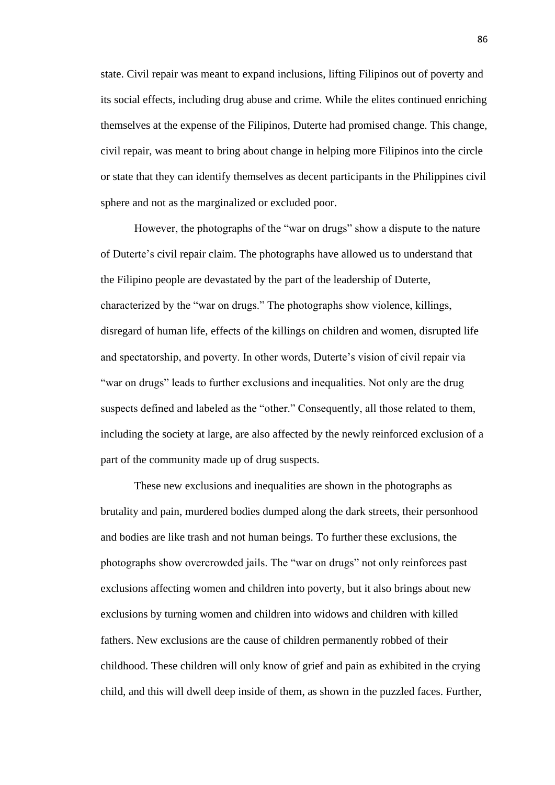state. Civil repair was meant to expand inclusions, lifting Filipinos out of poverty and its social effects, including drug abuse and crime. While the elites continued enriching themselves at the expense of the Filipinos, Duterte had promised change. This change, civil repair, was meant to bring about change in helping more Filipinos into the circle or state that they can identify themselves as decent participants in the Philippines civil sphere and not as the marginalized or excluded poor.

However, the photographs of the "war on drugs" show a dispute to the nature of Duterte's civil repair claim. The photographs have allowed us to understand that the Filipino people are devastated by the part of the leadership of Duterte, characterized by the "war on drugs." The photographs show violence, killings, disregard of human life, effects of the killings on children and women, disrupted life and spectatorship, and poverty. In other words, Duterte's vision of civil repair via "war on drugs" leads to further exclusions and inequalities. Not only are the drug suspects defined and labeled as the "other." Consequently, all those related to them, including the society at large, are also affected by the newly reinforced exclusion of a part of the community made up of drug suspects.

These new exclusions and inequalities are shown in the photographs as brutality and pain, murdered bodies dumped along the dark streets, their personhood and bodies are like trash and not human beings. To further these exclusions, the photographs show overcrowded jails. The "war on drugs" not only reinforces past exclusions affecting women and children into poverty, but it also brings about new exclusions by turning women and children into widows and children with killed fathers. New exclusions are the cause of children permanently robbed of their childhood. These children will only know of grief and pain as exhibited in the crying child, and this will dwell deep inside of them, as shown in the puzzled faces. Further,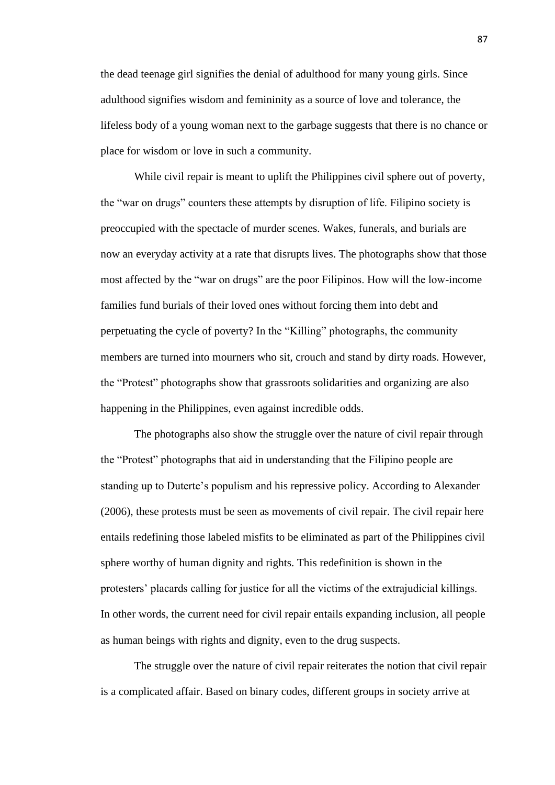the dead teenage girl signifies the denial of adulthood for many young girls. Since adulthood signifies wisdom and femininity as a source of love and tolerance, the lifeless body of a young woman next to the garbage suggests that there is no chance or place for wisdom or love in such a community.

While civil repair is meant to uplift the Philippines civil sphere out of poverty, the "war on drugs" counters these attempts by disruption of life. Filipino society is preoccupied with the spectacle of murder scenes. Wakes, funerals, and burials are now an everyday activity at a rate that disrupts lives. The photographs show that those most affected by the "war on drugs" are the poor Filipinos. How will the low-income families fund burials of their loved ones without forcing them into debt and perpetuating the cycle of poverty? In the "Killing" photographs, the community members are turned into mourners who sit, crouch and stand by dirty roads. However, the "Protest" photographs show that grassroots solidarities and organizing are also happening in the Philippines, even against incredible odds.

The photographs also show the struggle over the nature of civil repair through the "Protest" photographs that aid in understanding that the Filipino people are standing up to Duterte's populism and his repressive policy. According to Alexander (2006), these protests must be seen as movements of civil repair. The civil repair here entails redefining those labeled misfits to be eliminated as part of the Philippines civil sphere worthy of human dignity and rights. This redefinition is shown in the protesters' placards calling for justice for all the victims of the extrajudicial killings. In other words, the current need for civil repair entails expanding inclusion, all people as human beings with rights and dignity, even to the drug suspects.

The struggle over the nature of civil repair reiterates the notion that civil repair is a complicated affair. Based on binary codes, different groups in society arrive at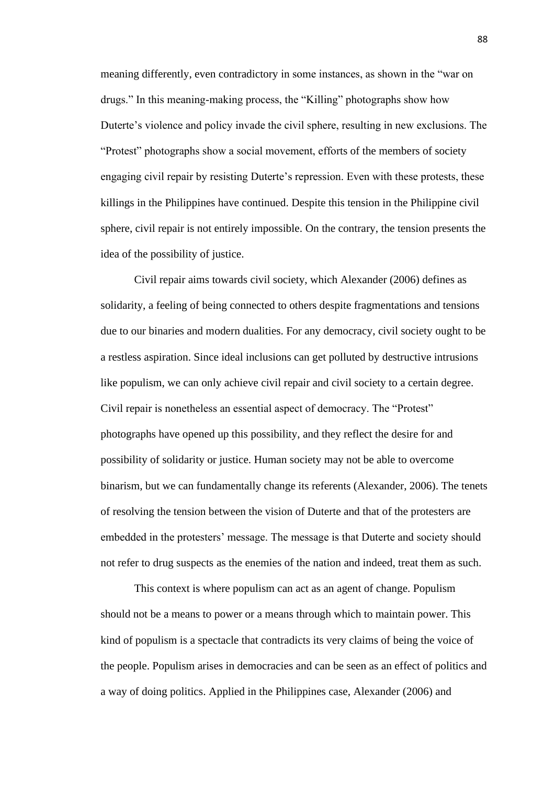meaning differently, even contradictory in some instances, as shown in the "war on drugs." In this meaning-making process, the "Killing" photographs show how Duterte's violence and policy invade the civil sphere, resulting in new exclusions. The "Protest" photographs show a social movement, efforts of the members of society engaging civil repair by resisting Duterte's repression. Even with these protests, these killings in the Philippines have continued. Despite this tension in the Philippine civil sphere, civil repair is not entirely impossible. On the contrary, the tension presents the idea of the possibility of justice.

Civil repair aims towards civil society, which Alexander (2006) defines as solidarity, a feeling of being connected to others despite fragmentations and tensions due to our binaries and modern dualities. For any democracy, civil society ought to be a restless aspiration. Since ideal inclusions can get polluted by destructive intrusions like populism, we can only achieve civil repair and civil society to a certain degree. Civil repair is nonetheless an essential aspect of democracy. The "Protest" photographs have opened up this possibility, and they reflect the desire for and possibility of solidarity or justice. Human society may not be able to overcome binarism, but we can fundamentally change its referents (Alexander, 2006). The tenets of resolving the tension between the vision of Duterte and that of the protesters are embedded in the protesters' message. The message is that Duterte and society should not refer to drug suspects as the enemies of the nation and indeed, treat them as such.

This context is where populism can act as an agent of change. Populism should not be a means to power or a means through which to maintain power. This kind of populism is a spectacle that contradicts its very claims of being the voice of the people. Populism arises in democracies and can be seen as an effect of politics and a way of doing politics. Applied in the Philippines case, Alexander (2006) and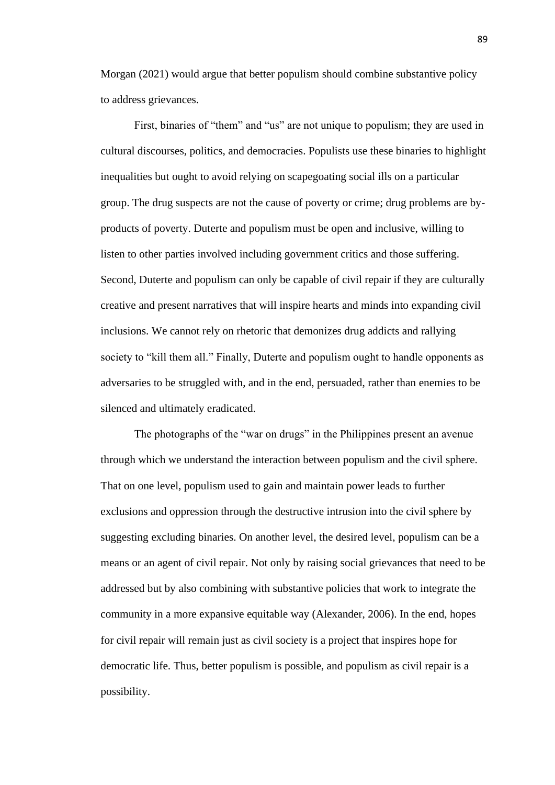Morgan (2021) would argue that better populism should combine substantive policy to address grievances.

First, binaries of "them" and "us" are not unique to populism; they are used in cultural discourses, politics, and democracies. Populists use these binaries to highlight inequalities but ought to avoid relying on scapegoating social ills on a particular group. The drug suspects are not the cause of poverty or crime; drug problems are byproducts of poverty. Duterte and populism must be open and inclusive, willing to listen to other parties involved including government critics and those suffering. Second, Duterte and populism can only be capable of civil repair if they are culturally creative and present narratives that will inspire hearts and minds into expanding civil inclusions. We cannot rely on rhetoric that demonizes drug addicts and rallying society to "kill them all." Finally, Duterte and populism ought to handle opponents as adversaries to be struggled with, and in the end, persuaded, rather than enemies to be silenced and ultimately eradicated.

The photographs of the "war on drugs" in the Philippines present an avenue through which we understand the interaction between populism and the civil sphere. That on one level, populism used to gain and maintain power leads to further exclusions and oppression through the destructive intrusion into the civil sphere by suggesting excluding binaries. On another level, the desired level, populism can be a means or an agent of civil repair. Not only by raising social grievances that need to be addressed but by also combining with substantive policies that work to integrate the community in a more expansive equitable way (Alexander, 2006). In the end, hopes for civil repair will remain just as civil society is a project that inspires hope for democratic life. Thus, better populism is possible, and populism as civil repair is a possibility.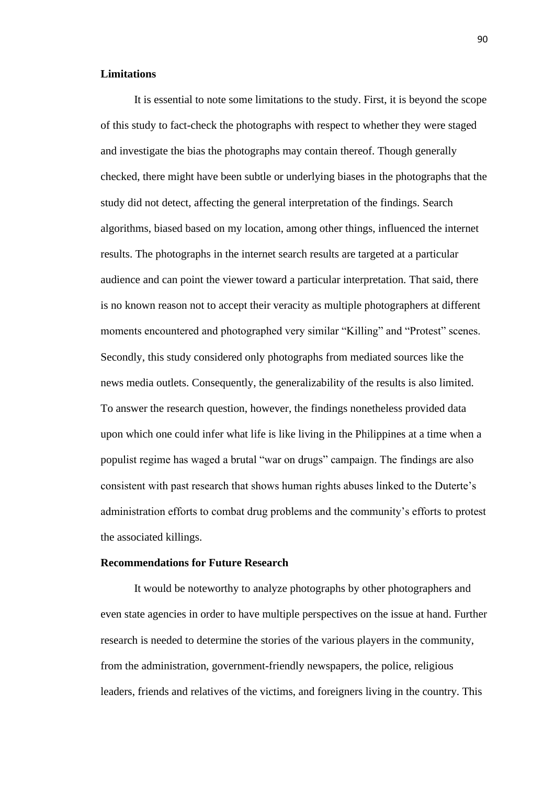### **Limitations**

It is essential to note some limitations to the study. First, it is beyond the scope of this study to fact-check the photographs with respect to whether they were staged and investigate the bias the photographs may contain thereof. Though generally checked, there might have been subtle or underlying biases in the photographs that the study did not detect, affecting the general interpretation of the findings. Search algorithms, biased based on my location, among other things, influenced the internet results. The photographs in the internet search results are targeted at a particular audience and can point the viewer toward a particular interpretation. That said, there is no known reason not to accept their veracity as multiple photographers at different moments encountered and photographed very similar "Killing" and "Protest" scenes. Secondly, this study considered only photographs from mediated sources like the news media outlets. Consequently, the generalizability of the results is also limited. To answer the research question, however, the findings nonetheless provided data upon which one could infer what life is like living in the Philippines at a time when a populist regime has waged a brutal "war on drugs" campaign. The findings are also consistent with past research that shows human rights abuses linked to the Duterte's administration efforts to combat drug problems and the community's efforts to protest the associated killings.

### **Recommendations for Future Research**

It would be noteworthy to analyze photographs by other photographers and even state agencies in order to have multiple perspectives on the issue at hand. Further research is needed to determine the stories of the various players in the community, from the administration, government-friendly newspapers, the police, religious leaders, friends and relatives of the victims, and foreigners living in the country. This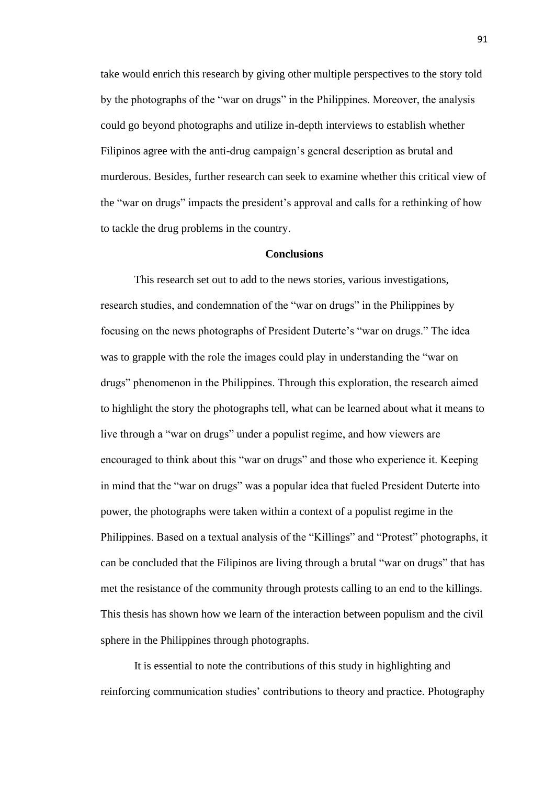take would enrich this research by giving other multiple perspectives to the story told by the photographs of the "war on drugs" in the Philippines. Moreover, the analysis could go beyond photographs and utilize in-depth interviews to establish whether Filipinos agree with the anti-drug campaign's general description as brutal and murderous. Besides, further research can seek to examine whether this critical view of the "war on drugs" impacts the president's approval and calls for a rethinking of how to tackle the drug problems in the country.

#### **Conclusions**

This research set out to add to the news stories, various investigations, research studies, and condemnation of the "war on drugs" in the Philippines by focusing on the news photographs of President Duterte's "war on drugs." The idea was to grapple with the role the images could play in understanding the "war on drugs" phenomenon in the Philippines. Through this exploration, the research aimed to highlight the story the photographs tell, what can be learned about what it means to live through a "war on drugs" under a populist regime, and how viewers are encouraged to think about this "war on drugs" and those who experience it. Keeping in mind that the "war on drugs" was a popular idea that fueled President Duterte into power, the photographs were taken within a context of a populist regime in the Philippines. Based on a textual analysis of the "Killings" and "Protest" photographs, it can be concluded that the Filipinos are living through a brutal "war on drugs" that has met the resistance of the community through protests calling to an end to the killings. This thesis has shown how we learn of the interaction between populism and the civil sphere in the Philippines through photographs.

It is essential to note the contributions of this study in highlighting and reinforcing communication studies' contributions to theory and practice. Photography

91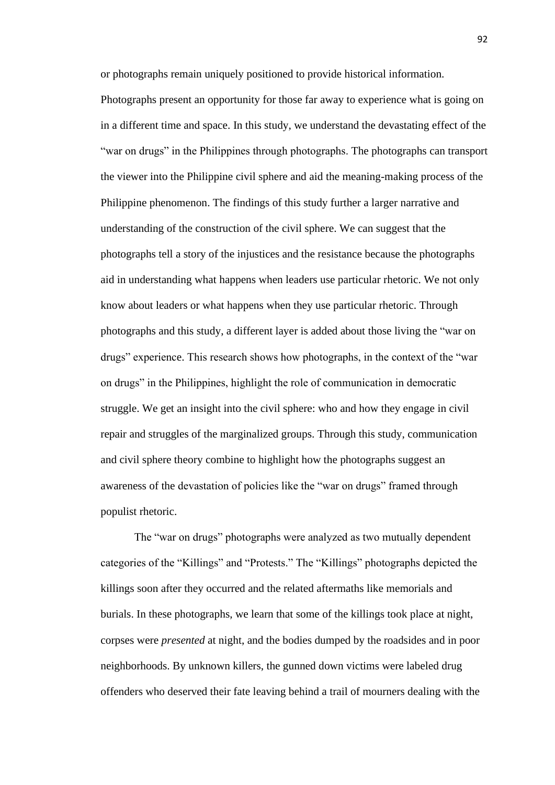or photographs remain uniquely positioned to provide historical information.

Photographs present an opportunity for those far away to experience what is going on in a different time and space. In this study, we understand the devastating effect of the "war on drugs" in the Philippines through photographs. The photographs can transport the viewer into the Philippine civil sphere and aid the meaning-making process of the Philippine phenomenon. The findings of this study further a larger narrative and understanding of the construction of the civil sphere. We can suggest that the photographs tell a story of the injustices and the resistance because the photographs aid in understanding what happens when leaders use particular rhetoric. We not only know about leaders or what happens when they use particular rhetoric. Through photographs and this study, a different layer is added about those living the "war on drugs" experience. This research shows how photographs, in the context of the "war on drugs" in the Philippines, highlight the role of communication in democratic struggle. We get an insight into the civil sphere: who and how they engage in civil repair and struggles of the marginalized groups. Through this study, communication and civil sphere theory combine to highlight how the photographs suggest an awareness of the devastation of policies like the "war on drugs" framed through populist rhetoric.

The "war on drugs" photographs were analyzed as two mutually dependent categories of the "Killings" and "Protests." The "Killings" photographs depicted the killings soon after they occurred and the related aftermaths like memorials and burials. In these photographs, we learn that some of the killings took place at night, corpses were *presented* at night, and the bodies dumped by the roadsides and in poor neighborhoods. By unknown killers, the gunned down victims were labeled drug offenders who deserved their fate leaving behind a trail of mourners dealing with the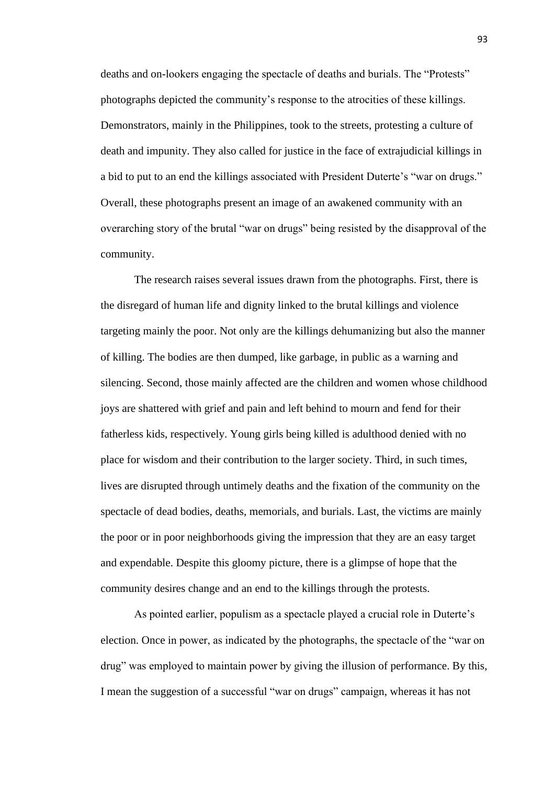deaths and on-lookers engaging the spectacle of deaths and burials. The "Protests" photographs depicted the community's response to the atrocities of these killings. Demonstrators, mainly in the Philippines, took to the streets, protesting a culture of death and impunity. They also called for justice in the face of extrajudicial killings in a bid to put to an end the killings associated with President Duterte's "war on drugs." Overall, these photographs present an image of an awakened community with an overarching story of the brutal "war on drugs" being resisted by the disapproval of the community.

The research raises several issues drawn from the photographs. First, there is the disregard of human life and dignity linked to the brutal killings and violence targeting mainly the poor. Not only are the killings dehumanizing but also the manner of killing. The bodies are then dumped, like garbage, in public as a warning and silencing. Second, those mainly affected are the children and women whose childhood joys are shattered with grief and pain and left behind to mourn and fend for their fatherless kids, respectively. Young girls being killed is adulthood denied with no place for wisdom and their contribution to the larger society. Third, in such times, lives are disrupted through untimely deaths and the fixation of the community on the spectacle of dead bodies, deaths, memorials, and burials. Last, the victims are mainly the poor or in poor neighborhoods giving the impression that they are an easy target and expendable. Despite this gloomy picture, there is a glimpse of hope that the community desires change and an end to the killings through the protests.

As pointed earlier, populism as a spectacle played a crucial role in Duterte's election. Once in power, as indicated by the photographs, the spectacle of the "war on drug" was employed to maintain power by giving the illusion of performance. By this, I mean the suggestion of a successful "war on drugs" campaign, whereas it has not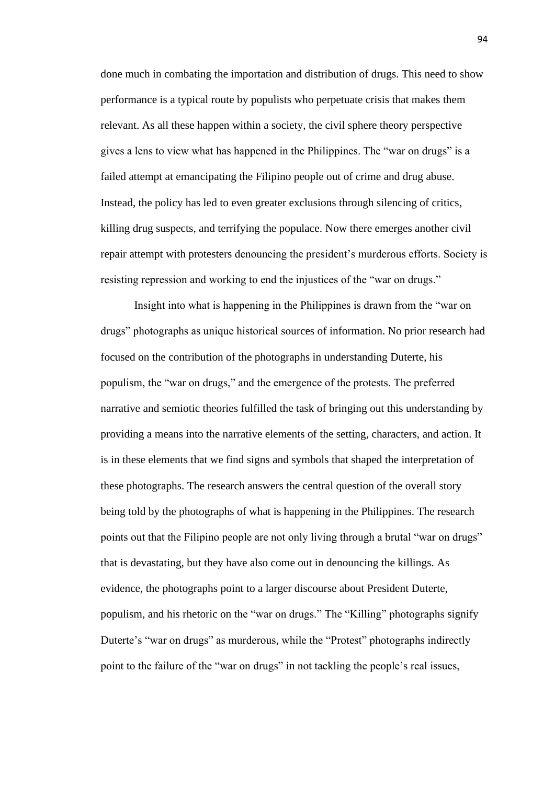done much in combating the importation and distribution of drugs. This need to show performance is a typical route by populists who perpetuate crisis that makes them relevant. As all these happen within a society, the civil sphere theory perspective gives a lens to view what has happened in the Philippines. The "war on drugs" is a failed attempt at emancipating the Filipino people out of crime and drug abuse. Instead, the policy has led to even greater exclusions through silencing of critics, killing drug suspects, and terrifying the populace. Now there emerges another civil repair attempt with protesters denouncing the president's murderous efforts. Society is resisting repression and working to end the injustices of the "war on drugs."

Insight into what is happening in the Philippines is drawn from the "war on drugs" photographs as unique historical sources of information. No prior research had focused on the contribution of the photographs in understanding Duterte, his populism, the "war on drugs," and the emergence of the protests. The preferred narrative and semiotic theories fulfilled the task of bringing out this understanding by providing a means into the narrative elements of the setting, characters, and action. It is in these elements that we find signs and symbols that shaped the interpretation of these photographs. The research answers the central question of the overall story being told by the photographs of what is happening in the Philippines. The research points out that the Filipino people are not only living through a brutal "war on drugs" that is devastating, but they have also come out in denouncing the killings. As evidence, the photographs point to a larger discourse about President Duterte, populism, and his rhetoric on the "war on drugs." The "Killing" photographs signify Duterte's "war on drugs" as murderous, while the "Protest" photographs indirectly point to the failure of the "war on drugs" in not tackling the people's real issues,

94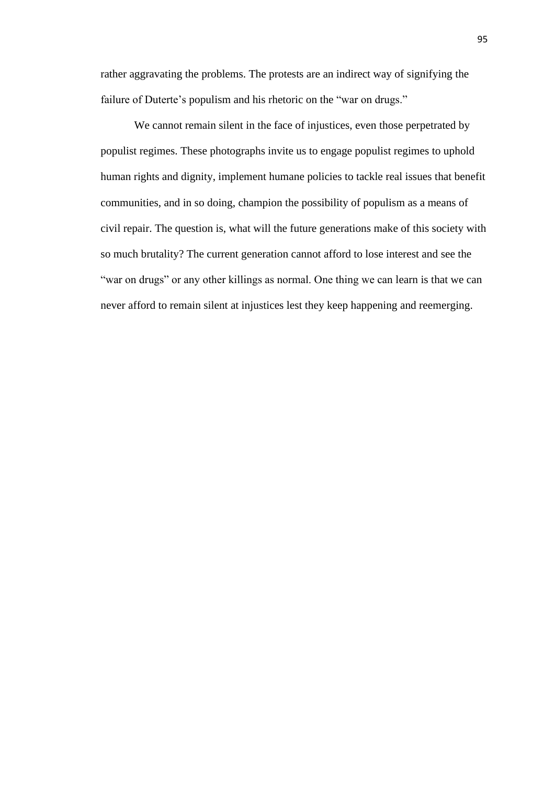rather aggravating the problems. The protests are an indirect way of signifying the failure of Duterte's populism and his rhetoric on the "war on drugs."

We cannot remain silent in the face of injustices, even those perpetrated by populist regimes. These photographs invite us to engage populist regimes to uphold human rights and dignity, implement humane policies to tackle real issues that benefit communities, and in so doing, champion the possibility of populism as a means of civil repair. The question is, what will the future generations make of this society with so much brutality? The current generation cannot afford to lose interest and see the "war on drugs" or any other killings as normal. One thing we can learn is that we can never afford to remain silent at injustices lest they keep happening and reemerging.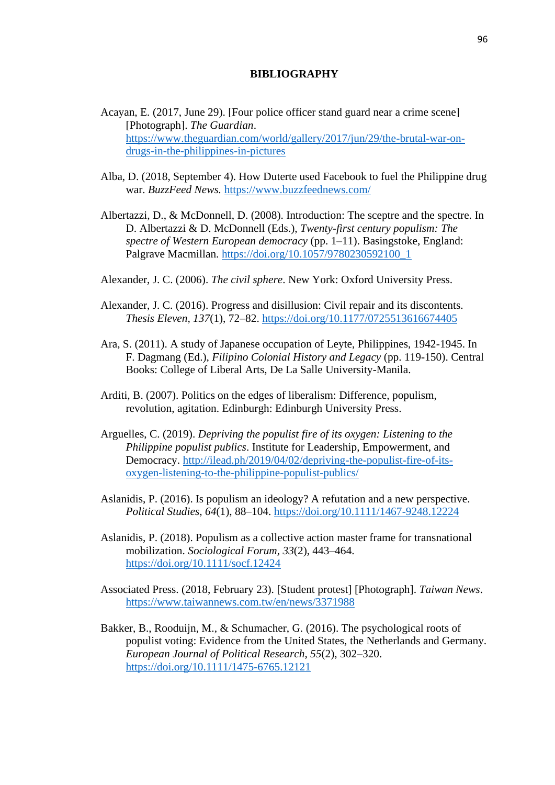### **BIBLIOGRAPHY**

- Acayan, E. (2017, June 29). [Four police officer stand guard near a crime scene] [Photograph]. *The Guardian*. [https://www.theguardian.com/world/gallery/2017/jun/29/the-brutal-war-on](https://www.theguardian.com/world/gallery/2017/jun/29/the-brutal-war-on-drugs-in-the-philippines-in-pictures)[drugs-in-the-philippines-in-pictures](https://www.theguardian.com/world/gallery/2017/jun/29/the-brutal-war-on-drugs-in-the-philippines-in-pictures)
- Alba, D. (2018, September 4). How Duterte used Facebook to fuel the Philippine drug war. *BuzzFeed News.* <https://www.buzzfeednews.com/>
- Albertazzi, D., & McDonnell, D. (2008). Introduction: The sceptre and the spectre. In D. Albertazzi & D. McDonnell (Eds.), *Twenty-first century populism: The spectre of Western European democracy* (pp. 1–11). Basingstoke, England: Palgrave Macmillan. [https://doi.org/10.1057/9780230592100\\_1](https://doi.org/10.1057/9780230592100_1)
- Alexander, J. C. (2006). *The civil sphere*. New York: Oxford University Press.
- Alexander, J. C. (2016). Progress and disillusion: Civil repair and its discontents. *Thesis Eleven, 137*(1), 72–82.<https://doi.org/10.1177/0725513616674405>
- Ara, S. (2011). A study of Japanese occupation of Leyte, Philippines, 1942-1945. In F. Dagmang (Ed.), *Filipino Colonial History and Legacy* (pp. 119-150). Central Books: College of Liberal Arts, De La Salle University-Manila.
- Arditi, B. (2007). Politics on the edges of liberalism: Difference, populism, revolution, agitation. Edinburgh: Edinburgh University Press.
- Arguelles, C. (2019). *Depriving the populist fire of its oxygen: Listening to the Philippine populist publics*. Institute for Leadership, Empowerment, and Democracy. [http://ilead.ph/2019/04/02/depriving-the-populist-fire-of-its](http://ilead.ph/2019/04/02/depriving-the-populist-fire-of-its-oxygen-listening-to-the-philippine-populist-publics/)[oxygen-listening-to-the-philippine-populist-publics/](http://ilead.ph/2019/04/02/depriving-the-populist-fire-of-its-oxygen-listening-to-the-philippine-populist-publics/)
- Aslanidis, P. (2016). Is populism an ideology? A refutation and a new perspective. *Political Studies, 64*(1), 88–104. [https://doi.org/10.1111/1467-9248.12224](https://doi.org/10.1111%2F1467-9248.12224)
- Aslanidis, P. (2018). Populism as a collective action master frame for transnational mobilization. *Sociological Forum, 33*(2), 443–464. <https://doi.org/10.1111/socf.12424>
- Associated Press. (2018, February 23). [Student protest] [Photograph]. *Taiwan News*. <https://www.taiwannews.com.tw/en/news/3371988>
- Bakker, B., Rooduijn, M., & Schumacher, G. (2016). The psychological roots of populist voting: Evidence from the United States, the Netherlands and Germany. *European Journal of Political Research*, *55*(2), 302–320. <https://doi.org/10.1111/1475-6765.12121>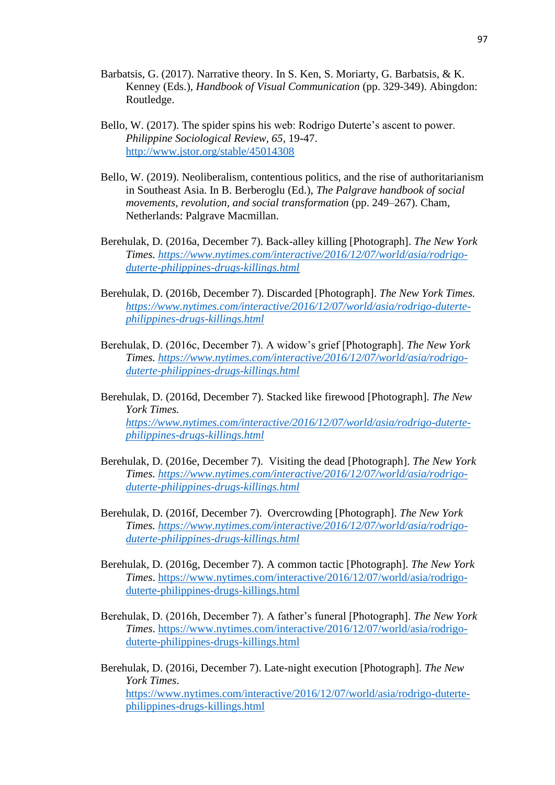- Barbatsis, G. (2017). Narrative theory. In S. Ken, S. Moriarty, G. Barbatsis, & K. Kenney (Eds.), *Handbook of Visual Communication* (pp. 329-349). Abingdon: Routledge.
- Bello, W. (2017). The spider spins his web: Rodrigo Duterte's ascent to power. *Philippine Sociological Review, 65*, 19-47. <http://www.jstor.org/stable/45014308>
- Bello, W. (2019). Neoliberalism, contentious politics, and the rise of authoritarianism in Southeast Asia. In B. Berberoglu (Ed.), *The Palgrave handbook of social movements, revolution, and social transformation* (pp. 249–267). Cham, Netherlands: Palgrave Macmillan.
- Berehulak, D. (2016a, December 7). Back-alley killing [Photograph]. *The New York Times. [https://www.nytimes.com/interactive/2016/12/07/world/asia/rodrigo](https://www.nytimes.com/interactive/2016/12/07/world/asia/rodrigo-duterte-philippines-drugs-killings.html)[duterte-philippines-drugs-killings.html](https://www.nytimes.com/interactive/2016/12/07/world/asia/rodrigo-duterte-philippines-drugs-killings.html)*
- Berehulak, D. (2016b, December 7). Discarded [Photograph]. *The New York Times. [https://www.nytimes.com/interactive/2016/12/07/world/asia/rodrigo-duterte](https://www.nytimes.com/interactive/2016/12/07/world/asia/rodrigo-duterte-philippines-drugs-killings.html)[philippines-drugs-killings.html](https://www.nytimes.com/interactive/2016/12/07/world/asia/rodrigo-duterte-philippines-drugs-killings.html)*
- Berehulak, D. (2016c, December 7). A widow's grief [Photograph]. *The New York Times. [https://www.nytimes.com/interactive/2016/12/07/world/asia/rodrigo](https://www.nytimes.com/interactive/2016/12/07/world/asia/rodrigo-duterte-philippines-drugs-killings.html)[duterte-philippines-drugs-killings.html](https://www.nytimes.com/interactive/2016/12/07/world/asia/rodrigo-duterte-philippines-drugs-killings.html)*
- Berehulak, D. (2016d, December 7). Stacked like firewood [Photograph]. *The New York Times. [https://www.nytimes.com/interactive/2016/12/07/world/asia/rodrigo-duterte](https://www.nytimes.com/interactive/2016/12/07/world/asia/rodrigo-duterte-philippines-drugs-killings.html)[philippines-drugs-killings.html](https://www.nytimes.com/interactive/2016/12/07/world/asia/rodrigo-duterte-philippines-drugs-killings.html)*
- Berehulak, D. (2016e, December 7). Visiting the dead [Photograph]. *The New York Times. [https://www.nytimes.com/interactive/2016/12/07/world/asia/rodrigo](https://www.nytimes.com/interactive/2016/12/07/world/asia/rodrigo-duterte-philippines-drugs-killings.html)[duterte-philippines-drugs-killings.html](https://www.nytimes.com/interactive/2016/12/07/world/asia/rodrigo-duterte-philippines-drugs-killings.html)*
- Berehulak, D. (2016f, December 7). Overcrowding [Photograph]. *The New York Times. [https://www.nytimes.com/interactive/2016/12/07/world/asia/rodrigo](https://www.nytimes.com/interactive/2016/12/07/world/asia/rodrigo-duterte-philippines-drugs-killings.html)[duterte-philippines-drugs-killings.html](https://www.nytimes.com/interactive/2016/12/07/world/asia/rodrigo-duterte-philippines-drugs-killings.html)*
- Berehulak, D. (2016g, December 7). A common tactic [Photograph]. *The New York Times*. [https://www.nytimes.com/interactive/2016/12/07/world/asia/rodrigo](https://www.nytimes.com/interactive/2016/12/07/world/asia/rodrigo-duterte-philippines-drugs-killings.html)[duterte-philippines-drugs-killings.html](https://www.nytimes.com/interactive/2016/12/07/world/asia/rodrigo-duterte-philippines-drugs-killings.html)
- Berehulak, D. (2016h, December 7). A father's funeral [Photograph]. *The New York Times*. [https://www.nytimes.com/interactive/2016/12/07/world/asia/rodrigo](https://www.nytimes.com/interactive/2016/12/07/world/asia/rodrigo-duterte-philippines-drugs-killings.html)[duterte-philippines-drugs-killings.html](https://www.nytimes.com/interactive/2016/12/07/world/asia/rodrigo-duterte-philippines-drugs-killings.html)
- Berehulak, D. (2016i, December 7). Late-night execution [Photograph]. *The New York Times*. [https://www.nytimes.com/interactive/2016/12/07/world/asia/rodrigo-duterte](https://www.nytimes.com/interactive/2016/12/07/world/asia/rodrigo-duterte-philippines-drugs-killings.html)[philippines-drugs-killings.html](https://www.nytimes.com/interactive/2016/12/07/world/asia/rodrigo-duterte-philippines-drugs-killings.html)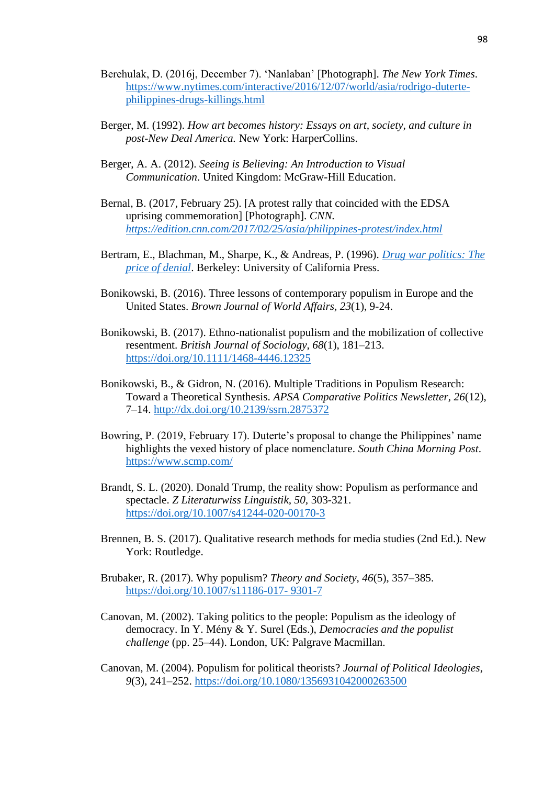- Berehulak, D. (2016j, December 7). 'Nanlaban' [Photograph]. *The New York Times*. [https://www.nytimes.com/interactive/2016/12/07/world/asia/rodrigo-duterte](https://www.nytimes.com/interactive/2016/12/07/world/asia/rodrigo-duterte-philippines-drugs-killings.html)[philippines-drugs-killings.html](https://www.nytimes.com/interactive/2016/12/07/world/asia/rodrigo-duterte-philippines-drugs-killings.html)
- Berger, M. (1992). *How art becomes history: Essays on art, society, and culture in post-New Deal America.* New York: HarperCollins.
- Berger, A. A. (2012). *Seeing is Believing: An Introduction to Visual Communication*. United Kingdom: McGraw-Hill Education.
- Bernal, B. (2017, February 25). [A protest rally that coincided with the EDSA uprising commemoration] [Photograph]. *CNN. <https://edition.cnn.com/2017/02/25/asia/philippines-protest/index.html>*
- Bertram, E., Blachman, M., Sharpe, K., & Andreas, P. (1996). *Drug war [politics: The](https://eds.a.ebscohost.com/eds/viewarticle/render?data=dGJyMPPp44rp2%2fdV0%2bnjisfk5Ie46bRKsKivTa6k63nn5Kx94um%2bSbClsEewprBInq%2b4TLawslGet8s%2b8ujfhvHX4Yzn5eyB4rOvS7Gnt0mxq7I%2b8d%2fiVbCvt32u1%2bJLq6axTrWjsnyzpqt649uxReSssk2vq7NP4dvkUb7p4nur7KuL4%2bnxheXorkmk4t%2bG5bPjhqTa4FXjpq5I9uTfPvLX5VW%2fxKR57LOzT7WspH7t6Ot58rPkjeri8n326qR%2f89vxjLvK8I3j&vid=1&sid=299e0ad3-0367-4d50-bee3-f6451557cef9@sdc-v-sessmgr01)  [price of denial](https://eds.a.ebscohost.com/eds/viewarticle/render?data=dGJyMPPp44rp2%2fdV0%2bnjisfk5Ie46bRKsKivTa6k63nn5Kx94um%2bSbClsEewprBInq%2b4TLawslGet8s%2b8ujfhvHX4Yzn5eyB4rOvS7Gnt0mxq7I%2b8d%2fiVbCvt32u1%2bJLq6axTrWjsnyzpqt649uxReSssk2vq7NP4dvkUb7p4nur7KuL4%2bnxheXorkmk4t%2bG5bPjhqTa4FXjpq5I9uTfPvLX5VW%2fxKR57LOzT7WspH7t6Ot58rPkjeri8n326qR%2f89vxjLvK8I3j&vid=1&sid=299e0ad3-0367-4d50-bee3-f6451557cef9@sdc-v-sessmgr01)*. Berkeley: University of California Press.
- Bonikowski, B. (2016). Three lessons of contemporary populism in Europe and the United States. *Brown Journal of World Affairs, 23*(1), 9-24.
- Bonikowski, B. (2017). Ethno-nationalist populism and the mobilization of collective resentment. *British Journal of Sociology, 68*(1), 181–213. <https://doi.org/10.1111/1468-4446.12325>
- Bonikowski, B., & Gidron, N. (2016). Multiple Traditions in Populism Research: Toward a Theoretical Synthesis. *APSA Comparative Politics Newsletter, 26*(12), 7–14. [http://dx.doi.org/10.2139/ssrn.2875372](https://dx.doi.org/10.2139/ssrn.2875372)
- Bowring, P. (2019, February 17). Duterte's proposal to change the Philippines' name highlights the vexed history of place nomenclature. *South China Morning Post*. <https://www.scmp.com/>
- Brandt, S. L. (2020). Donald Trump, the reality show: Populism as performance and spectacle. *Z Literaturwiss Linguistik, 50,* 303-321. <https://doi.org/10.1007/s41244-020-00170-3>
- Brennen, B. S. (2017). Qualitative research methods for media studies (2nd Ed.). New York: Routledge.
- Brubaker, R. (2017). Why populism? *Theory and Society*, *46*(5), 357–385. [https://doi.org/10.1007/s11186-017-](https://doi.org/10.1007/s11186-017-%209301-7) 9301-7
- Canovan, M. (2002). Taking politics to the people: Populism as the ideology of democracy. In Y. Mény & Y. Surel (Eds.), *Democracies and the populist challenge* (pp. 25–44). London, UK: Palgrave Macmillan.
- Canovan, M. (2004). Populism for political theorists? *Journal of Political Ideologies*, *9*(3), 241–252.<https://doi.org/10.1080/1356931042000263500>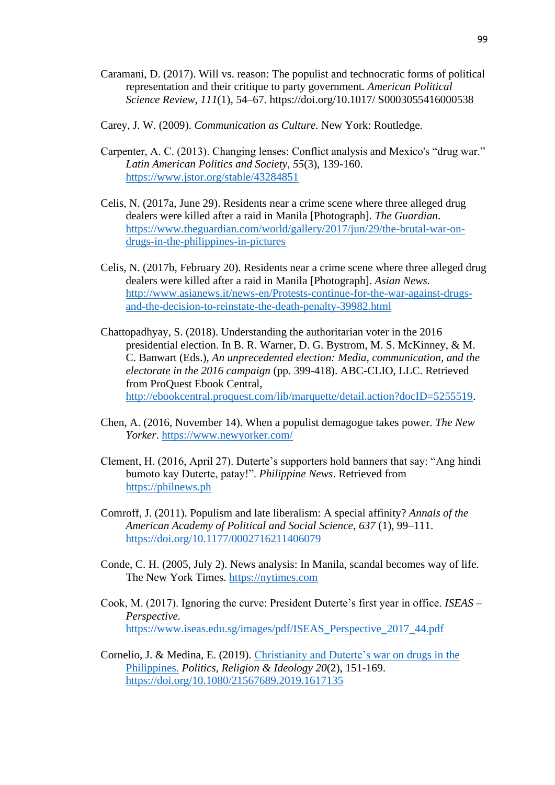- Caramani, D. (2017). Will vs. reason: The populist and technocratic forms of political representation and their critique to party government. *American Political Science Review*, *111*(1), 54–67. https://doi.org/10.1017/ S0003055416000538
- Carey, J. W. (2009). *Communication as Culture.* New York: Routledge.
- Carpenter, A. C. (2013). Changing lenses: Conflict analysis and Mexico's "drug war." *Latin American Politics and Society*, *55*(3), 139-160. <https://www.jstor.org/stable/43284851>
- Celis, N. (2017a, June 29). Residents near a crime scene where three alleged drug dealers were killed after a raid in Manila [Photograph]. *The Guardian*. [https://www.theguardian.com/world/gallery/2017/jun/29/the-brutal-war-on](https://www.theguardian.com/world/gallery/2017/jun/29/the-brutal-war-on-drugs-in-the-philippines-in-pictures)[drugs-in-the-philippines-in-pictures](https://www.theguardian.com/world/gallery/2017/jun/29/the-brutal-war-on-drugs-in-the-philippines-in-pictures)
- Celis, N. (2017b, February 20). Residents near a crime scene where three alleged drug dealers were killed after a raid in Manila [Photograph]. *Asian News.*  [http://www.asianews.it/news-en/Protests-continue-for-the-war-against-drugs](http://www.asianews.it/news-en/Protests-continue-for-the-war-against-drugs-and-the-decision-to-reinstate-the-death-penalty-39982.html)[and-the-decision-to-reinstate-the-death-penalty-39982.html](http://www.asianews.it/news-en/Protests-continue-for-the-war-against-drugs-and-the-decision-to-reinstate-the-death-penalty-39982.html)
- Chattopadhyay, S. (2018). Understanding the authoritarian voter in the 2016 presidential election. In B. R. Warner, D. G. Bystrom, M. S. McKinney, & M. C. Banwart (Eds.), *An unprecedented election: Media, communication, and the electorate in the 2016 campaign* (pp. 399-418). ABC-CLIO, LLC. Retrieved from ProQuest Ebook Central, [http://ebookcentral.proquest.com/lib/marquette/detail.action?docID=5255519.](http://ebookcentral.proquest.com/lib/marquette/detail.action?docID=5255519)
- Chen, A. (2016, November 14). When a populist demagogue takes power. *The New Yorker*.<https://www.newyorker.com/>
- Clement, H. (2016, April 27). Duterte's supporters hold banners that say: "Ang hindi bumoto kay Duterte, patay!". *Philippine News*. Retrieved from [https://philnews.ph](https://philnews.ph/)
- Comroff, J. (2011). Populism and late liberalism: A special affinity? *Annals of the American Academy of Political and Social Science*, *637* (1), 99–111. <https://doi.org/10.1177/0002716211406079>
- Conde, C. H. (2005, July 2). News analysis: In Manila, scandal becomes way of life. The New York Times. [https://nytimes.com](https://nytimes.com/)
- Cook, M. (2017). Ignoring the curve: President Duterte's first year in office. *ISEAS – Perspective.* [https://www.iseas.edu.sg/images/pdf/ISEAS\\_Perspective\\_2017\\_44.pdf](https://www.iseas.edu.sg/images/pdf/ISEAS_Perspective_2017_44.pdf)
- Cornelio, J. & Medina, E. (2019). [Christianity and Duterte's](https://eds.a.ebscohost.com/eds/viewarticle/render?data=dGJyMPPp44rp2%2fdV0%2bnjisfk5Ie46bRKsKivTa6k63nn5Kx94um%2bSbClsEewprBInq%2b4TLawslGet8s%2b8ujfhvHX4Yzn5eyB4rOvS7Gnt0mxq7I%2b8d%2fiVbCvt32u1%2bJLq6axTrWjsnyzpqt649uxReSssk2vq7NP4dvkUb7p4nur7KuL4%2bnxheXorkmk4t%2bG5bPjhqTa4FXf5%2bY%2b8tflVb%2fEpHnss69Lta%2bwTLGvrz7k5fCF3%2bq7fvPi6ozj7vI%2b5evji%2fKz0orz2wAA&vid=1&sid=299e0ad3-0367-4d50-bee3-f6451557cef9@sdc-v-sessmgr01) war on drugs in the [Philippines.](https://eds.a.ebscohost.com/eds/viewarticle/render?data=dGJyMPPp44rp2%2fdV0%2bnjisfk5Ie46bRKsKivTa6k63nn5Kx94um%2bSbClsEewprBInq%2b4TLawslGet8s%2b8ujfhvHX4Yzn5eyB4rOvS7Gnt0mxq7I%2b8d%2fiVbCvt32u1%2bJLq6axTrWjsnyzpqt649uxReSssk2vq7NP4dvkUb7p4nur7KuL4%2bnxheXorkmk4t%2bG5bPjhqTa4FXf5%2bY%2b8tflVb%2fEpHnss69Lta%2bwTLGvrz7k5fCF3%2bq7fvPi6ozj7vI%2b5evji%2fKz0orz2wAA&vid=1&sid=299e0ad3-0367-4d50-bee3-f6451557cef9@sdc-v-sessmgr01) *Politics, Religion & Ideology 20*(2), 151-169. <https://doi.org/10.1080/21567689.2019.1617135>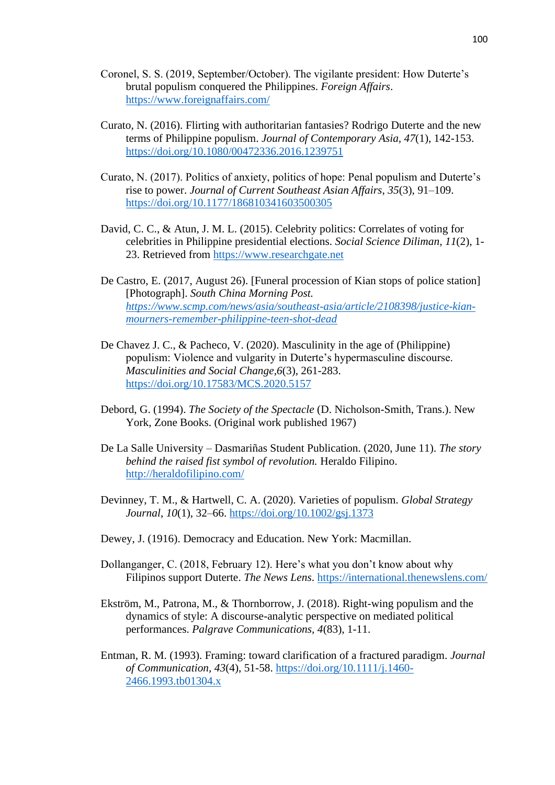- Coronel, S. S. (2019, September/October). The vigilante president: How Duterte's brutal populism conquered the Philippines. *Foreign Affairs*. <https://www.foreignaffairs.com/>
- Curato, N. (2016). Flirting with authoritarian fantasies? Rodrigo Duterte and the new terms of Philippine populism. *Journal of Contemporary Asia, 47*(1), 142-153. <https://doi.org/10.1080/00472336.2016.1239751>
- Curato, N. (2017). Politics of anxiety, politics of hope: Penal populism and Duterte's rise to power. *Journal of Current Southeast Asian Affairs*, *35*(3), 91–109. [https://doi.org/10.1177/186810341603500305](https://doi.org/10.1177%2F186810341603500305)
- David, C. C., & Atun, J. M. L. (2015). Celebrity politics: Correlates of voting for celebrities in Philippine presidential elections. *Social Science Diliman, 11*(2), 1- 23. Retrieved from [https://www.researchgate.net](https://www.researchgate.net/)
- De Castro, E. (2017, August 26). [Funeral procession of Kian stops of police station] [Photograph]. *South China Morning Post. [https://www.scmp.com/news/asia/southeast-asia/article/2108398/justice-kian](https://www.scmp.com/news/asia/southeast-asia/article/2108398/justice-kian-mourners-remember-philippine-teen-shot-dead)[mourners-remember-philippine-teen-shot-dead](https://www.scmp.com/news/asia/southeast-asia/article/2108398/justice-kian-mourners-remember-philippine-teen-shot-dead)*
- De Chavez J. C., & Pacheco, V. (2020). Masculinity in the age of (Philippine) populism: Violence and vulgarity in Duterte's hypermasculine discourse. *Masculinities and Social Change,6*(3), 261-283. <https://doi.org/10.17583/MCS.2020.5157>
- Debord, G. (1994). *The Society of the Spectacle* (D. Nicholson-Smith, Trans.). New York, Zone Books. (Original work published 1967)
- De La Salle University Dasmariñas Student Publication. (2020, June 11). *The story behind the raised fist symbol of revolution.* Heraldo Filipino. <http://heraldofilipino.com/>
- Devinney, T. M., & Hartwell, C. A. (2020). Varieties of populism. *Global Strategy Journal*, *10*(1), 32–66.<https://doi.org/10.1002/gsj.1373>
- Dewey, J. (1916). Democracy and Education. New York: Macmillan.
- Dollanganger, C. (2018, February 12). Here's what you don't know about why Filipinos support Duterte. *The News Lens*.<https://international.thenewslens.com/>
- Ekström, M., Patrona, M., & Thornborrow, J. (2018). Right-wing populism and the dynamics of style: A discourse-analytic perspective on mediated political performances. *Palgrave Communications, 4*(83), 1-11.
- Entman, R. M. (1993). Framing: toward clarification of a fractured paradigm. *Journal of Communication, 43*(4), 51-58. [https://doi.org/10.1111/j.1460-](https://doi.org/10.1111/j.1460-2466.1993.tb01304.x) [2466.1993.tb01304.x](https://doi.org/10.1111/j.1460-2466.1993.tb01304.x)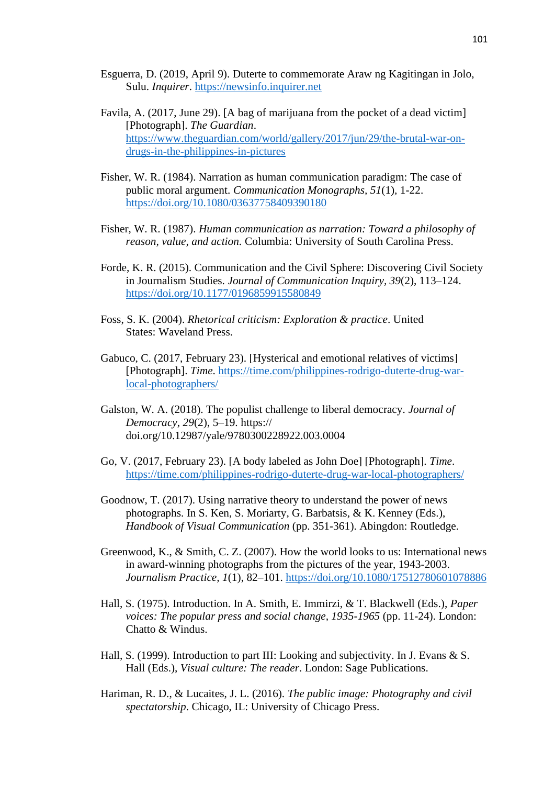- Esguerra, D. (2019, April 9). Duterte to commemorate Araw ng Kagitingan in Jolo, Sulu. *Inquirer*. [https://newsinfo.inquirer.net](https://newsinfo.inquirer.net/)
- Favila, A. (2017, June 29). [A bag of marijuana from the pocket of a dead victim] [Photograph]. *The Guardian*. [https://www.theguardian.com/world/gallery/2017/jun/29/the-brutal-war-on](https://www.theguardian.com/world/gallery/2017/jun/29/the-brutal-war-on-drugs-in-the-philippines-in-pictures)[drugs-in-the-philippines-in-pictures](https://www.theguardian.com/world/gallery/2017/jun/29/the-brutal-war-on-drugs-in-the-philippines-in-pictures)
- Fisher, W. R. (1984). Narration as human communication paradigm: The case of public moral argument. *Communication Monographs, 51*(1)*,* 1-22. <https://doi.org/10.1080/03637758409390180>
- Fisher, W. R. (1987). *Human communication as narration: Toward a philosophy of reason, value, and action.* Columbia: University of South Carolina Press.
- Forde, K. R. (2015). Communication and the Civil Sphere: Discovering Civil Society in Journalism Studies. *Journal of Communication Inquiry, 39*(2), 113–124. <https://doi.org/10.1177/0196859915580849>
- Foss, S. K. (2004). *Rhetorical criticism: Exploration & practice*. United States: Waveland Press.
- Gabuco, C. (2017, February 23). [Hysterical and emotional relatives of victims] [Photograph]. *Time*. [https://time.com/philippines-rodrigo-duterte-drug-war](https://time.com/philippines-rodrigo-duterte-drug-war-local-photographers/)[local-photographers/](https://time.com/philippines-rodrigo-duterte-drug-war-local-photographers/)
- Galston, W. A. (2018). The populist challenge to liberal democracy. *Journal of Democracy*, *29*(2), 5–19. https:// doi.org/10.12987/yale/9780300228922.003.0004
- Go, V. (2017, February 23). [A body labeled as John Doe] [Photograph]. *Time*. <https://time.com/philippines-rodrigo-duterte-drug-war-local-photographers/>
- Goodnow, T. (2017). Using narrative theory to understand the power of news photographs. In S. Ken, S. Moriarty, G. Barbatsis, & K. Kenney (Eds.), *Handbook of Visual Communication* (pp. 351-361). Abingdon: Routledge.
- Greenwood, K., & Smith, C. Z. (2007). How the world looks to us: International news in award-winning photographs from the pictures of the year, 1943-2003. *Journalism Practice, 1*(1), 82–101.<https://doi.org/10.1080/17512780601078886>
- Hall, S. (1975). Introduction. In A. Smith, E. Immirzi, & T. Blackwell (Eds.), *Paper voices: The popular press and social change, 1935-1965* (pp. 11-24). London: Chatto & Windus.
- Hall, S. (1999). Introduction to part III: Looking and subjectivity. In J. Evans & S. Hall (Eds.), *Visual culture: The reader*. London: Sage Publications.
- Hariman, R. D., & Lucaites, J. L. (2016). *The public image: Photography and civil spectatorship*. Chicago, IL: University of Chicago Press.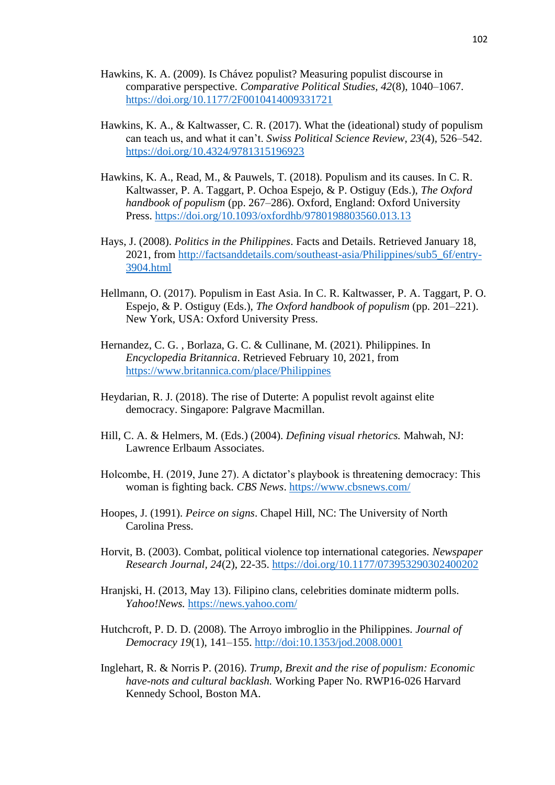- Hawkins, K. A. (2009). Is Chávez populist? Measuring populist discourse in comparative perspective. *Comparative Political Studies, 42*(8), 1040–1067. <https://doi.org/10.1177/2F0010414009331721>
- Hawkins, K. A., & Kaltwasser, C. R. (2017). What the (ideational) study of populism can teach us, and what it can't. *Swiss Political Science Review*, *23*(4), 526–542. <https://doi.org/10.4324/9781315196923>
- Hawkins, K. A., Read, M., & Pauwels, T. (2018). Populism and its causes. In C. R. Kaltwasser, P. A. Taggart, P. Ochoa Espejo, & P. Ostiguy (Eds.), *The Oxford handbook of populism* (pp. 267–286). Oxford, England: Oxford University Press.<https://doi.org/10.1093/oxfordhb/9780198803560.013.13>
- Hays, J. (2008). *Politics in the Philippines*. Facts and Details. Retrieved January 18, 2021, from [http://factsanddetails.com/southeast-asia/Philippines/sub5\\_6f/entry-](http://factsanddetails.com/southeast-asia/Philippines/sub5_6f/entry-3904.html)[3904.html](http://factsanddetails.com/southeast-asia/Philippines/sub5_6f/entry-3904.html)
- Hellmann, O. (2017). Populism in East Asia. In C. R. Kaltwasser, P. A. Taggart, P. O. Espejo, & P. Ostiguy (Eds.), *The Oxford handbook of populism* (pp. 201–221). New York, USA: Oxford University Press.
- Hernandez, C. G. , Borlaza, G. C. & Cullinane, M. (2021). Philippines. In *Encyclopedia Britannica*. Retrieved February 10, 2021, from <https://www.britannica.com/place/Philippines>
- Heydarian, R. J. (2018). The rise of Duterte: A populist revolt against elite democracy. Singapore: Palgrave Macmillan.
- Hill, C. A. & Helmers, M. (Eds.) (2004). *Defining visual rhetorics.* Mahwah, NJ: Lawrence Erlbaum Associates.
- Holcombe, H. (2019, June 27). A dictator's playbook is threatening democracy: This woman is fighting back. *CBS News*.<https://www.cbsnews.com/>
- Hoopes, J. (1991). *Peirce on signs*. Chapel Hill, NC: The University of North Carolina Press.
- Horvit, B. (2003). Combat, political violence top international categories. *Newspaper Research Journal, 24*(2), 22-35.<https://doi.org/10.1177/073953290302400202>
- Hranjski, H. (2013, May 13). Filipino clans, celebrities dominate midterm polls. *Yahoo!News.* <https://news.yahoo.com/>
- Hutchcroft, P. D. D. (2008). The Arroyo imbroglio in the Philippines. *Journal of Democracy 19*(1), 141–155. <http://doi:10.1353/jod.2008.0001>
- Inglehart, R. & Norris P. (2016). *Trump, Brexit and the rise of populism: Economic have-nots and cultural backlash.* Working Paper No. RWP16-026 Harvard Kennedy School, Boston MA.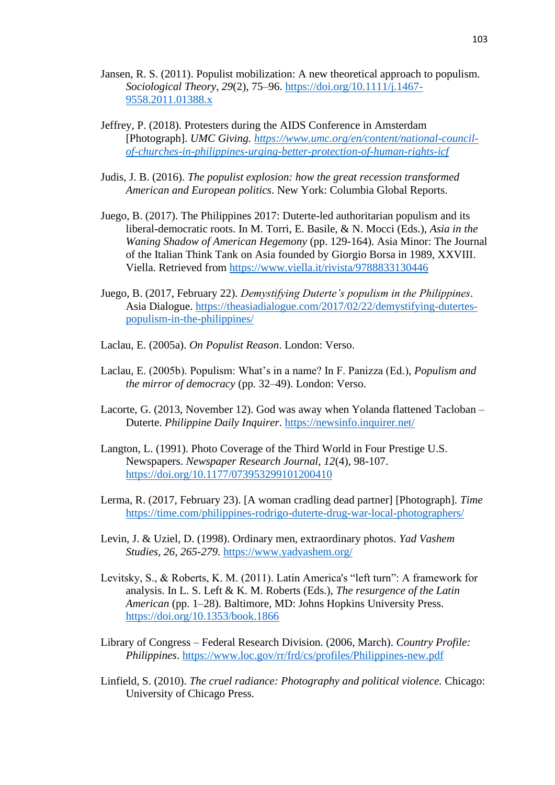- Jansen, R. S. (2011). Populist mobilization: A new theoretical approach to populism. *Sociological Theory, 29*(2), 75–96. [https://doi.org/10.1111/j.1467-](https://doi.org/10.1111/j.1467-9558.2011.01388.x) [9558.2011.01388.x](https://doi.org/10.1111/j.1467-9558.2011.01388.x)
- Jeffrey, P. (2018). Protesters during the AIDS Conference in Amsterdam [Photograph]. *UMC Giving. [https://www.umc.org/en/content/national-council](https://www.umc.org/en/content/national-council-of-churches-in-philippines-urging-better-protection-of-human-rights-icf)[of-churches-in-philippines-urging-better-protection-of-human-rights-icf](https://www.umc.org/en/content/national-council-of-churches-in-philippines-urging-better-protection-of-human-rights-icf)*
- Judis, J. B. (2016). *The populist explosion: how the great recession transformed American and European politics*. New York: Columbia Global Reports.
- Juego, B. (2017). The Philippines 2017: Duterte-led authoritarian populism and its liberal-democratic roots. In M. Torri, E. Basile, & N. Mocci (Eds.), *Asia in the Waning Shadow of American Hegemony* (pp. 129-164). Asia Minor: The Journal of the Italian Think Tank on Asia founded by Giorgio Borsa in 1989, XXVIII. Viella. Retrieved from <https://www.viella.it/rivista/9788833130446>
- Juego, B. (2017, February 22). *Demystifying Duterte's populism in the Philippines*. Asia Dialogue. [https://theasiadialogue.com/2017/02/22/demystifying-dutertes](https://theasiadialogue.com/2017/02/22/demystifying-dutertes-populism-in-the-philippines/)[populism-in-the-philippines/](https://theasiadialogue.com/2017/02/22/demystifying-dutertes-populism-in-the-philippines/)
- Laclau, E. (2005a). *On Populist Reason*. London: Verso.
- Laclau, E. (2005b). Populism: What's in a name? In F. Panizza (Ed.), *Populism and the mirror of democracy* (pp. 32–49). London: Verso.
- Lacorte, G. (2013, November 12). God was away when Yolanda flattened Tacloban Duterte. *Philippine Daily Inquirer*.<https://newsinfo.inquirer.net/>
- Langton, L. (1991). Photo Coverage of the Third World in Four Prestige U.S. Newspapers. *Newspaper Research Journal, 12*(4), 98-107. <https://doi.org/10.1177/073953299101200410>
- Lerma, R. (2017, February 23). [A woman cradling dead partner] [Photograph]. *Time* <https://time.com/philippines-rodrigo-duterte-drug-war-local-photographers/>
- Levin, J. & Uziel, D. (1998). Ordinary men, extraordinary photos. *Yad Vashem Studies, 26, 265-279.* <https://www.yadvashem.org/>
- Levitsky, S., & Roberts, K. M. (2011). Latin America's "left turn": A framework for analysis. In L. S. Left & K. M. Roberts (Eds.), *The resurgence of the Latin American* (pp. 1–28). Baltimore, MD: Johns Hopkins University Press. <https://doi.org/10.1353/book.1866>
- Library of Congress Federal Research Division. (2006, March). *Country Profile: Philippines*.<https://www.loc.gov/rr/frd/cs/profiles/Philippines-new.pdf>
- Linfield, S. (2010). *The cruel radiance: Photography and political violence.* Chicago: University of Chicago Press.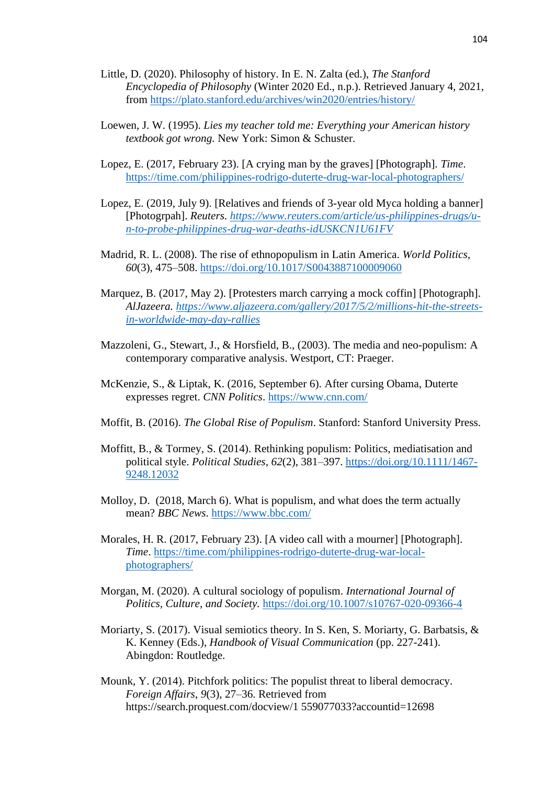- Little, D. (2020). Philosophy of history. In E. N. Zalta (ed.), *The Stanford Encyclopedia of Philosophy* (Winter 2020 Ed., n.p.). Retrieved January 4, 2021, from<https://plato.stanford.edu/archives/win2020/entries/history/>
- Loewen, J. W. (1995). *Lies my teacher told me: Everything your American history textbook got wrong.* New York: Simon & Schuster.
- Lopez, E. (2017, February 23). [A crying man by the graves] [Photograph]. *Time*. <https://time.com/philippines-rodrigo-duterte-drug-war-local-photographers/>
- Lopez, E. (2019, July 9). [Relatives and friends of 3-year old Myca holding a banner] [Photogrpah]. *Reuters. [https://www.reuters.com/article/us-philippines-drugs/u](https://www.reuters.com/article/us-philippines-drugs/u-n-to-probe-philippines-drug-war-deaths-idUSKCN1U61FV)[n-to-probe-philippines-drug-war-deaths-idUSKCN1U61FV](https://www.reuters.com/article/us-philippines-drugs/u-n-to-probe-philippines-drug-war-deaths-idUSKCN1U61FV)*
- Madrid, R. L. (2008). The rise of ethnopopulism in Latin America. *World Politics, 60*(3), 475–508.<https://doi.org/10.1017/S0043887100009060>
- Marquez, B. (2017, May 2). [Protesters march carrying a mock coffin] [Photograph]. *AlJazeera. [https://www.aljazeera.com/gallery/2017/5/2/millions-hit-the-streets](https://www.aljazeera.com/gallery/2017/5/2/millions-hit-the-streets-in-worldwide-may-day-rallies)[in-worldwide-may-day-rallies](https://www.aljazeera.com/gallery/2017/5/2/millions-hit-the-streets-in-worldwide-may-day-rallies)*
- Mazzoleni, G., Stewart, J., & Horsfield, B., (2003). The media and neo-populism: A contemporary comparative analysis. Westport, CT: Praeger.
- McKenzie, S., & Liptak, K. (2016, September 6). After cursing Obama, Duterte expresses regret. *CNN Politics*.<https://www.cnn.com/>
- Moffit, B. (2016). *The Global Rise of Populism*. Stanford: Stanford University Press.
- Moffitt, B., & Tormey, S. (2014). Rethinking populism: Politics, mediatisation and political style. *Political Studies*, *62*(2), 381–397. [https://doi.org/10.1111/1467-](https://doi.org/10.1111/1467-%209248.12032) [9248.12032](https://doi.org/10.1111/1467-%209248.12032)
- Molloy, D. (2018, March 6). What is populism, and what does the term actually mean? *BBC News*.<https://www.bbc.com/>
- Morales, H. R. (2017, February 23). [A video call with a mourner] [Photograph]. *Time*. [https://time.com/philippines-rodrigo-duterte-drug-war-local](https://time.com/philippines-rodrigo-duterte-drug-war-local-photographers/)[photographers/](https://time.com/philippines-rodrigo-duterte-drug-war-local-photographers/)
- Morgan, M. (2020). A cultural sociology of populism. *International Journal of Politics, Culture, and Society.* <https://doi.org/10.1007/s10767-020-09366-4>
- Moriarty, S. (2017). Visual semiotics theory. In S. Ken, S. Moriarty, G. Barbatsis, & K. Kenney (Eds.), *Handbook of Visual Communication* (pp. 227-241). Abingdon: Routledge.
- Mounk, Y. (2014). Pitchfork politics: The populist threat to liberal democracy. *Foreign Affairs*, *9*(3), 27–36. Retrieved from https://search.proquest.com/docview/1 559077033?accountid=12698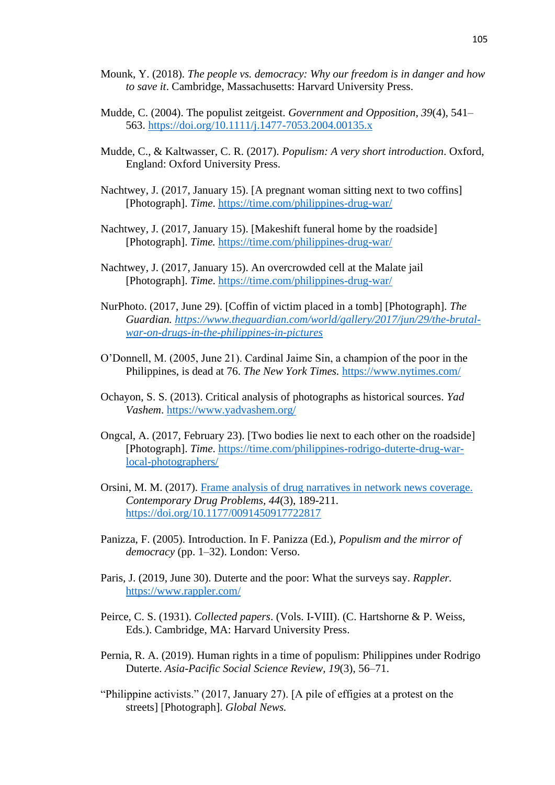- Mounk, Y. (2018). *The people vs. democracy: Why our freedom is in danger and how to save it*. Cambridge, Massachusetts: Harvard University Press.
- Mudde, C. (2004). The populist zeitgeist. *Government and Opposition, 39*(4), 541– 563.<https://doi.org/10.1111/j.1477-7053.2004.00135.x>
- Mudde, C., & Kaltwasser, C. R. (2017). *Populism: A very short introduction*. Oxford, England: Oxford University Press.
- Nachtwey, J. (2017, January 15). [A pregnant woman sitting next to two coffins] [Photograph]. *Time*.<https://time.com/philippines-drug-war/>
- Nachtwey, J. (2017, January 15). [Makeshift funeral home by the roadside] [Photograph]. *Time.* <https://time.com/philippines-drug-war/>
- Nachtwey, J. (2017, January 15). An overcrowded cell at the Malate jail [Photograph]. *Time*.<https://time.com/philippines-drug-war/>
- NurPhoto. (2017, June 29). [Coffin of victim placed in a tomb] [Photograph]. *The Guardian. [https://www.theguardian.com/world/gallery/2017/jun/29/the-brutal](https://www.theguardian.com/world/gallery/2017/jun/29/the-brutal-war-on-drugs-in-the-philippines-in-pictures)[war-on-drugs-in-the-philippines-in-pictures](https://www.theguardian.com/world/gallery/2017/jun/29/the-brutal-war-on-drugs-in-the-philippines-in-pictures)*
- O'Donnell, M. (2005, June 21). Cardinal Jaime Sin, a champion of the poor in the Philippines, is dead at 76. *The New York Times.* <https://www.nytimes.com/>
- Ochayon, S. S. (2013). Critical analysis of photographs as historical sources. *Yad Vashem*.<https://www.yadvashem.org/>
- Ongcal, A. (2017, February 23). [Two bodies lie next to each other on the roadside] [Photograph]. *Time*. [https://time.com/philippines-rodrigo-duterte-drug-war](https://time.com/philippines-rodrigo-duterte-drug-war-local-photographers/)[local-photographers/](https://time.com/philippines-rodrigo-duterte-drug-war-local-photographers/)
- Orsini, M. M. (2017). Frame analysis of drug [narratives in network news coverage.](https://eds.a.ebscohost.com/eds/viewarticle/render?data=dGJyMPPp44rp2%2fdV0%2bnjisfk5Ie46bRKsKivTa6k63nn5Kx94um%2bSbClsEewprBInq%2b4TLawslGet8s%2b8ujfhvHX4Yzn5eyB4rOvS7Gnt0mxq7I%2b8d%2fiVbCvt32u1%2bJLq6axTrWjsnyzpqt649uxReSssk2vq7NP4dvkUb7p4nur7KuL4%2bnxheXorkmk4t%2bG5bPjhqTa4FXf5%2bY%2b8tflVb%2fEpHnss69Ks6qvS7OmtD7k5fCF3%2bq7fvPi6ozj7vI%2b5evji%2fKz0orz2wAA&vid=1&sid=299e0ad3-0367-4d50-bee3-f6451557cef9@sdc-v-sessmgr01) *Contemporary Drug Problems, 44*(3), 189-211. <https://doi.org/10.1177/0091450917722817>
- Panizza, F. (2005). Introduction. In F. Panizza (Ed.), *Populism and the mirror of democracy* (pp. 1–32). London: Verso.
- Paris, J. (2019, June 30). Duterte and the poor: What the surveys say. *Rappler.*  <https://www.rappler.com/>
- Peirce, C. S. (1931). *Collected papers*. (Vols. I-VIII). (C. Hartshorne & P. Weiss, Eds.). Cambridge, MA: Harvard University Press.
- Pernia, R. A. (2019). Human rights in a time of populism: Philippines under Rodrigo Duterte. *Asia-Pacific Social Science Review, 19*(3), 56–71.
- "Philippine activists." (2017, January 27). [A pile of effigies at a protest on the streets] [Photograph]. *Global News.*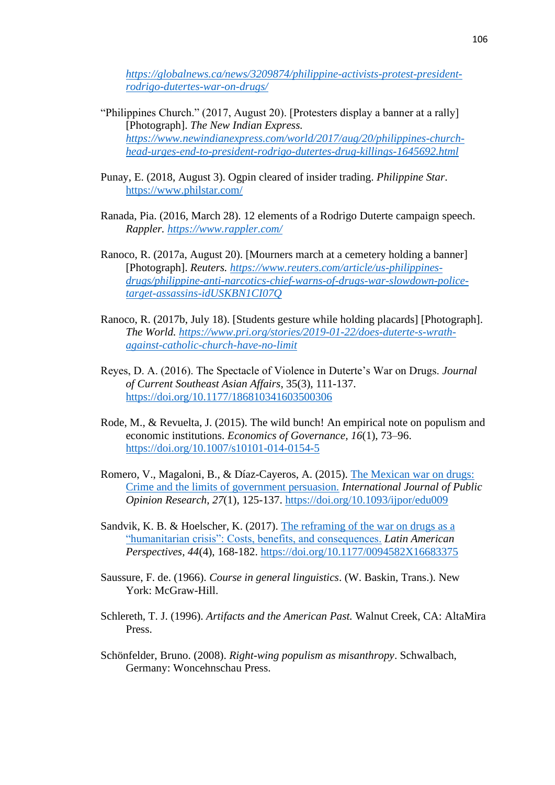*[https://globalnews.ca/news/3209874/philippine-activists-protest-president](https://globalnews.ca/news/3209874/philippine-activists-protest-president-rodrigo-dutertes-war-on-drugs/)[rodrigo-dutertes-war-on-drugs/](https://globalnews.ca/news/3209874/philippine-activists-protest-president-rodrigo-dutertes-war-on-drugs/)*

- "Philippines Church." (2017, August 20). [Protesters display a banner at a rally] [Photograph]. *The New Indian Express. [https://www.newindianexpress.com/world/2017/aug/20/philippines-church](https://www.newindianexpress.com/world/2017/aug/20/philippines-church-head-urges-end-to-president-rodrigo-dutertes-drug-killings-1645692.html)[head-urges-end-to-president-rodrigo-dutertes-drug-killings-1645692.html](https://www.newindianexpress.com/world/2017/aug/20/philippines-church-head-urges-end-to-president-rodrigo-dutertes-drug-killings-1645692.html)*
- Punay, E. (2018, August 3). Ogpin cleared of insider trading. *Philippine Star*. <https://www.philstar.com/>
- Ranada, Pia. (2016, March 28). 12 elements of a Rodrigo Duterte campaign speech. *Rappler.<https://www.rappler.com/>*
- Ranoco, R. (2017a, August 20). [Mourners march at a cemetery holding a banner] [Photograph]. *Reuters. [https://www.reuters.com/article/us-philippines](https://www.reuters.com/article/us-philippines-drugs/philippine-anti-narcotics-chief-warns-of-drugs-war-slowdown-police-target-assassins-idUSKBN1CI07Q)[drugs/philippine-anti-narcotics-chief-warns-of-drugs-war-slowdown-police](https://www.reuters.com/article/us-philippines-drugs/philippine-anti-narcotics-chief-warns-of-drugs-war-slowdown-police-target-assassins-idUSKBN1CI07Q)[target-assassins-idUSKBN1CI07Q](https://www.reuters.com/article/us-philippines-drugs/philippine-anti-narcotics-chief-warns-of-drugs-war-slowdown-police-target-assassins-idUSKBN1CI07Q)*
- Ranoco, R. (2017b, July 18). [Students gesture while holding placards] [Photograph]. *The World. [https://www.pri.org/stories/2019-01-22/does-duterte-s-wrath](https://www.pri.org/stories/2019-01-22/does-duterte-s-wrath-against-catholic-church-have-no-limit)[against-catholic-church-have-no-limit](https://www.pri.org/stories/2019-01-22/does-duterte-s-wrath-against-catholic-church-have-no-limit)*
- Reyes, D. A. (2016). The Spectacle of Violence in Duterte's War on Drugs. *Journal of Current Southeast Asian Affairs*, 35(3), 111-137. <https://doi.org/10.1177/186810341603500306>
- Rode, M., & Revuelta, J. (2015). The wild bunch! An empirical note on populism and economic institutions. *Economics of Governance, 16*(1), 73–96. <https://doi.org/10.1007/s10101-014-0154-5>
- Romero, V., Magaloni, B., & Díaz-Cayeros, A. (2015). [The Mexican](https://eds.a.ebscohost.com/eds/viewarticle/render?data=dGJyMPPp44rp2%2fdV0%2bnjisfk5Ie46bRKsKivTa6k63nn5Kx94um%2bSbClsEewprBInq%2b4TLawslGet8s%2b8ujfhvHX4Yzn5eyB4rOvS7Gnt0mxq7I%2b8d%2fiVbCvt32u1%2bJLq6axTrWjsnyzpqt649uxReSssk2vq7NP4dvkUb7p4nur7KuL4%2bnxheXorkmk4t%2bG5bPjhqTa4FXj2uA%2b8tflVb%2fEpHnss69IsKq3Sq6vrz7k5fCF3%2bq7fvPi6ozj7vI%2b5evji%2fKz0orz2wAA&vid=1&sid=299e0ad3-0367-4d50-bee3-f6451557cef9@sdc-v-sessmgr01) war on drugs: [Crime and the limits of government persuasion.](https://eds.a.ebscohost.com/eds/viewarticle/render?data=dGJyMPPp44rp2%2fdV0%2bnjisfk5Ie46bRKsKivTa6k63nn5Kx94um%2bSbClsEewprBInq%2b4TLawslGet8s%2b8ujfhvHX4Yzn5eyB4rOvS7Gnt0mxq7I%2b8d%2fiVbCvt32u1%2bJLq6axTrWjsnyzpqt649uxReSssk2vq7NP4dvkUb7p4nur7KuL4%2bnxheXorkmk4t%2bG5bPjhqTa4FXj2uA%2b8tflVb%2fEpHnss69IsKq3Sq6vrz7k5fCF3%2bq7fvPi6ozj7vI%2b5evji%2fKz0orz2wAA&vid=1&sid=299e0ad3-0367-4d50-bee3-f6451557cef9@sdc-v-sessmgr01) *International Journal of Public Opinion Research*, *27*(1), 125-137.<https://doi.org/10.1093/ijpor/edu009>
- Sandvik, K. B. & Hoelscher, K. (2017). [The reframing of the](https://eds.a.ebscohost.com/eds/viewarticle/render?data=dGJyMPPp44rp2%2fdV0%2bnjisfk5Ie46bRKsKivTa6k63nn5Kx94um%2bSbClsEewprBInq%2b4TLawslGet8s%2b8ujfhvHX4Yzn5eyB4rOvS7Gnt0mxq7I%2b8d%2fiVbCvt32u1%2bJLq6axTrWjsnyzpqt649uxReSssk2vq7NP4dvkUb7p4nur7KuL4%2bnxheXorkmk4t%2bG5bPjhqTa4FXj2uA%2b8tflVb%2fEpHnss69KsayuSLOstT7k5fCF3%2bq7fvPi6ozj7vI%2b5evji%2fKz0orz2wAA&vid=1&sid=299e0ad3-0367-4d50-bee3-f6451557cef9@sdc-v-sessmgr01) war on drugs as a ["humanitarian crisis": Costs, benefits, and consequences.](https://eds.a.ebscohost.com/eds/viewarticle/render?data=dGJyMPPp44rp2%2fdV0%2bnjisfk5Ie46bRKsKivTa6k63nn5Kx94um%2bSbClsEewprBInq%2b4TLawslGet8s%2b8ujfhvHX4Yzn5eyB4rOvS7Gnt0mxq7I%2b8d%2fiVbCvt32u1%2bJLq6axTrWjsnyzpqt649uxReSssk2vq7NP4dvkUb7p4nur7KuL4%2bnxheXorkmk4t%2bG5bPjhqTa4FXj2uA%2b8tflVb%2fEpHnss69KsayuSLOstT7k5fCF3%2bq7fvPi6ozj7vI%2b5evji%2fKz0orz2wAA&vid=1&sid=299e0ad3-0367-4d50-bee3-f6451557cef9@sdc-v-sessmgr01) *Latin American Perspectives, 44*(4), 168-182.<https://doi.org/10.1177/0094582X16683375>
- Saussure, F. de. (1966). *Course in general linguistics*. (W. Baskin, Trans.). New York: McGraw-Hill.
- Schlereth, T. J. (1996). *Artifacts and the American Past.* Walnut Creek, CA: AltaMira Press.
- Schönfelder, Bruno. (2008). *Right-wing populism as misanthropy*. Schwalbach, Germany: Woncehnschau Press.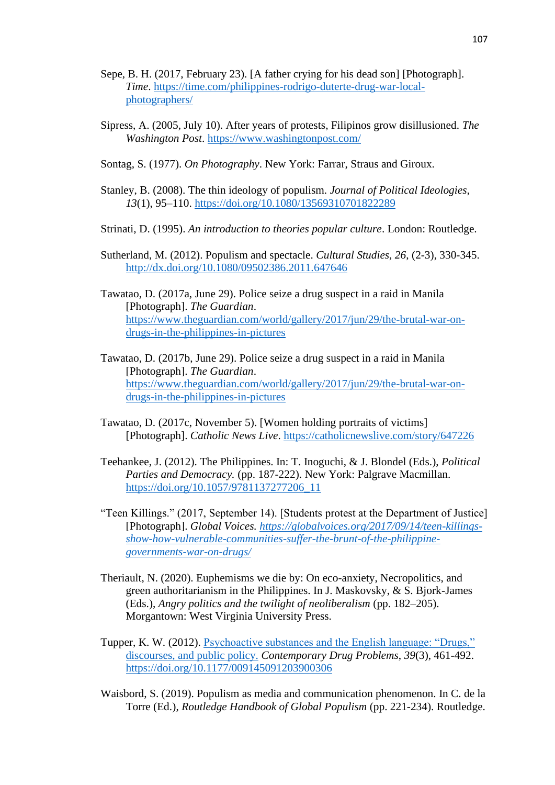- Sepe, B. H. (2017, February 23). [A father crying for his dead son] [Photograph]. *Time*. [https://time.com/philippines-rodrigo-duterte-drug-war-local](https://time.com/philippines-rodrigo-duterte-drug-war-local-photographers/)[photographers/](https://time.com/philippines-rodrigo-duterte-drug-war-local-photographers/)
- Sipress, A. (2005, July 10). After years of protests, Filipinos grow disillusioned. *The Washington Post*.<https://www.washingtonpost.com/>
- Sontag, S. (1977). *On Photography*. New York: Farrar, Straus and Giroux.
- Stanley, B. (2008). The thin ideology of populism. *Journal of Political Ideologies, 13*(1), 95–110.<https://doi.org/10.1080/13569310701822289>
- Strinati, D. (1995). *An introduction to theories popular culture*. London: Routledge.
- Sutherland, M. (2012). Populism and spectacle. *Cultural Studies, 26*, (2-3), 330-345. <http://dx.doi.org/10.1080/09502386.2011.647646>
- Tawatao, D. (2017a, June 29). Police seize a drug suspect in a raid in Manila [Photograph]. *The Guardian*. [https://www.theguardian.com/world/gallery/2017/jun/29/the-brutal-war-on](https://www.theguardian.com/world/gallery/2017/jun/29/the-brutal-war-on-drugs-in-the-philippines-in-pictures)[drugs-in-the-philippines-in-pictures](https://www.theguardian.com/world/gallery/2017/jun/29/the-brutal-war-on-drugs-in-the-philippines-in-pictures)
- Tawatao, D. (2017b, June 29). Police seize a drug suspect in a raid in Manila [Photograph]. *The Guardian*. [https://www.theguardian.com/world/gallery/2017/jun/29/the-brutal-war-on](https://www.theguardian.com/world/gallery/2017/jun/29/the-brutal-war-on-drugs-in-the-philippines-in-pictures)[drugs-in-the-philippines-in-pictures](https://www.theguardian.com/world/gallery/2017/jun/29/the-brutal-war-on-drugs-in-the-philippines-in-pictures)
- Tawatao, D. (2017c, November 5). [Women holding portraits of victims] [Photograph]. *Catholic News Live*.<https://catholicnewslive.com/story/647226>
- Teehankee, J. (2012). The Philippines. In: T. Inoguchi, & J. Blondel (Eds.), *Political Parties and Democracy.* (pp. 187-222). New York: Palgrave Macmillan. [https://doi.org/10.1057/9781137277206\\_11](https://doi.org/10.1057/9781137277206_11)
- "Teen Killings." (2017, September 14). [Students protest at the Department of Justice] [Photograph]. *Global Voices. [https://globalvoices.org/2017/09/14/teen-killings](https://globalvoices.org/2017/09/14/teen-killings-show-how-vulnerable-communities-suffer-the-brunt-of-the-philippine-governments-war-on-drugs/)[show-how-vulnerable-communities-suffer-the-brunt-of-the-philippine](https://globalvoices.org/2017/09/14/teen-killings-show-how-vulnerable-communities-suffer-the-brunt-of-the-philippine-governments-war-on-drugs/)[governments-war-on-drugs/](https://globalvoices.org/2017/09/14/teen-killings-show-how-vulnerable-communities-suffer-the-brunt-of-the-philippine-governments-war-on-drugs/)*
- Theriault, N. (2020). Euphemisms we die by: On eco-anxiety, Necropolitics, and green authoritarianism in the Philippines. In J. Maskovsky, & S. Bjork-James (Eds.), *Angry politics and the twilight of neoliberalism* (pp. 182–205). Morgantown: West Virginia University Press.
- Tupper, K. W. (2012). [Psychoactive substances and the English language: "Drugs,"](https://eds.a.ebscohost.com/eds/viewarticle/render?data=dGJyMPPp44rp2%2fdV0%2bnjisfk5Ie46bRKsKivTa6k63nn5Kx94um%2bSbClsEewprBInq%2b4TLawslGet8s%2b8ujfhvHX4Yzn5eyB4rOvS7Gnt0mxq7I%2b8d%2fiVbCvt32u1%2bJLq6axTrWjsnyzpqt649uxReSssk2vq7NP4dvkUb7p4nur7KuL4%2bnxheXorkmk4t%2bG5bPjhqTa4FXf5%2bY%2b8tflVb%2fEpHnss7ZKtqu3TLCvpH7t6Ot58rPkjeri8n326qR%2f89vxjLvK8I3j&vid=1&sid=299e0ad3-0367-4d50-bee3-f6451557cef9@sdc-v-sessmgr01)  [discourses, and public policy.](https://eds.a.ebscohost.com/eds/viewarticle/render?data=dGJyMPPp44rp2%2fdV0%2bnjisfk5Ie46bRKsKivTa6k63nn5Kx94um%2bSbClsEewprBInq%2b4TLawslGet8s%2b8ujfhvHX4Yzn5eyB4rOvS7Gnt0mxq7I%2b8d%2fiVbCvt32u1%2bJLq6axTrWjsnyzpqt649uxReSssk2vq7NP4dvkUb7p4nur7KuL4%2bnxheXorkmk4t%2bG5bPjhqTa4FXf5%2bY%2b8tflVb%2fEpHnss7ZKtqu3TLCvpH7t6Ot58rPkjeri8n326qR%2f89vxjLvK8I3j&vid=1&sid=299e0ad3-0367-4d50-bee3-f6451557cef9@sdc-v-sessmgr01) *Contemporary Drug Problems*, *39*(3), 461-492. <https://doi.org/10.1177/009145091203900306>
- Waisbord, S. (2019). Populism as media and communication phenomenon. In C. de la Torre (Ed.), *Routledge Handbook of Global Populism* (pp. 221-234). Routledge.